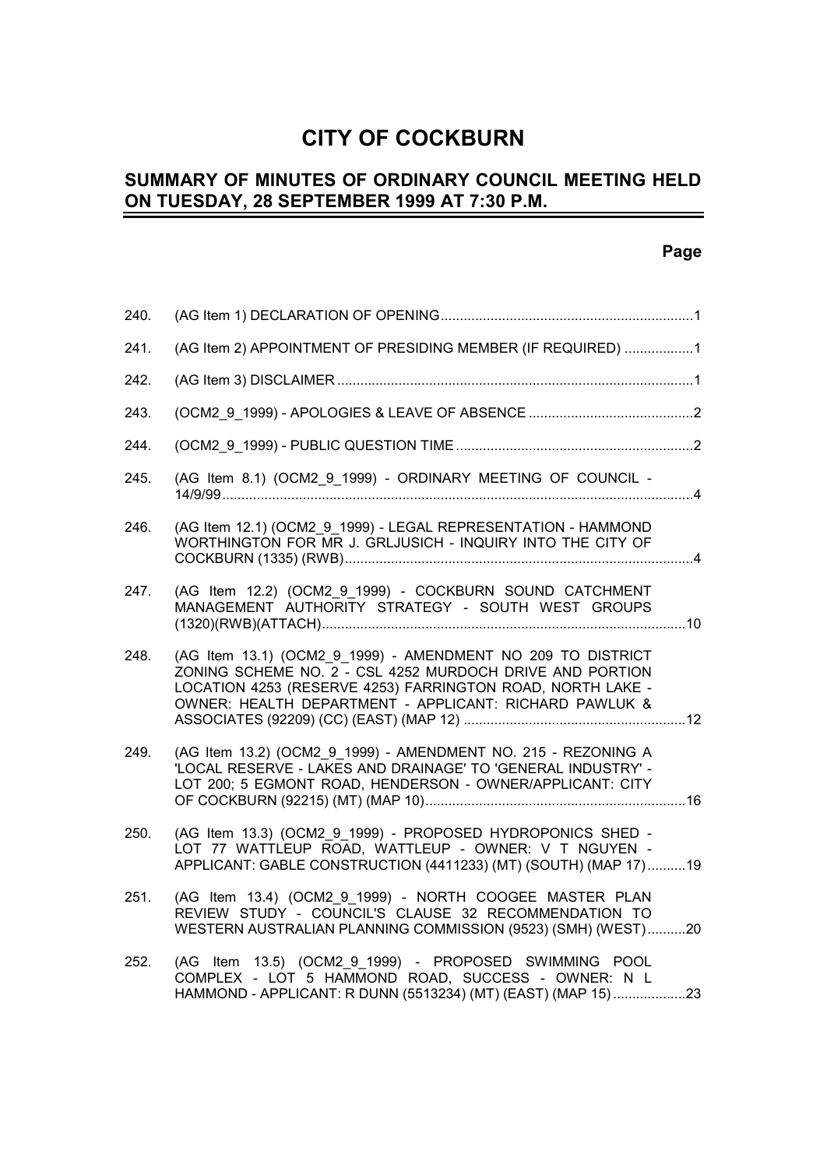# **CITY OF COCKBURN**

#### **SUMMARY OF MINUTES OF ORDINARY COUNCIL MEETING HELD ON TUESDAY, 28 SEPTEMBER 1999 AT 7:30 P.M.** L,

# **Page**

| 240. |                                                                                                                                                                                                                                                 |
|------|-------------------------------------------------------------------------------------------------------------------------------------------------------------------------------------------------------------------------------------------------|
| 241. | (AG Item 2) APPOINTMENT OF PRESIDING MEMBER (IF REQUIRED) 1                                                                                                                                                                                     |
| 242. |                                                                                                                                                                                                                                                 |
| 243. |                                                                                                                                                                                                                                                 |
| 244. |                                                                                                                                                                                                                                                 |
| 245. | (AG Item 8.1) (OCM2_9_1999) - ORDINARY MEETING OF COUNCIL -                                                                                                                                                                                     |
| 246. | (AG Item 12.1) (OCM2 9 1999) - LEGAL REPRESENTATION - HAMMOND<br>WORTHINGTON FOR MR J. GRLJUSICH - INQUIRY INTO THE CITY OF                                                                                                                     |
| 247. | (AG Item 12.2) (OCM2 9 1999) - COCKBURN SOUND CATCHMENT<br>MANAGEMENT AUTHORITY STRATEGY - SOUTH WEST GROUPS                                                                                                                                    |
| 248. | (AG Item 13.1) (OCM2_9_1999) - AMENDMENT NO 209 TO DISTRICT<br>ZONING SCHEME NO. 2 - CSL 4252 MURDOCH DRIVE AND PORTION<br>LOCATION 4253 (RESERVE 4253) FARRINGTON ROAD, NORTH LAKE -<br>OWNER: HEALTH DEPARTMENT - APPLICANT: RICHARD PAWLUK & |
| 249. | (AG Item 13.2) (OCM2 9 1999) - AMENDMENT NO. 215 - REZONING A<br>'LOCAL RESERVE - LAKES AND DRAINAGE' TO 'GENERAL INDUSTRY' -<br>LOT 200; 5 EGMONT ROAD, HENDERSON - OWNER/APPLICANT: CITY                                                      |
| 250. | (AG Item 13.3) (OCM2 9 1999) - PROPOSED HYDROPONICS SHED -<br>LOT 77 WATTLEUP ROAD, WATTLEUP - OWNER: V T NGUYEN -<br>APPLICANT: GABLE CONSTRUCTION (4411233) (MT) (SOUTH) (MAP 17) 19                                                          |
| 251. | (AG Item 13.4) (OCM2 9 1999) - NORTH COOGEE MASTER PLAN<br>REVIEW STUDY - COUNCIL'S CLAUSE 32 RECOMMENDATION TO<br>WESTERN AUSTRALIAN PLANNING COMMISSION (9523) (SMH) (WEST)20                                                                 |
| 252. | (AG Item 13.5) (OCM2_9_1999) - PROPOSED SWIMMING POOL<br>COMPLEX - LOT 5 HAMMOND ROAD, SUCCESS - OWNER: N L<br>HAMMOND - APPLICANT: R DUNN (5513234) (MT) (EAST) (MAP 15)23                                                                     |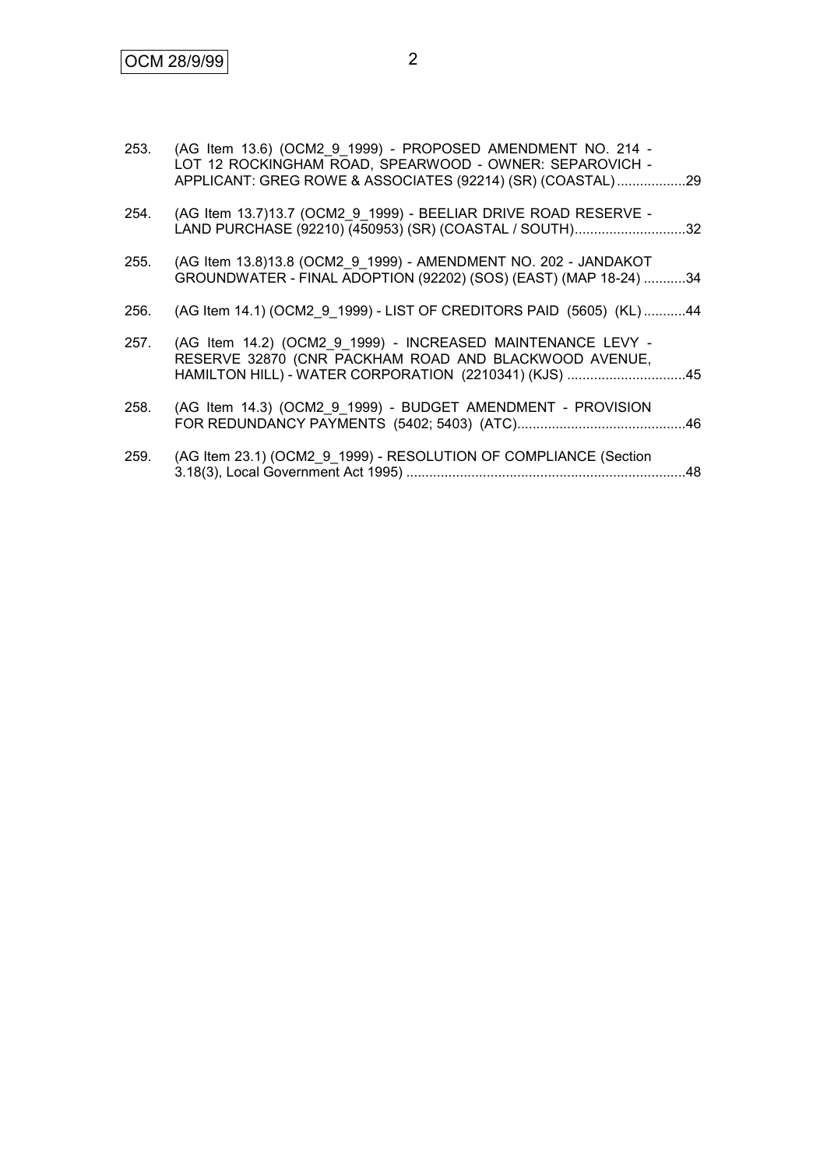| 253. | (AG Item 13.6) (OCM2 9 1999) - PROPOSED AMENDMENT NO. 214 -<br>LOT 12 ROCKINGHAM ROAD, SPEARWOOD - OWNER: SEPAROVICH -<br>APPLICANT: GREG ROWE & ASSOCIATES (92214) (SR) (COASTAL) 29 |
|------|---------------------------------------------------------------------------------------------------------------------------------------------------------------------------------------|
| 254. | (AG Item 13.7)13.7 (OCM2_9_1999) - BEELIAR DRIVE ROAD RESERVE -<br>LAND PURCHASE (92210) (450953) (SR) (COASTAL / SOUTH)32                                                            |
| 255. | (AG Item 13.8)13.8 (OCM2 9 1999) - AMENDMENT NO. 202 - JANDAKOT<br>GROUNDWATER - FINAL ADOPTION (92202) (SOS) (EAST) (MAP 18-24) 34                                                   |
| 256. | (AG Item 14.1) (OCM2 9 1999) - LIST OF CREDITORS PAID (5605) (KL) 44                                                                                                                  |
| 257. | (AG Item 14.2) (OCM2 9 1999) - INCREASED MAINTENANCE LEVY -<br>RESERVE 32870 (CNR PACKHAM ROAD AND BLACKWOOD AVENUE,<br>HAMILTON HILL) - WATER CORPORATION (2210341) (KJS) 45         |
| 258. | (AG Item 14.3) (OCM2 9 1999) - BUDGET AMENDMENT - PROVISION                                                                                                                           |
| 259. | (AG Item 23.1) (OCM2 9 1999) - RESOLUTION OF COMPLIANCE (Section                                                                                                                      |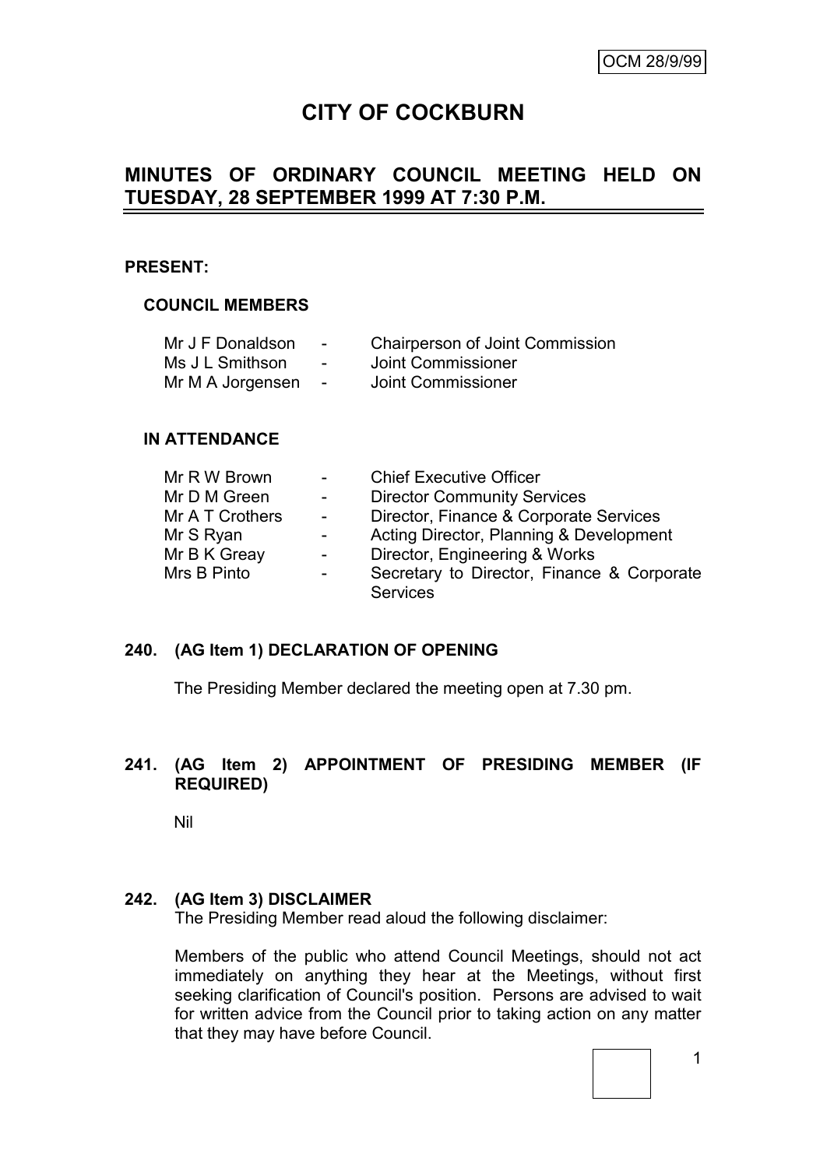# **CITY OF COCKBURN**

# **MINUTES OF ORDINARY COUNCIL MEETING HELD ON TUESDAY, 28 SEPTEMBER 1999 AT 7:30 P.M.**

#### **PRESENT:**

#### **COUNCIL MEMBERS**

| Mr J F Donaldson | $\overline{\phantom{a}}$ | <b>Chairperson of Joint Commission</b> |
|------------------|--------------------------|----------------------------------------|
| Ms J L Smithson  | $\blacksquare$           | Joint Commissioner                     |
| Mr M A Jorgensen | $\sim$                   | Joint Commissioner                     |

#### **IN ATTENDANCE**

| Mr R W Brown    | $\sim$ $-$               | <b>Chief Executive Officer</b>             |
|-----------------|--------------------------|--------------------------------------------|
| Mr D M Green    | $\sim$ 10 $\pm$          | <b>Director Community Services</b>         |
| Mr A T Crothers | $\sim$                   | Director, Finance & Corporate Services     |
| Mr S Ryan       | $\blacksquare$           | Acting Director, Planning & Development    |
| Mr B K Greay    | $\overline{\phantom{a}}$ | Director, Engineering & Works              |
| Mrs B Pinto     | $\blacksquare$           | Secretary to Director, Finance & Corporate |
|                 |                          | <b>Services</b>                            |

#### **240. (AG Item 1) DECLARATION OF OPENING**

The Presiding Member declared the meeting open at 7.30 pm.

#### **241. (AG Item 2) APPOINTMENT OF PRESIDING MEMBER (IF REQUIRED)**

Nil

#### **242. (AG Item 3) DISCLAIMER**

The Presiding Member read aloud the following disclaimer:

Members of the public who attend Council Meetings, should not act immediately on anything they hear at the Meetings, without first seeking clarification of Council's position. Persons are advised to wait for written advice from the Council prior to taking action on any matter that they may have before Council.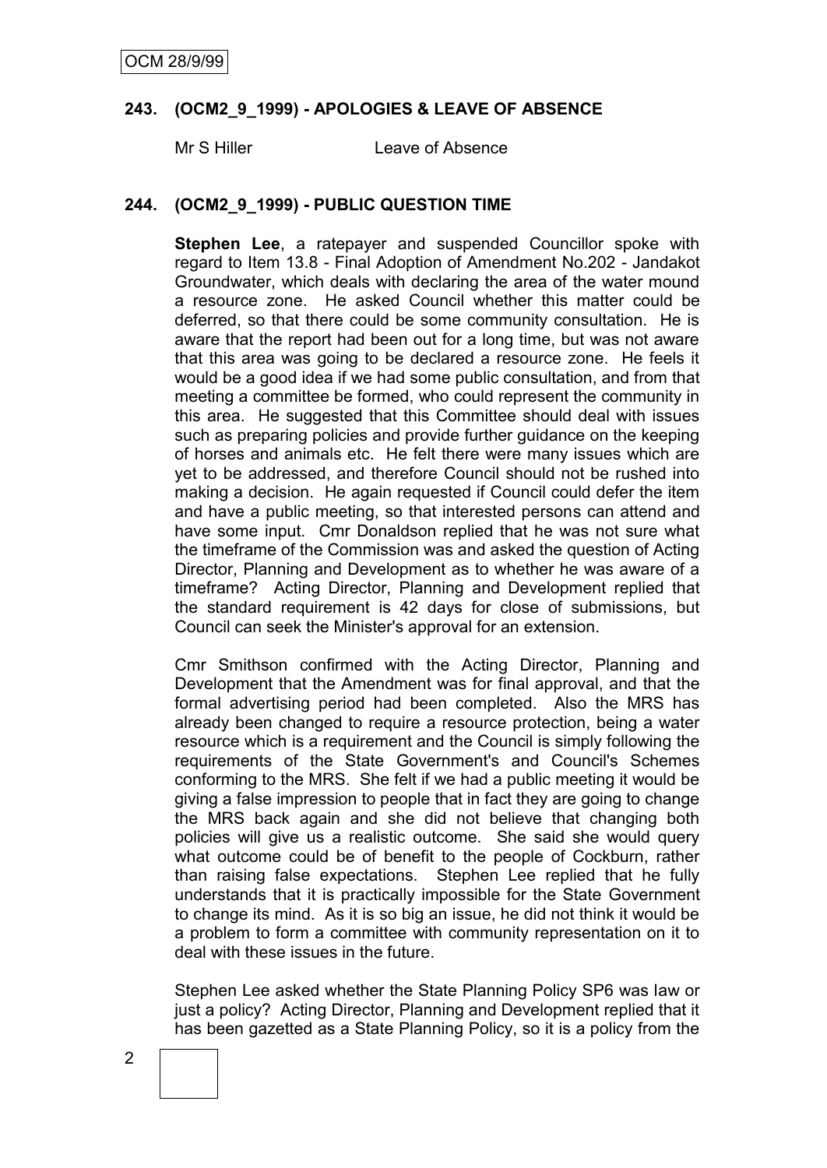#### **243. (OCM2\_9\_1999) - APOLOGIES & LEAVE OF ABSENCE**

Mr S Hiller Leave of Absence

#### **244. (OCM2\_9\_1999) - PUBLIC QUESTION TIME**

**Stephen Lee**, a ratepayer and suspended Councillor spoke with regard to Item 13.8 - Final Adoption of Amendment No.202 - Jandakot Groundwater, which deals with declaring the area of the water mound a resource zone. He asked Council whether this matter could be deferred, so that there could be some community consultation. He is aware that the report had been out for a long time, but was not aware that this area was going to be declared a resource zone. He feels it would be a good idea if we had some public consultation, and from that meeting a committee be formed, who could represent the community in this area. He suggested that this Committee should deal with issues such as preparing policies and provide further guidance on the keeping of horses and animals etc. He felt there were many issues which are yet to be addressed, and therefore Council should not be rushed into making a decision. He again requested if Council could defer the item and have a public meeting, so that interested persons can attend and have some input. Cmr Donaldson replied that he was not sure what the timeframe of the Commission was and asked the question of Acting Director, Planning and Development as to whether he was aware of a timeframe? Acting Director, Planning and Development replied that the standard requirement is 42 days for close of submissions, but Council can seek the Minister's approval for an extension.

Cmr Smithson confirmed with the Acting Director, Planning and Development that the Amendment was for final approval, and that the formal advertising period had been completed. Also the MRS has already been changed to require a resource protection, being a water resource which is a requirement and the Council is simply following the requirements of the State Government's and Council's Schemes conforming to the MRS. She felt if we had a public meeting it would be giving a false impression to people that in fact they are going to change the MRS back again and she did not believe that changing both policies will give us a realistic outcome. She said she would query what outcome could be of benefit to the people of Cockburn, rather than raising false expectations. Stephen Lee replied that he fully understands that it is practically impossible for the State Government to change its mind. As it is so big an issue, he did not think it would be a problem to form a committee with community representation on it to deal with these issues in the future.

Stephen Lee asked whether the State Planning Policy SP6 was law or just a policy? Acting Director, Planning and Development replied that it has been gazetted as a State Planning Policy, so it is a policy from the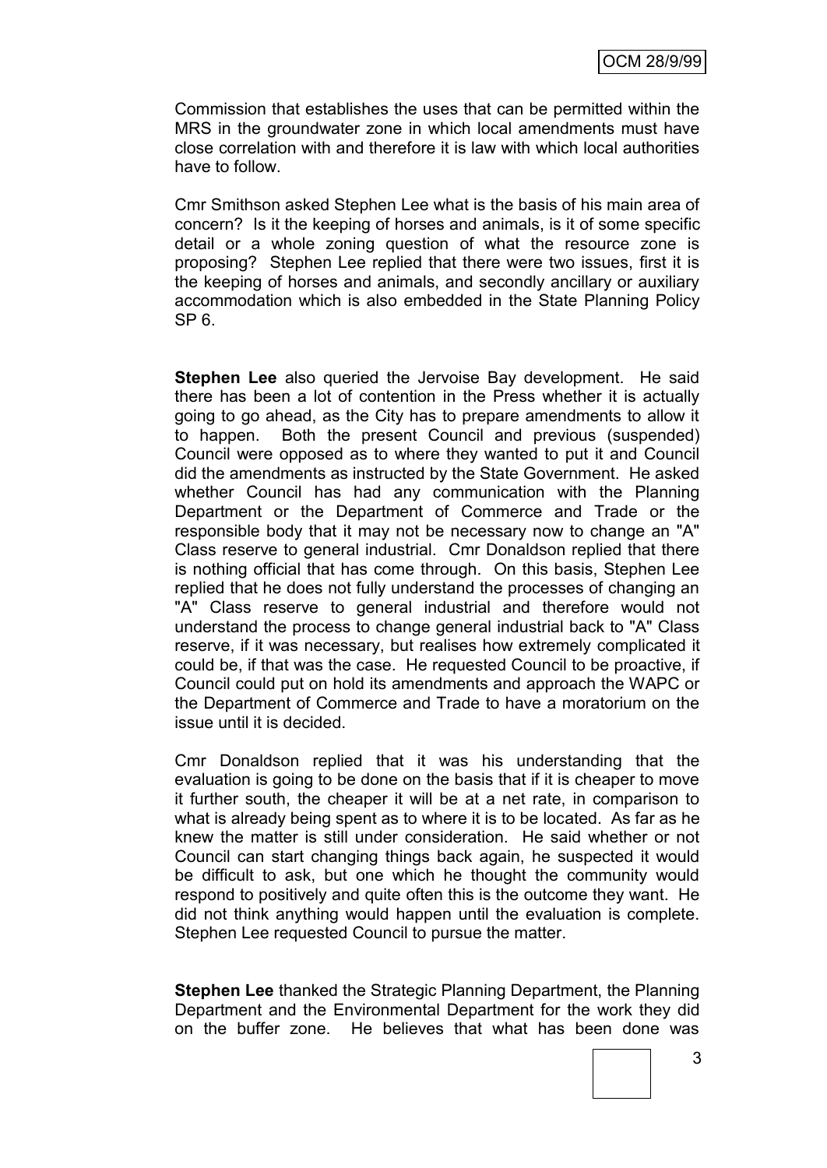Commission that establishes the uses that can be permitted within the MRS in the groundwater zone in which local amendments must have close correlation with and therefore it is law with which local authorities have to follow.

Cmr Smithson asked Stephen Lee what is the basis of his main area of concern? Is it the keeping of horses and animals, is it of some specific detail or a whole zoning question of what the resource zone is proposing? Stephen Lee replied that there were two issues, first it is the keeping of horses and animals, and secondly ancillary or auxiliary accommodation which is also embedded in the State Planning Policy  $SP<sub>6</sub>$ 

**Stephen Lee** also queried the Jervoise Bay development. He said there has been a lot of contention in the Press whether it is actually going to go ahead, as the City has to prepare amendments to allow it to happen. Both the present Council and previous (suspended) Council were opposed as to where they wanted to put it and Council did the amendments as instructed by the State Government. He asked whether Council has had any communication with the Planning Department or the Department of Commerce and Trade or the responsible body that it may not be necessary now to change an "A" Class reserve to general industrial. Cmr Donaldson replied that there is nothing official that has come through. On this basis, Stephen Lee replied that he does not fully understand the processes of changing an "A" Class reserve to general industrial and therefore would not understand the process to change general industrial back to "A" Class reserve, if it was necessary, but realises how extremely complicated it could be, if that was the case. He requested Council to be proactive, if Council could put on hold its amendments and approach the WAPC or the Department of Commerce and Trade to have a moratorium on the issue until it is decided.

Cmr Donaldson replied that it was his understanding that the evaluation is going to be done on the basis that if it is cheaper to move it further south, the cheaper it will be at a net rate, in comparison to what is already being spent as to where it is to be located. As far as he knew the matter is still under consideration. He said whether or not Council can start changing things back again, he suspected it would be difficult to ask, but one which he thought the community would respond to positively and quite often this is the outcome they want. He did not think anything would happen until the evaluation is complete. Stephen Lee requested Council to pursue the matter.

**Stephen Lee** thanked the Strategic Planning Department, the Planning Department and the Environmental Department for the work they did on the buffer zone. He believes that what has been done was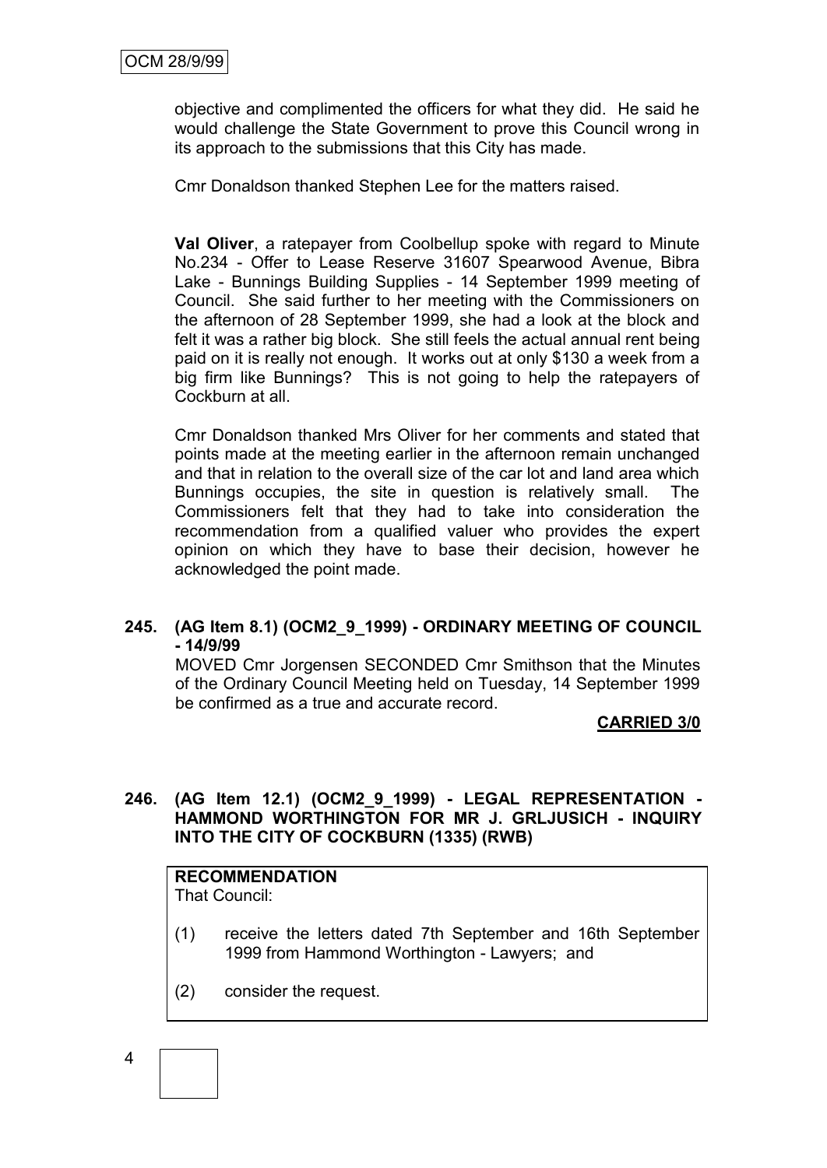objective and complimented the officers for what they did. He said he would challenge the State Government to prove this Council wrong in its approach to the submissions that this City has made.

Cmr Donaldson thanked Stephen Lee for the matters raised.

**Val Oliver**, a ratepayer from Coolbellup spoke with regard to Minute No.234 - Offer to Lease Reserve 31607 Spearwood Avenue, Bibra Lake - Bunnings Building Supplies - 14 September 1999 meeting of Council. She said further to her meeting with the Commissioners on the afternoon of 28 September 1999, she had a look at the block and felt it was a rather big block. She still feels the actual annual rent being paid on it is really not enough. It works out at only \$130 a week from a big firm like Bunnings? This is not going to help the ratepayers of Cockburn at all.

Cmr Donaldson thanked Mrs Oliver for her comments and stated that points made at the meeting earlier in the afternoon remain unchanged and that in relation to the overall size of the car lot and land area which Bunnings occupies, the site in question is relatively small. The Commissioners felt that they had to take into consideration the recommendation from a qualified valuer who provides the expert opinion on which they have to base their decision, however he acknowledged the point made.

## **245. (AG Item 8.1) (OCM2\_9\_1999) - ORDINARY MEETING OF COUNCIL - 14/9/99**

MOVED Cmr Jorgensen SECONDED Cmr Smithson that the Minutes of the Ordinary Council Meeting held on Tuesday, 14 September 1999 be confirmed as a true and accurate record.

**CARRIED 3/0**

# **246. (AG Item 12.1) (OCM2\_9\_1999) - LEGAL REPRESENTATION - HAMMOND WORTHINGTON FOR MR J. GRLJUSICH - INQUIRY INTO THE CITY OF COCKBURN (1335) (RWB)**

#### **RECOMMENDATION** That Council:

- (1) receive the letters dated 7th September and 16th September 1999 from Hammond Worthington - Lawyers; and
- (2) consider the request.

$$
\begin{array}{c} 4 \\ \end{array}
$$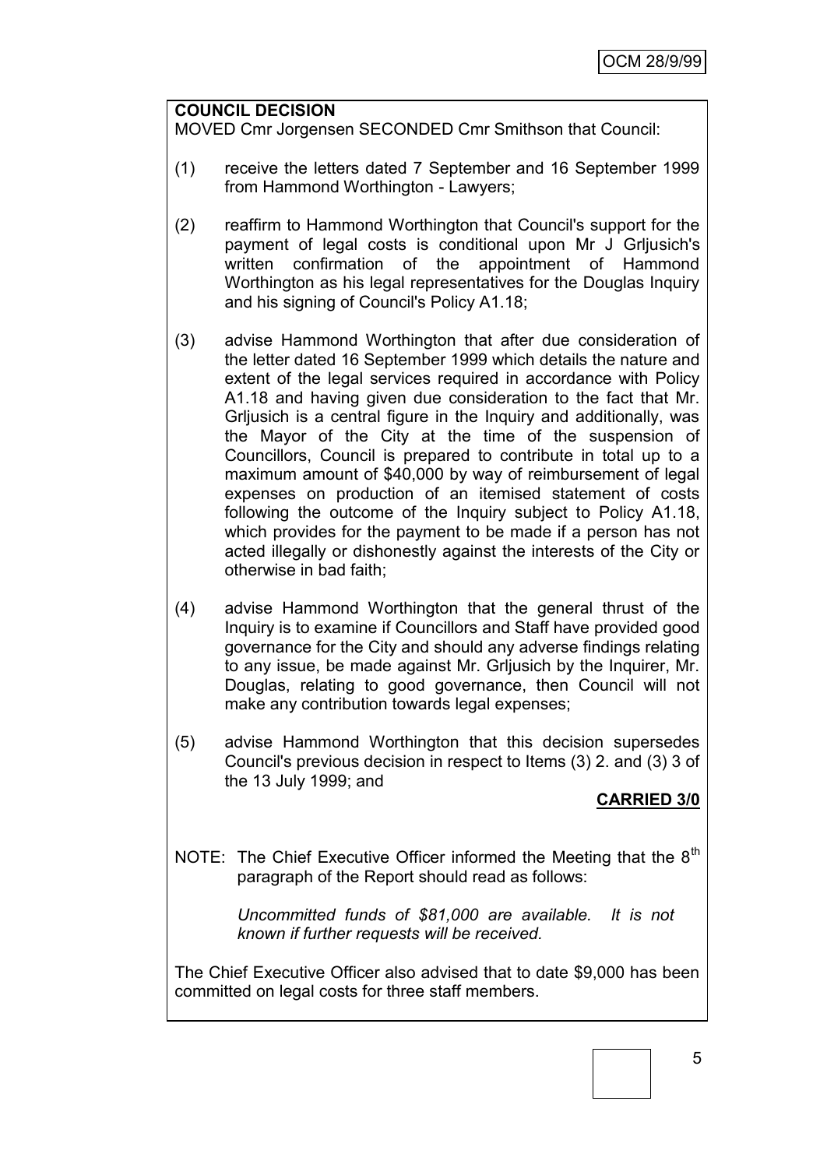#### **COUNCIL DECISION**

MOVED Cmr Jorgensen SECONDED Cmr Smithson that Council:

- (1) receive the letters dated 7 September and 16 September 1999 from Hammond Worthington - Lawyers;
- (2) reaffirm to Hammond Worthington that Council's support for the payment of legal costs is conditional upon Mr J Grljusich's written confirmation of the appointment of Hammond Worthington as his legal representatives for the Douglas Inquiry and his signing of Council's Policy A1.18;
- (3) advise Hammond Worthington that after due consideration of the letter dated 16 September 1999 which details the nature and extent of the legal services required in accordance with Policy A1.18 and having given due consideration to the fact that Mr. Grljusich is a central figure in the Inquiry and additionally, was the Mayor of the City at the time of the suspension of Councillors, Council is prepared to contribute in total up to a maximum amount of \$40,000 by way of reimbursement of legal expenses on production of an itemised statement of costs following the outcome of the Inquiry subject to Policy A1.18, which provides for the payment to be made if a person has not acted illegally or dishonestly against the interests of the City or otherwise in bad faith;
- (4) advise Hammond Worthington that the general thrust of the Inquiry is to examine if Councillors and Staff have provided good governance for the City and should any adverse findings relating to any issue, be made against Mr. Grljusich by the Inquirer, Mr. Douglas, relating to good governance, then Council will not make any contribution towards legal expenses;
- (5) advise Hammond Worthington that this decision supersedes Council's previous decision in respect to Items (3) 2. and (3) 3 of the 13 July 1999; and

#### **CARRIED 3/0**

NOTE: The Chief Executive Officer informed the Meeting that the 8<sup>th</sup> paragraph of the Report should read as follows:

> *Uncommitted funds of \$81,000 are available. It is not known if further requests will be received.*

The Chief Executive Officer also advised that to date \$9,000 has been committed on legal costs for three staff members.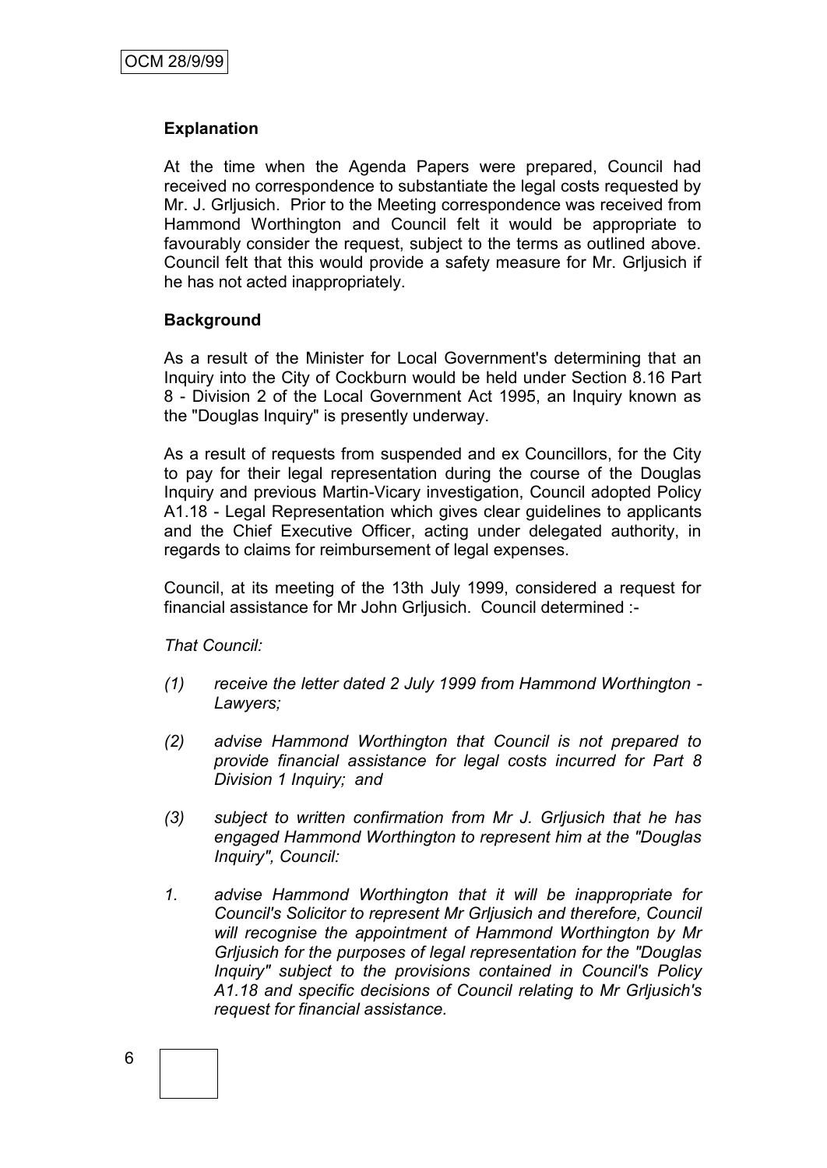# **Explanation**

At the time when the Agenda Papers were prepared, Council had received no correspondence to substantiate the legal costs requested by Mr. J. Grljusich. Prior to the Meeting correspondence was received from Hammond Worthington and Council felt it would be appropriate to favourably consider the request, subject to the terms as outlined above. Council felt that this would provide a safety measure for Mr. Grljusich if he has not acted inappropriately.

#### **Background**

As a result of the Minister for Local Government's determining that an Inquiry into the City of Cockburn would be held under Section 8.16 Part 8 - Division 2 of the Local Government Act 1995, an Inquiry known as the "Douglas Inquiry" is presently underway.

As a result of requests from suspended and ex Councillors, for the City to pay for their legal representation during the course of the Douglas Inquiry and previous Martin-Vicary investigation, Council adopted Policy A1.18 - Legal Representation which gives clear guidelines to applicants and the Chief Executive Officer, acting under delegated authority, in regards to claims for reimbursement of legal expenses.

Council, at its meeting of the 13th July 1999, considered a request for financial assistance for Mr John Grljusich. Council determined :-

*That Council:*

- *(1) receive the letter dated 2 July 1999 from Hammond Worthington - Lawyers;*
- *(2) advise Hammond Worthington that Council is not prepared to provide financial assistance for legal costs incurred for Part 8 Division 1 Inquiry; and*
- *(3) subject to written confirmation from Mr J. Grljusich that he has engaged Hammond Worthington to represent him at the "Douglas Inquiry", Council:*
- *1. advise Hammond Worthington that it will be inappropriate for Council's Solicitor to represent Mr Grljusich and therefore, Council will recognise the appointment of Hammond Worthington by Mr Grljusich for the purposes of legal representation for the "Douglas Inquiry" subject to the provisions contained in Council's Policy A1.18 and specific decisions of Council relating to Mr Grljusich's request for financial assistance.*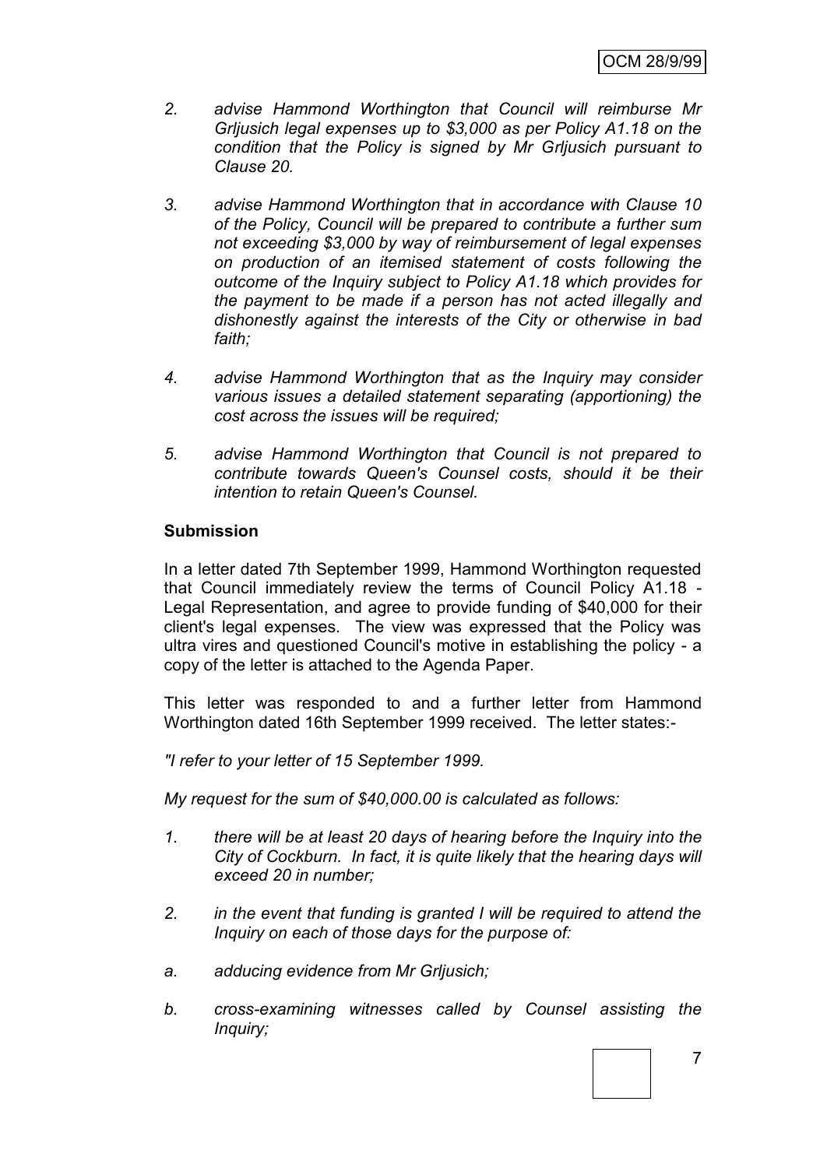- *2. advise Hammond Worthington that Council will reimburse Mr Grljusich legal expenses up to \$3,000 as per Policy A1.18 on the condition that the Policy is signed by Mr Grljusich pursuant to Clause 20.*
- *3. advise Hammond Worthington that in accordance with Clause 10 of the Policy, Council will be prepared to contribute a further sum not exceeding \$3,000 by way of reimbursement of legal expenses on production of an itemised statement of costs following the outcome of the Inquiry subject to Policy A1.18 which provides for the payment to be made if a person has not acted illegally and dishonestly against the interests of the City or otherwise in bad faith;*
- *4. advise Hammond Worthington that as the Inquiry may consider various issues a detailed statement separating (apportioning) the cost across the issues will be required;*
- *5. advise Hammond Worthington that Council is not prepared to contribute towards Queen's Counsel costs, should it be their intention to retain Queen's Counsel.*

#### **Submission**

In a letter dated 7th September 1999, Hammond Worthington requested that Council immediately review the terms of Council Policy A1.18 - Legal Representation, and agree to provide funding of \$40,000 for their client's legal expenses. The view was expressed that the Policy was ultra vires and questioned Council's motive in establishing the policy - a copy of the letter is attached to the Agenda Paper.

This letter was responded to and a further letter from Hammond Worthington dated 16th September 1999 received. The letter states:-

*"I refer to your letter of 15 September 1999.*

*My request for the sum of \$40,000.00 is calculated as follows:*

- *1. there will be at least 20 days of hearing before the Inquiry into the City of Cockburn. In fact, it is quite likely that the hearing days will exceed 20 in number;*
- *2. in the event that funding is granted I will be required to attend the Inquiry on each of those days for the purpose of:*
- *a. adducing evidence from Mr Grljusich;*
- *b. cross-examining witnesses called by Counsel assisting the Inquiry;*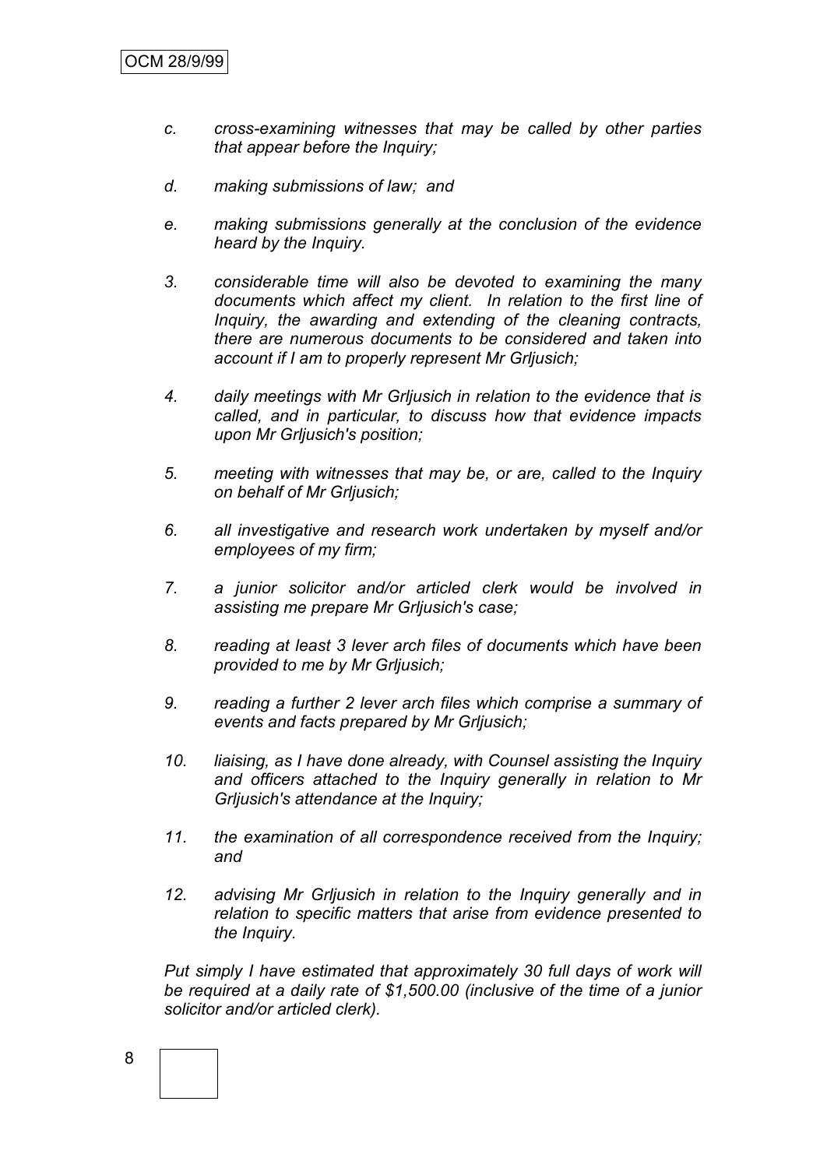- *c. cross-examining witnesses that may be called by other parties that appear before the Inquiry;*
- *d. making submissions of law; and*
- *e. making submissions generally at the conclusion of the evidence heard by the Inquiry.*
- *3. considerable time will also be devoted to examining the many documents which affect my client. In relation to the first line of Inquiry, the awarding and extending of the cleaning contracts, there are numerous documents to be considered and taken into account if I am to properly represent Mr Grljusich;*
- *4. daily meetings with Mr Grljusich in relation to the evidence that is called, and in particular, to discuss how that evidence impacts upon Mr Grljusich's position;*
- *5. meeting with witnesses that may be, or are, called to the Inquiry on behalf of Mr Grljusich;*
- *6. all investigative and research work undertaken by myself and/or employees of my firm;*
- *7. a junior solicitor and/or articled clerk would be involved in assisting me prepare Mr Grljusich's case;*
- *8. reading at least 3 lever arch files of documents which have been provided to me by Mr Grljusich;*
- *9. reading a further 2 lever arch files which comprise a summary of events and facts prepared by Mr Grljusich;*
- *10. liaising, as I have done already, with Counsel assisting the Inquiry and officers attached to the Inquiry generally in relation to Mr Grljusich's attendance at the Inquiry;*
- *11. the examination of all correspondence received from the Inquiry; and*
- *12. advising Mr Grljusich in relation to the Inquiry generally and in relation to specific matters that arise from evidence presented to the Inquiry.*

*Put simply I have estimated that approximately 30 full days of work will be required at a daily rate of \$1,500.00 (inclusive of the time of a junior solicitor and/or articled clerk).*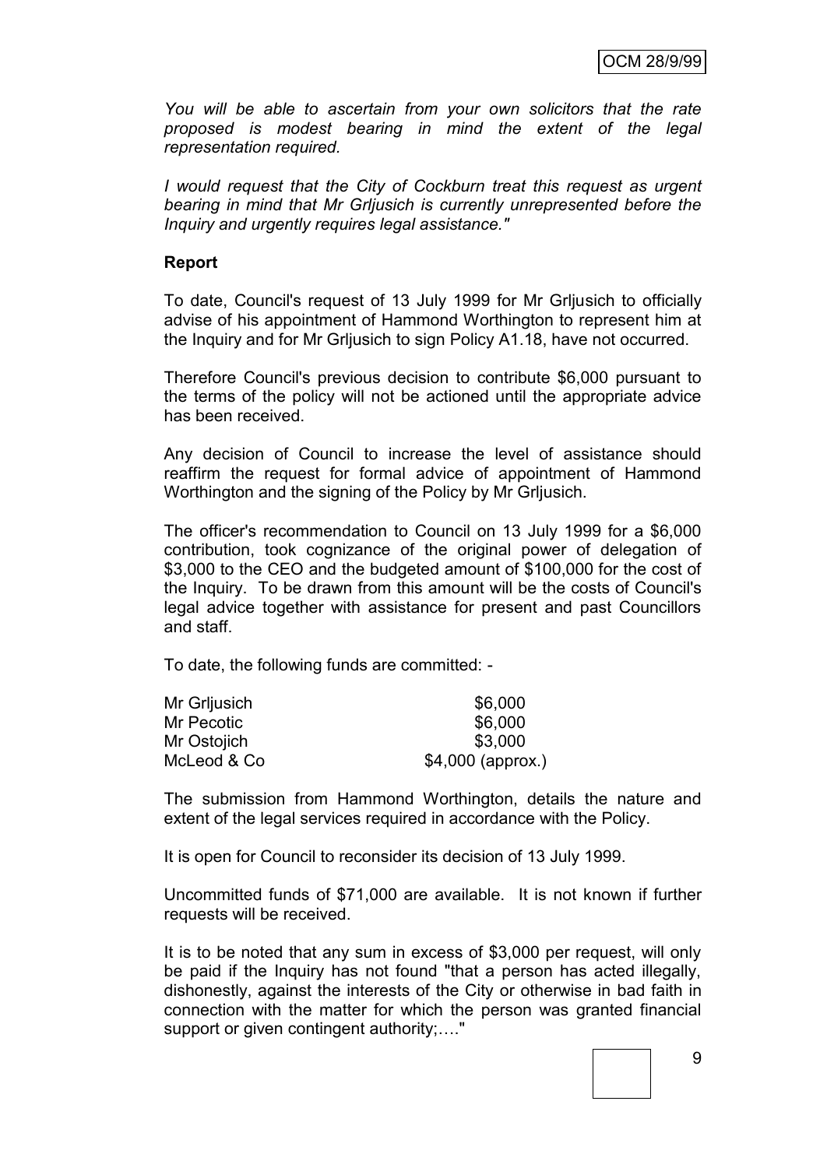*You will be able to ascertain from your own solicitors that the rate proposed is modest bearing in mind the extent of the legal representation required.*

*I would request that the City of Cockburn treat this request as urgent bearing in mind that Mr Grljusich is currently unrepresented before the Inquiry and urgently requires legal assistance."*

#### **Report**

To date, Council's request of 13 July 1999 for Mr Grljusich to officially advise of his appointment of Hammond Worthington to represent him at the Inquiry and for Mr Grljusich to sign Policy A1.18, have not occurred.

Therefore Council's previous decision to contribute \$6,000 pursuant to the terms of the policy will not be actioned until the appropriate advice has been received.

Any decision of Council to increase the level of assistance should reaffirm the request for formal advice of appointment of Hammond Worthington and the signing of the Policy by Mr Grljusich.

The officer's recommendation to Council on 13 July 1999 for a \$6,000 contribution, took cognizance of the original power of delegation of \$3,000 to the CEO and the budgeted amount of \$100,000 for the cost of the Inquiry. To be drawn from this amount will be the costs of Council's legal advice together with assistance for present and past Councillors and staff.

To date, the following funds are committed: -

| Mr Grljusich | \$6,000            |
|--------------|--------------------|
| Mr Pecotic   | \$6,000            |
| Mr Ostojich  | \$3,000            |
| McLeod & Co  | $$4,000$ (approx.) |

The submission from Hammond Worthington, details the nature and extent of the legal services required in accordance with the Policy.

It is open for Council to reconsider its decision of 13 July 1999.

Uncommitted funds of \$71,000 are available. It is not known if further requests will be received.

It is to be noted that any sum in excess of \$3,000 per request, will only be paid if the Inquiry has not found "that a person has acted illegally, dishonestly, against the interests of the City or otherwise in bad faith in connection with the matter for which the person was granted financial support or given contingent authority;…."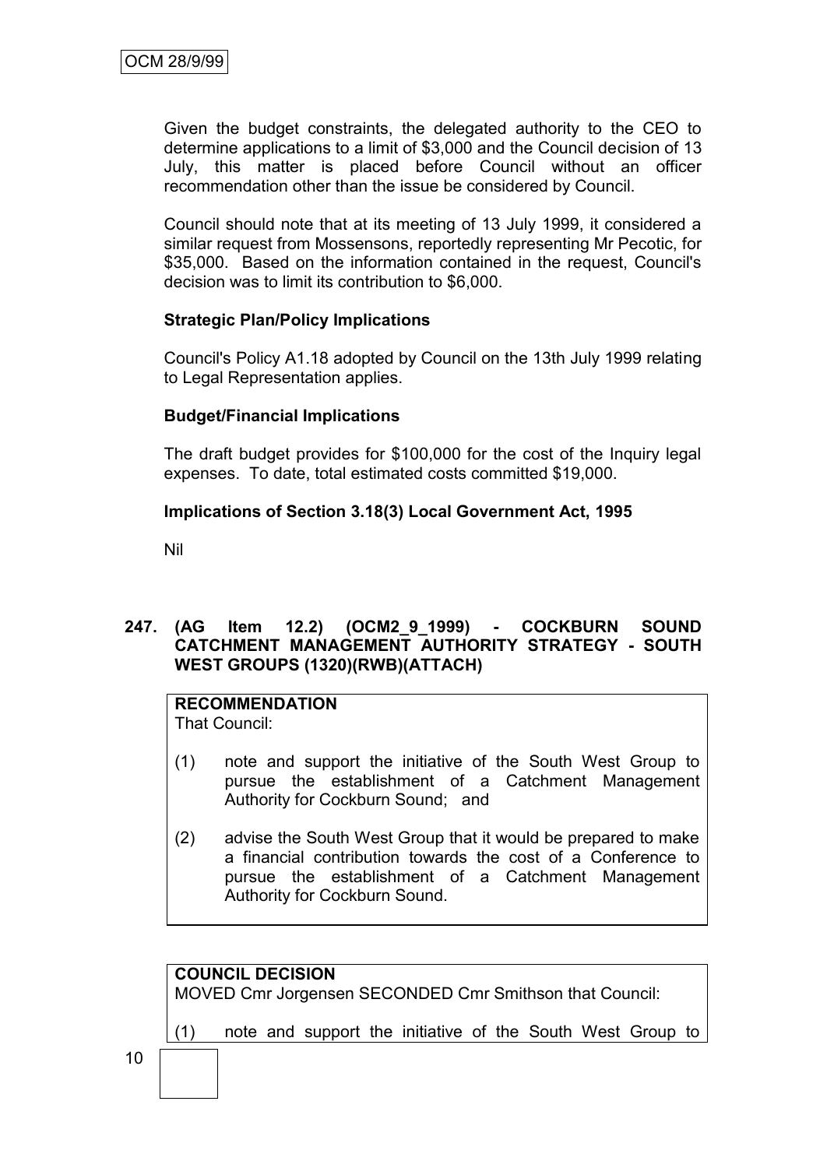Given the budget constraints, the delegated authority to the CEO to determine applications to a limit of \$3,000 and the Council decision of 13 July, this matter is placed before Council without an officer recommendation other than the issue be considered by Council.

Council should note that at its meeting of 13 July 1999, it considered a similar request from Mossensons, reportedly representing Mr Pecotic, for \$35,000. Based on the information contained in the request, Council's decision was to limit its contribution to \$6,000.

## **Strategic Plan/Policy Implications**

Council's Policy A1.18 adopted by Council on the 13th July 1999 relating to Legal Representation applies.

#### **Budget/Financial Implications**

The draft budget provides for \$100,000 for the cost of the Inquiry legal expenses. To date, total estimated costs committed \$19,000.

## **Implications of Section 3.18(3) Local Government Act, 1995**

Nil

# **247. (AG Item 12.2) (OCM2\_9\_1999) - COCKBURN SOUND CATCHMENT MANAGEMENT AUTHORITY STRATEGY - SOUTH WEST GROUPS (1320)(RWB)(ATTACH)**

# **RECOMMENDATION**

That Council:

- (1) note and support the initiative of the South West Group to pursue the establishment of a Catchment Management Authority for Cockburn Sound; and
- (2) advise the South West Group that it would be prepared to make a financial contribution towards the cost of a Conference to pursue the establishment of a Catchment Management Authority for Cockburn Sound.

# **COUNCIL DECISION**

MOVED Cmr Jorgensen SECONDED Cmr Smithson that Council:

(1) note and support the initiative of the South West Group to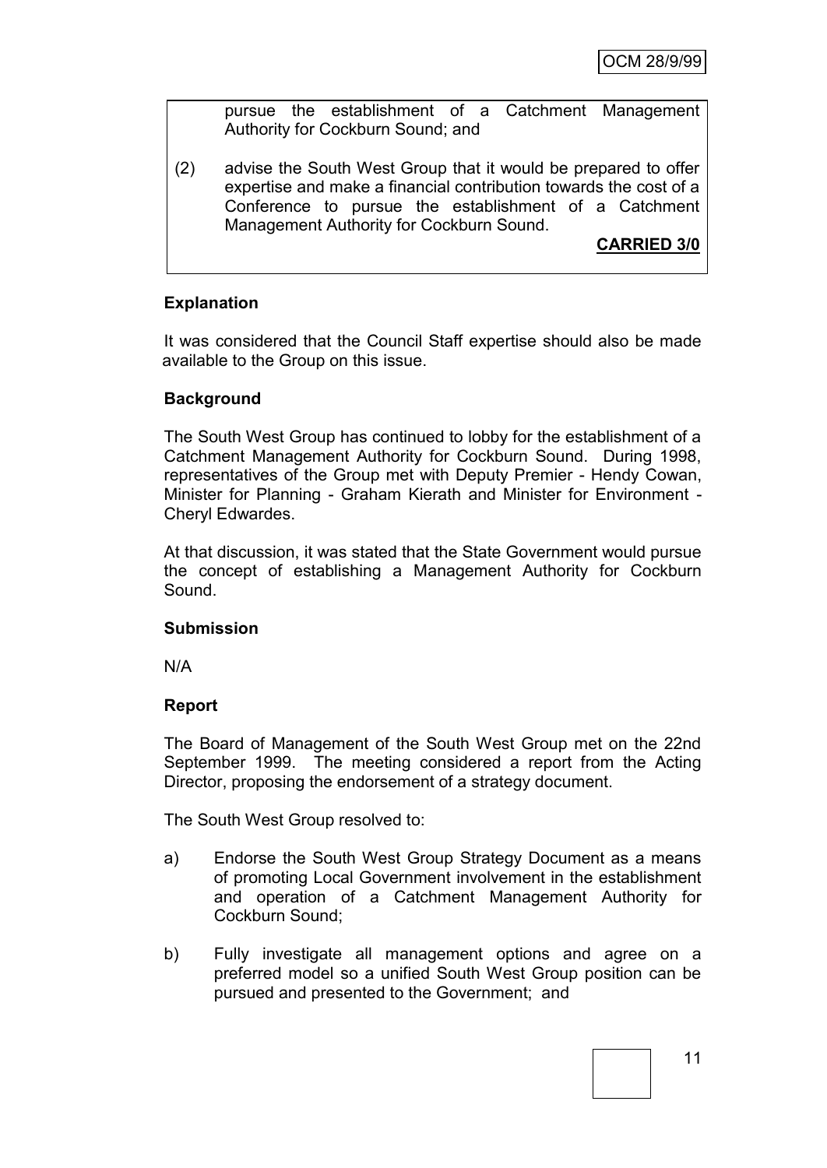pursue the establishment of a Catchment Management Authority for Cockburn Sound; and

(2) advise the South West Group that it would be prepared to offer expertise and make a financial contribution towards the cost of a Conference to pursue the establishment of a Catchment Management Authority for Cockburn Sound.

**CARRIED 3/0**

# **Explanation**

It was considered that the Council Staff expertise should also be made available to the Group on this issue.

## **Background**

The South West Group has continued to lobby for the establishment of a Catchment Management Authority for Cockburn Sound. During 1998, representatives of the Group met with Deputy Premier - Hendy Cowan, Minister for Planning - Graham Kierath and Minister for Environment - Cheryl Edwardes.

At that discussion, it was stated that the State Government would pursue the concept of establishing a Management Authority for Cockburn Sound.

#### **Submission**

N/A

#### **Report**

The Board of Management of the South West Group met on the 22nd September 1999. The meeting considered a report from the Acting Director, proposing the endorsement of a strategy document.

The South West Group resolved to:

- a) Endorse the South West Group Strategy Document as a means of promoting Local Government involvement in the establishment and operation of a Catchment Management Authority for Cockburn Sound;
- b) Fully investigate all management options and agree on a preferred model so a unified South West Group position can be pursued and presented to the Government; and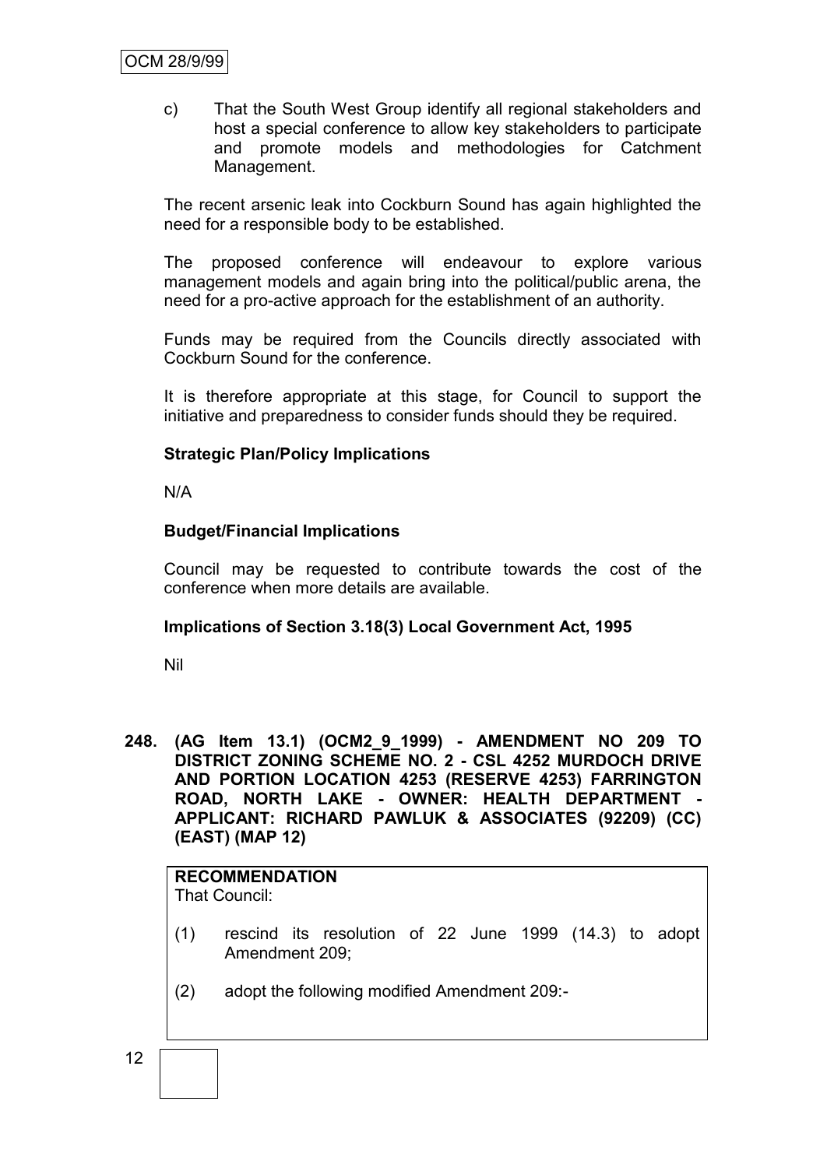c) That the South West Group identify all regional stakeholders and host a special conference to allow key stakeholders to participate and promote models and methodologies for Catchment Management.

The recent arsenic leak into Cockburn Sound has again highlighted the need for a responsible body to be established.

The proposed conference will endeavour to explore various management models and again bring into the political/public arena, the need for a pro-active approach for the establishment of an authority.

Funds may be required from the Councils directly associated with Cockburn Sound for the conference.

It is therefore appropriate at this stage, for Council to support the initiative and preparedness to consider funds should they be required.

#### **Strategic Plan/Policy Implications**

N/A

#### **Budget/Financial Implications**

Council may be requested to contribute towards the cost of the conference when more details are available.

#### **Implications of Section 3.18(3) Local Government Act, 1995**

Nil

**248. (AG Item 13.1) (OCM2\_9\_1999) - AMENDMENT NO 209 TO DISTRICT ZONING SCHEME NO. 2 - CSL 4252 MURDOCH DRIVE AND PORTION LOCATION 4253 (RESERVE 4253) FARRINGTON ROAD, NORTH LAKE - OWNER: HEALTH DEPARTMENT - APPLICANT: RICHARD PAWLUK & ASSOCIATES (92209) (CC) (EAST) (MAP 12)**

#### **RECOMMENDATION** That Council:

- (1) rescind its resolution of 22 June 1999 (14.3) to adopt Amendment 209;
- (2) adopt the following modified Amendment 209:-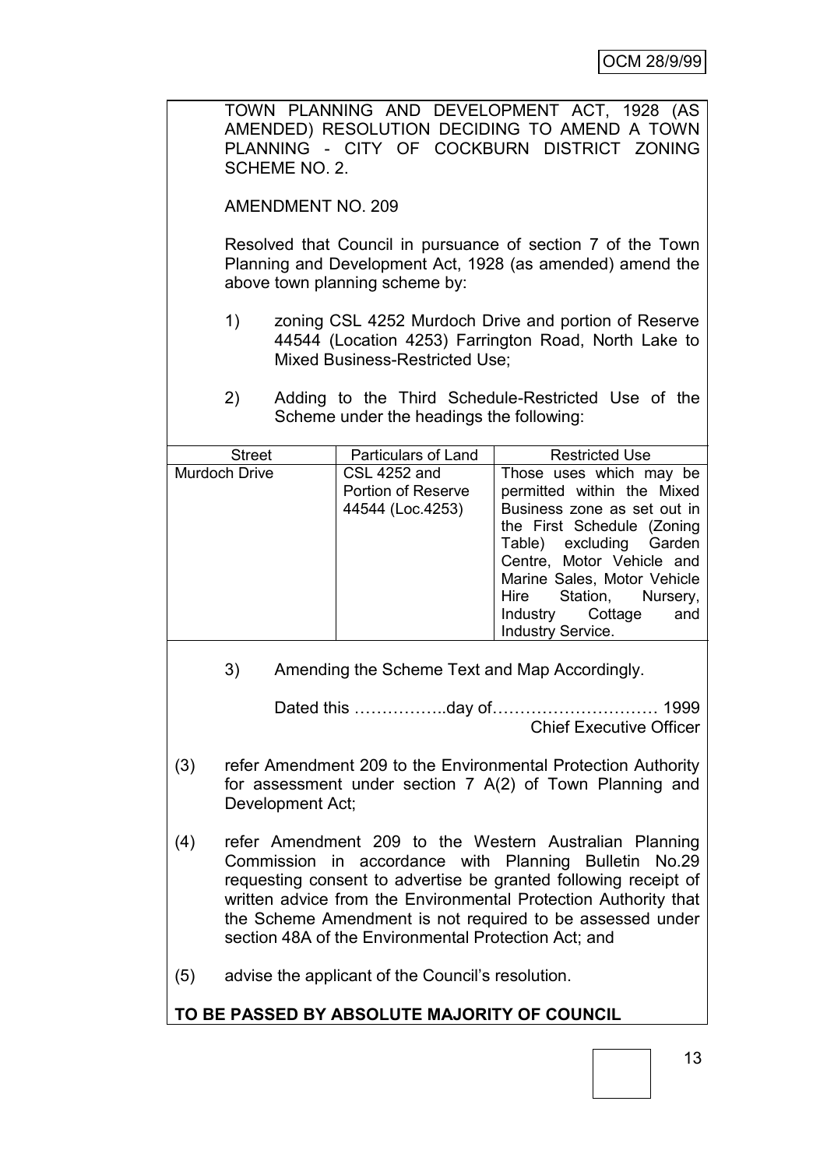TOWN PLANNING AND DEVELOPMENT ACT, 1928 (AS AMENDED) RESOLUTION DECIDING TO AMEND A TOWN PLANNING - CITY OF COCKBURN DISTRICT ZONING SCHEME NO. 2.

AMENDMENT NO. 209

Resolved that Council in pursuance of section 7 of the Town Planning and Development Act, 1928 (as amended) amend the above town planning scheme by:

- 1) zoning CSL 4252 Murdoch Drive and portion of Reserve 44544 (Location 4253) Farrington Road, North Lake to Mixed Business-Restricted Use;
- 2) Adding to the Third Schedule-Restricted Use of the Scheme under the headings the following:

| <b>Street</b> | <b>Particulars of Land</b>                             | <b>Restricted Use</b>                                                                                                                                                                                                                                                               |
|---------------|--------------------------------------------------------|-------------------------------------------------------------------------------------------------------------------------------------------------------------------------------------------------------------------------------------------------------------------------------------|
| Murdoch Drive | CSL 4252 and<br>Portion of Reserve<br>44544 (Loc.4253) | Those uses which may be<br>permitted within the Mixed<br>Business zone as set out in<br>the First Schedule (Zoning<br>Table) excluding Garden<br>Centre, Motor Vehicle and<br>Marine Sales, Motor Vehicle<br>Station, Nursery,<br>Hire<br>Industry Cottage and<br>Industry Service. |

3) Amending the Scheme Text and Map Accordingly.

Dated this ……………..day of………………………… 1999 Chief Executive Officer

- (3) refer Amendment 209 to the Environmental Protection Authority for assessment under section 7 A(2) of Town Planning and Development Act;
- (4) refer Amendment 209 to the Western Australian Planning Commission in accordance with Planning Bulletin No.29 requesting consent to advertise be granted following receipt of written advice from the Environmental Protection Authority that the Scheme Amendment is not required to be assessed under section 48A of the Environmental Protection Act; and
- (5) advise the applicant of the Council"s resolution.

# **TO BE PASSED BY ABSOLUTE MAJORITY OF COUNCIL**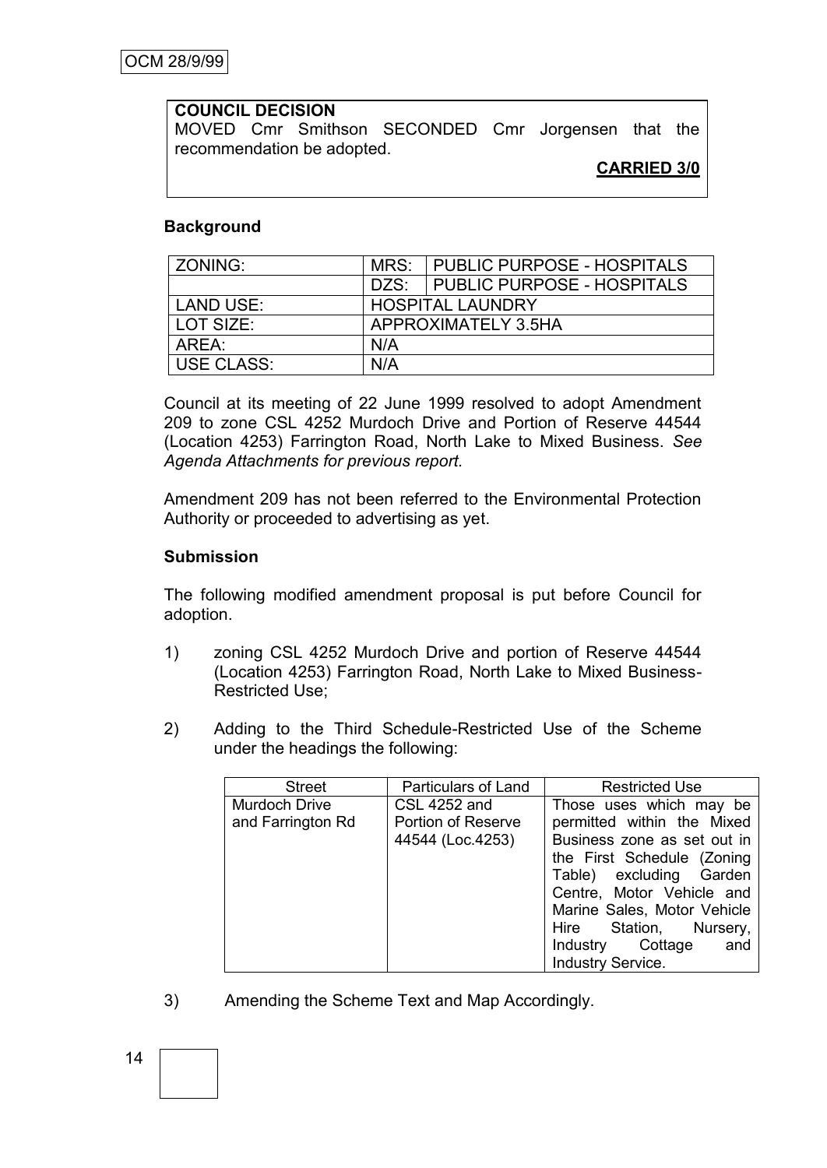#### **COUNCIL DECISION**

MOVED Cmr Smithson SECONDED Cmr Jorgensen that the recommendation be adopted.

## **CARRIED 3/0**

#### **Background**

| ZONING:           | MRS:                    | <b>PUBLIC PURPOSE - HOSPITALS</b> |
|-------------------|-------------------------|-----------------------------------|
|                   | DZS:                    | <b>PUBLIC PURPOSE - HOSPITALS</b> |
| <b>LAND USE:</b>  | <b>HOSPITAL LAUNDRY</b> |                                   |
| LOT SIZE:         |                         | APPROXIMATELY 3.5HA               |
| AREA:             | N/A                     |                                   |
| <b>USE CLASS:</b> | N/A                     |                                   |

Council at its meeting of 22 June 1999 resolved to adopt Amendment 209 to zone CSL 4252 Murdoch Drive and Portion of Reserve 44544 (Location 4253) Farrington Road, North Lake to Mixed Business. *See Agenda Attachments for previous report.*

Amendment 209 has not been referred to the Environmental Protection Authority or proceeded to advertising as yet.

#### **Submission**

The following modified amendment proposal is put before Council for adoption.

- 1) zoning CSL 4252 Murdoch Drive and portion of Reserve 44544 (Location 4253) Farrington Road, North Lake to Mixed Business-Restricted Use;
- 2) Adding to the Third Schedule-Restricted Use of the Scheme under the headings the following:

| <b>Street</b>     | <b>Particulars of Land</b> | <b>Restricted Use</b>       |
|-------------------|----------------------------|-----------------------------|
| Murdoch Drive     | <b>CSL 4252 and</b>        | Those uses which may be     |
| and Farrington Rd | Portion of Reserve         | permitted within the Mixed  |
|                   | 44544 (Loc.4253)           | Business zone as set out in |
|                   |                            | the First Schedule (Zoning  |
|                   |                            | Table) excluding Garden     |
|                   |                            | Centre, Motor Vehicle and   |
|                   |                            | Marine Sales, Motor Vehicle |
|                   |                            | Station, Nursery,<br>Hire   |
|                   |                            | Industry Cottage<br>and     |
|                   |                            | <b>Industry Service.</b>    |

3) Amending the Scheme Text and Map Accordingly.

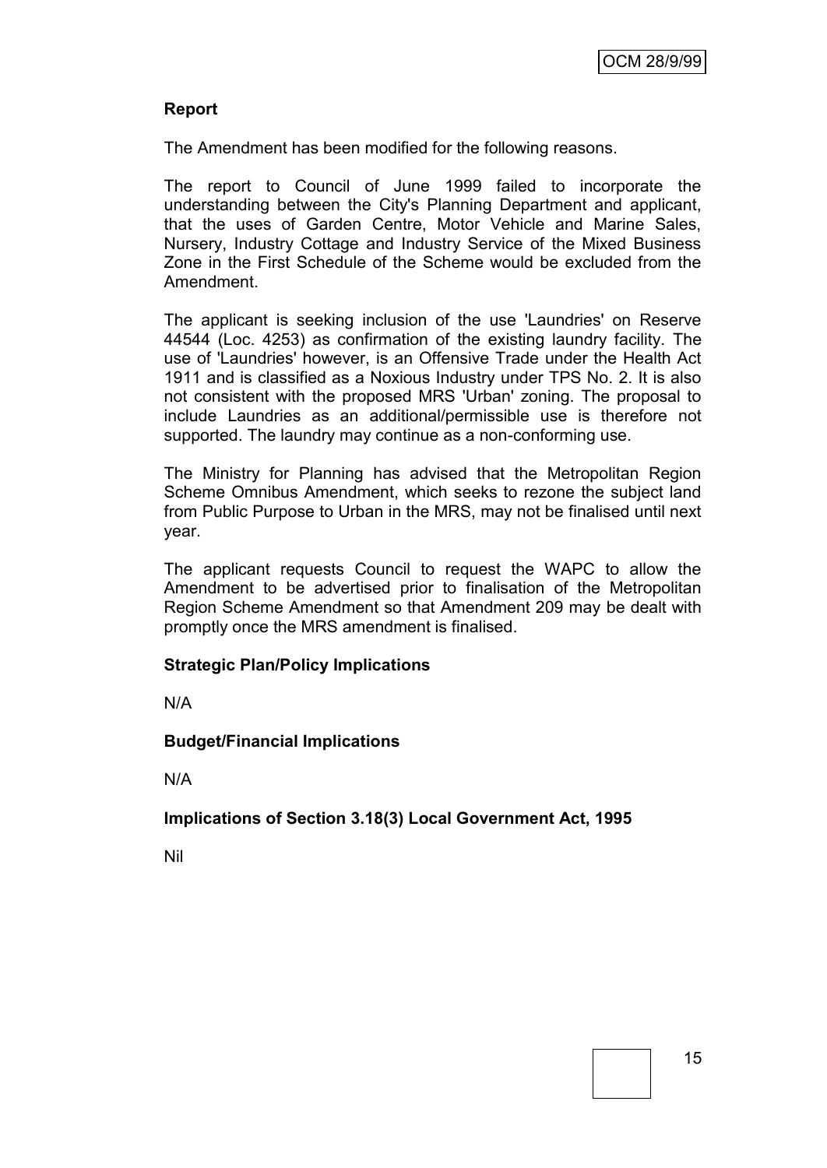#### **Report**

The Amendment has been modified for the following reasons.

The report to Council of June 1999 failed to incorporate the understanding between the City's Planning Department and applicant, that the uses of Garden Centre, Motor Vehicle and Marine Sales, Nursery, Industry Cottage and Industry Service of the Mixed Business Zone in the First Schedule of the Scheme would be excluded from the Amendment.

The applicant is seeking inclusion of the use 'Laundries' on Reserve 44544 (Loc. 4253) as confirmation of the existing laundry facility. The use of 'Laundries' however, is an Offensive Trade under the Health Act 1911 and is classified as a Noxious Industry under TPS No. 2. It is also not consistent with the proposed MRS 'Urban' zoning. The proposal to include Laundries as an additional/permissible use is therefore not supported. The laundry may continue as a non-conforming use.

The Ministry for Planning has advised that the Metropolitan Region Scheme Omnibus Amendment, which seeks to rezone the subject land from Public Purpose to Urban in the MRS, may not be finalised until next year.

The applicant requests Council to request the WAPC to allow the Amendment to be advertised prior to finalisation of the Metropolitan Region Scheme Amendment so that Amendment 209 may be dealt with promptly once the MRS amendment is finalised.

#### **Strategic Plan/Policy Implications**

N/A

#### **Budget/Financial Implications**

N/A

**Implications of Section 3.18(3) Local Government Act, 1995**

Nil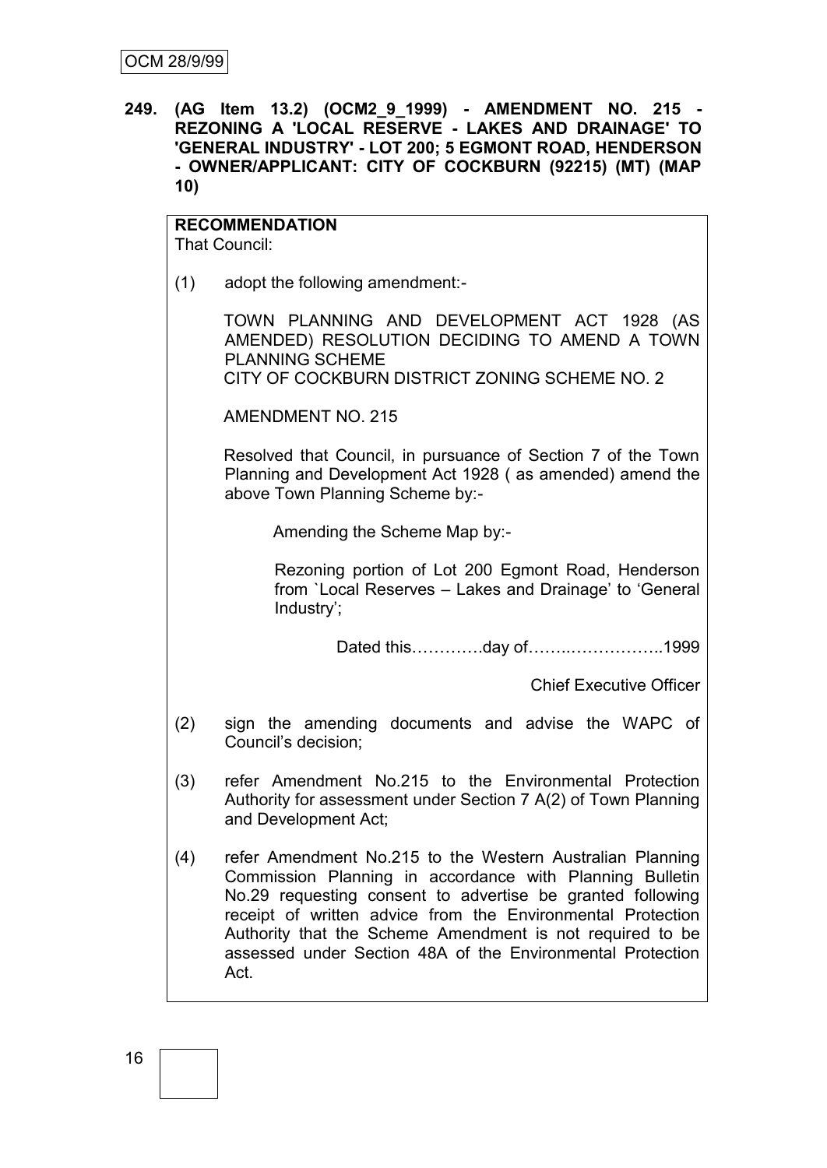**249. (AG Item 13.2) (OCM2\_9\_1999) - AMENDMENT NO. 215 - REZONING A 'LOCAL RESERVE - LAKES AND DRAINAGE' TO 'GENERAL INDUSTRY' - LOT 200; 5 EGMONT ROAD, HENDERSON - OWNER/APPLICANT: CITY OF COCKBURN (92215) (MT) (MAP 10)**

# **RECOMMENDATION**

That Council:

(1) adopt the following amendment:-

TOWN PLANNING AND DEVELOPMENT ACT 1928 (AS AMENDED) RESOLUTION DECIDING TO AMEND A TOWN PLANNING SCHEME CITY OF COCKBURN DISTRICT ZONING SCHEME NO. 2

AMENDMENT NO. 215

Resolved that Council, in pursuance of Section 7 of the Town Planning and Development Act 1928 ( as amended) amend the above Town Planning Scheme by:-

Amending the Scheme Map by:-

Rezoning portion of Lot 200 Egmont Road, Henderson from `Local Reserves – Lakes and Drainage" to "General Industry";

Dated this………….day of……..……………..1999

Chief Executive Officer

- (2) sign the amending documents and advise the WAPC of Council"s decision;
- (3) refer Amendment No.215 to the Environmental Protection Authority for assessment under Section 7 A(2) of Town Planning and Development Act;
- (4) refer Amendment No.215 to the Western Australian Planning Commission Planning in accordance with Planning Bulletin No.29 requesting consent to advertise be granted following receipt of written advice from the Environmental Protection Authority that the Scheme Amendment is not required to be assessed under Section 48A of the Environmental Protection Act.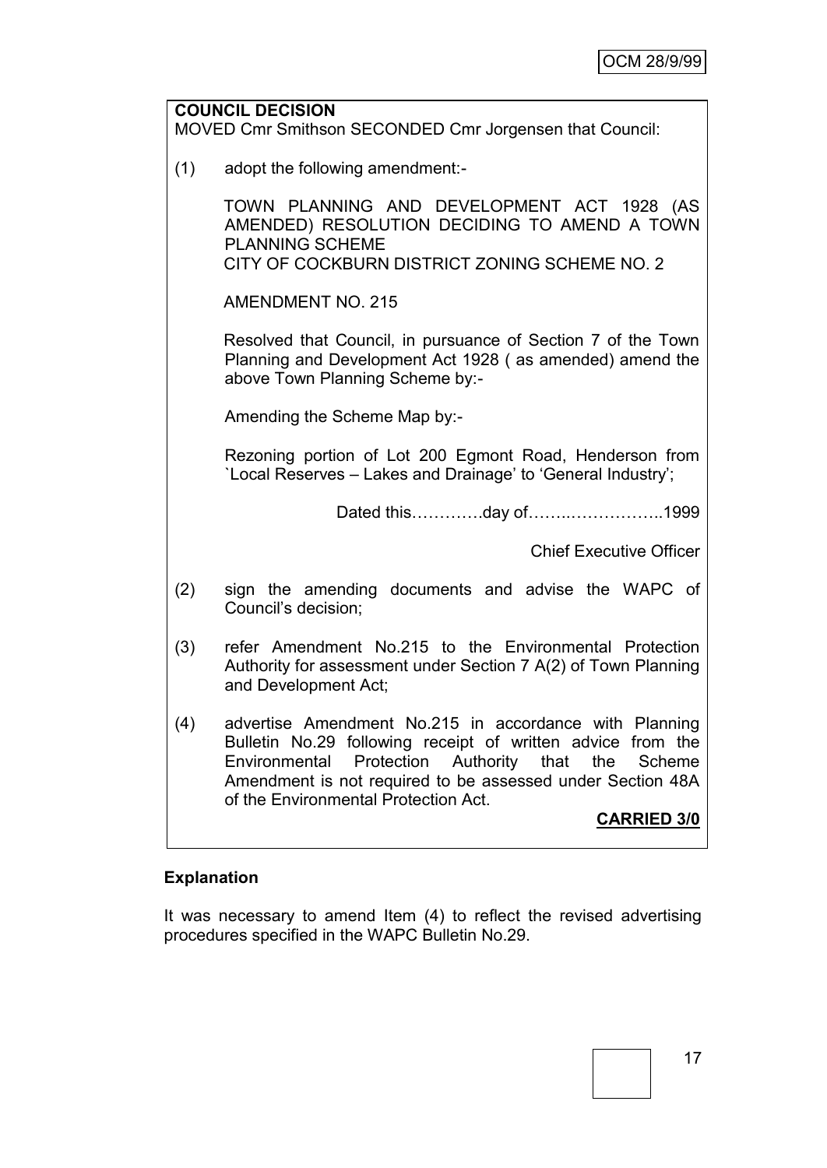|     | <b>COUNCIL DECISION</b><br>MOVED Cmr Smithson SECONDED Cmr Jorgensen that Council:                                                                                                                                                                                                                                     |
|-----|------------------------------------------------------------------------------------------------------------------------------------------------------------------------------------------------------------------------------------------------------------------------------------------------------------------------|
| (1) | adopt the following amendment:-                                                                                                                                                                                                                                                                                        |
|     | TOWN PLANNING AND DEVELOPMENT ACT 1928 (AS<br>AMENDED) RESOLUTION DECIDING TO AMEND A TOWN<br><b>PLANNING SCHEME</b><br>CITY OF COCKBURN DISTRICT ZONING SCHEME NO. 2                                                                                                                                                  |
|     | <b>AMENDMENT NO. 215</b>                                                                                                                                                                                                                                                                                               |
|     | Resolved that Council, in pursuance of Section 7 of the Town<br>Planning and Development Act 1928 (as amended) amend the<br>above Town Planning Scheme by:-                                                                                                                                                            |
|     | Amending the Scheme Map by:-                                                                                                                                                                                                                                                                                           |
|     | Rezoning portion of Lot 200 Egmont Road, Henderson from<br>'Local Reserves - Lakes and Drainage' to 'General Industry';                                                                                                                                                                                                |
|     | Dated thisday of1999                                                                                                                                                                                                                                                                                                   |
|     | <b>Chief Executive Officer</b>                                                                                                                                                                                                                                                                                         |
| (2) | sign the amending documents and advise the WAPC of<br>Council's decision;                                                                                                                                                                                                                                              |
| (3) | refer Amendment No.215 to the Environmental Protection<br>Authority for assessment under Section 7 A(2) of Town Planning<br>and Development Act;                                                                                                                                                                       |
| (4) | advertise Amendment No.215 in accordance with Planning<br>Bulletin No.29 following receipt of written advice from the<br>Protection<br>Authority<br>Environmental<br>that<br>the<br>Scheme<br>Amendment is not required to be assessed under Section 48A<br>of the Environmental Protection Act.<br><b>CARRIED 3/0</b> |

# **Explanation**

It was necessary to amend Item (4) to reflect the revised advertising procedures specified in the WAPC Bulletin No.29.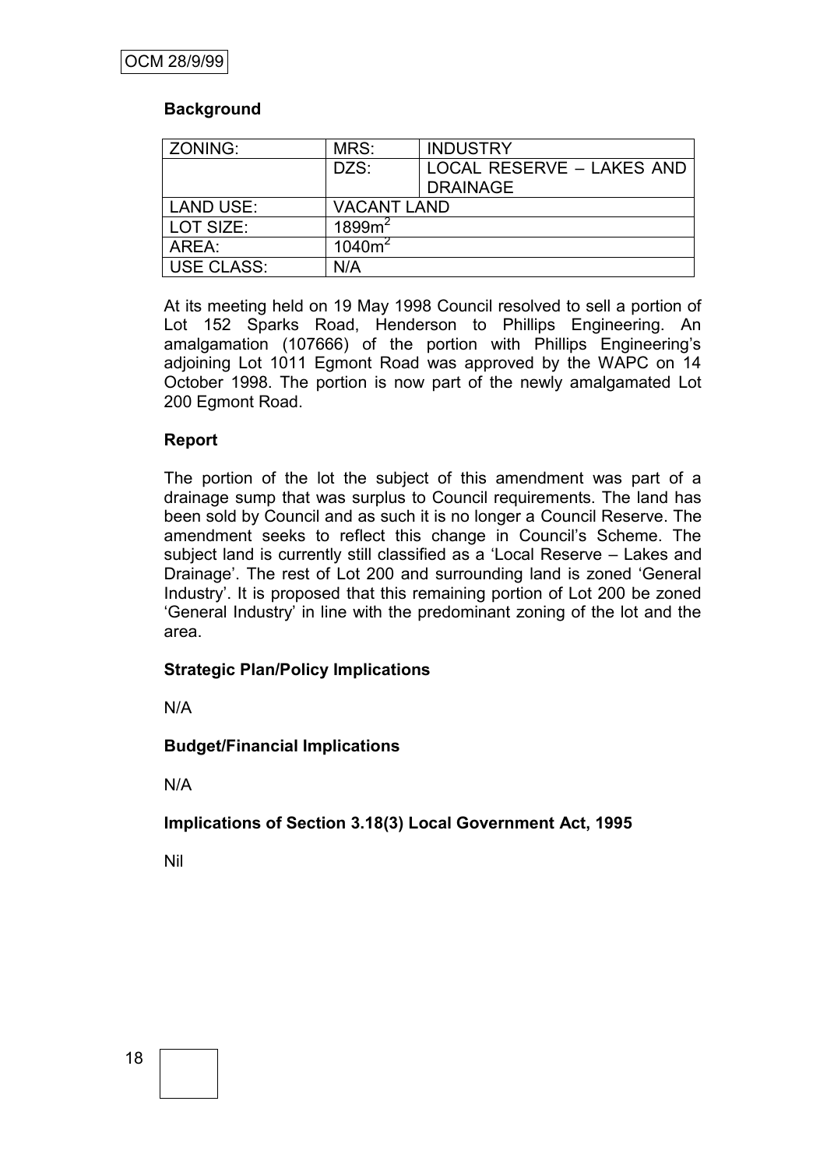#### **Background**

| ZONING:           | MRS:               | <b>INDUSTRY</b>                              |
|-------------------|--------------------|----------------------------------------------|
|                   | DZS:               | LOCAL RESERVE - LAKES AND<br><b>DRAINAGE</b> |
|                   |                    |                                              |
| <b>LAND USE:</b>  | <b>VACANT LAND</b> |                                              |
| LOT SIZE:         | 1899m <sup>2</sup> |                                              |
| AREA:             | $1040m^2$          |                                              |
| <b>USE CLASS:</b> | N/A                |                                              |

At its meeting held on 19 May 1998 Council resolved to sell a portion of Lot 152 Sparks Road, Henderson to Phillips Engineering. An amalgamation (107666) of the portion with Phillips Engineering's adjoining Lot 1011 Egmont Road was approved by the WAPC on 14 October 1998. The portion is now part of the newly amalgamated Lot 200 Egmont Road.

#### **Report**

The portion of the lot the subject of this amendment was part of a drainage sump that was surplus to Council requirements. The land has been sold by Council and as such it is no longer a Council Reserve. The amendment seeks to reflect this change in Council"s Scheme. The subject land is currently still classified as a "Local Reserve – Lakes and Drainage". The rest of Lot 200 and surrounding land is zoned "General Industry". It is proposed that this remaining portion of Lot 200 be zoned "General Industry" in line with the predominant zoning of the lot and the area.

# **Strategic Plan/Policy Implications**

N/A

# **Budget/Financial Implications**

N/A

**Implications of Section 3.18(3) Local Government Act, 1995**

Nil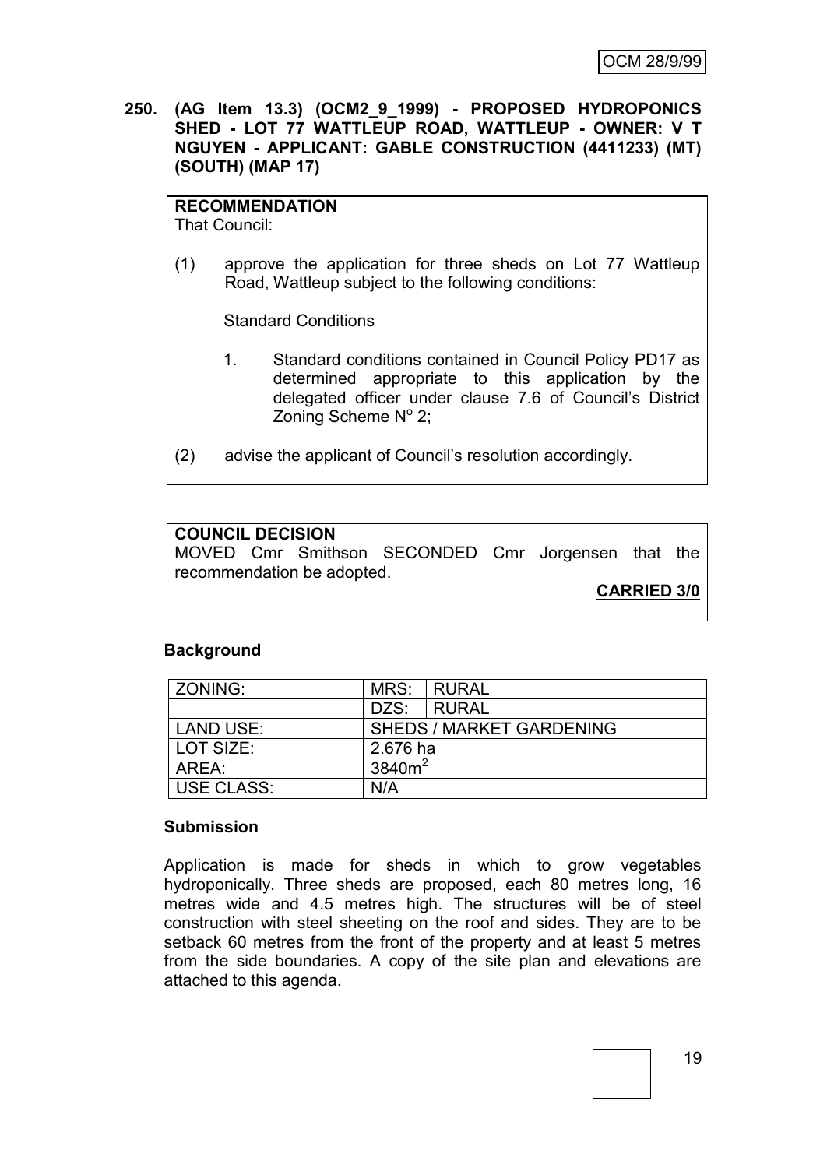**250. (AG Item 13.3) (OCM2\_9\_1999) - PROPOSED HYDROPONICS SHED - LOT 77 WATTLEUP ROAD, WATTLEUP - OWNER: V T NGUYEN - APPLICANT: GABLE CONSTRUCTION (4411233) (MT) (SOUTH) (MAP 17)**

#### **RECOMMENDATION**

That Council:

(1) approve the application for three sheds on Lot 77 Wattleup Road, Wattleup subject to the following conditions:

Standard Conditions

- 1. Standard conditions contained in Council Policy PD17 as determined appropriate to this application by the delegated officer under clause 7.6 of Council"s District Zoning Scheme Nº 2;
- (2) advise the applicant of Council"s resolution accordingly.

#### **COUNCIL DECISION**

MOVED Cmr Smithson SECONDED Cmr Jorgensen that the recommendation be adopted.

**CARRIED 3/0**

#### **Background**

| ZONING:           |                    | MRS: RURAL                      |
|-------------------|--------------------|---------------------------------|
|                   | DZS:               | <b>RURAL</b>                    |
| LAND USE:         |                    | <b>SHEDS / MARKET GARDENING</b> |
| LOT SIZE:         | 2.676 ha           |                                 |
| AREA:             | 3840m <sup>2</sup> |                                 |
| <b>USE CLASS:</b> | N/A                |                                 |

#### **Submission**

Application is made for sheds in which to grow vegetables hydroponically. Three sheds are proposed, each 80 metres long, 16 metres wide and 4.5 metres high. The structures will be of steel construction with steel sheeting on the roof and sides. They are to be setback 60 metres from the front of the property and at least 5 metres from the side boundaries. A copy of the site plan and elevations are attached to this agenda.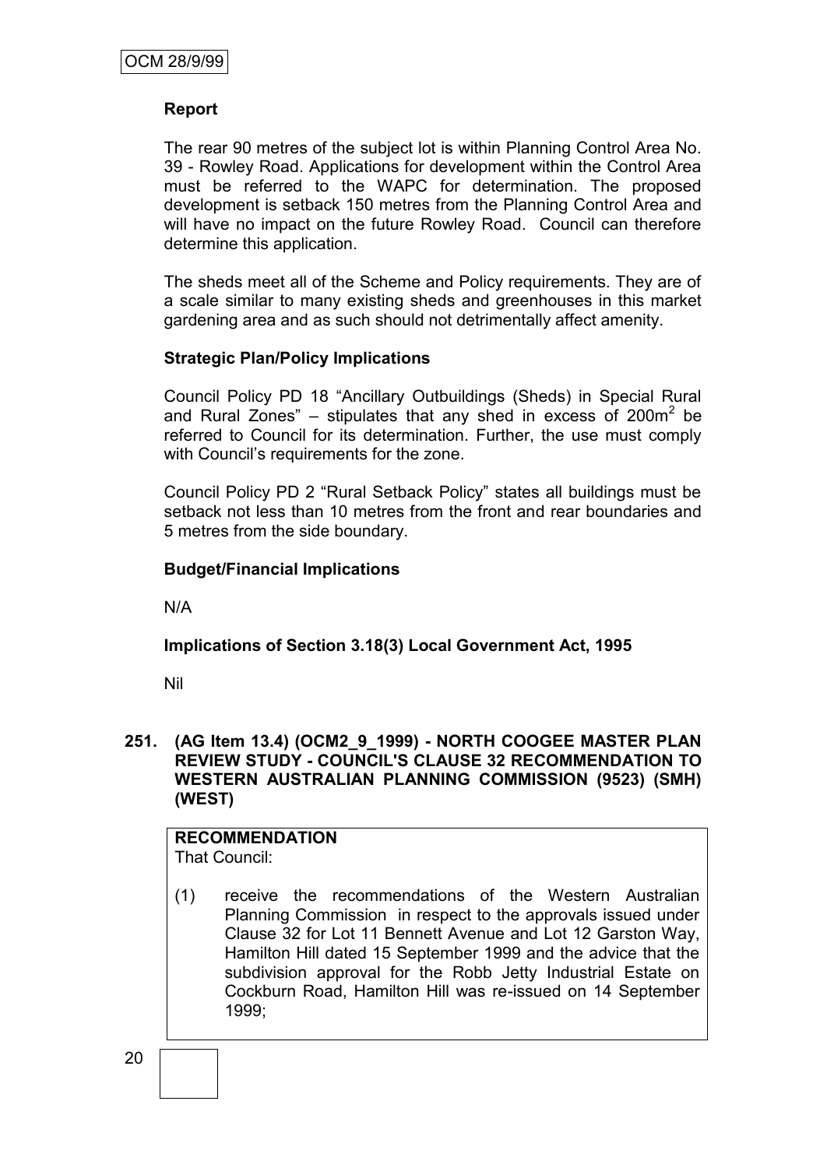## **Report**

The rear 90 metres of the subject lot is within Planning Control Area No. 39 - Rowley Road. Applications for development within the Control Area must be referred to the WAPC for determination. The proposed development is setback 150 metres from the Planning Control Area and will have no impact on the future Rowley Road. Council can therefore determine this application.

The sheds meet all of the Scheme and Policy requirements. They are of a scale similar to many existing sheds and greenhouses in this market gardening area and as such should not detrimentally affect amenity.

#### **Strategic Plan/Policy Implications**

Council Policy PD 18 "Ancillary Outbuildings (Sheds) in Special Rural and Rural Zones"  $-$  stipulates that any shed in excess of 200 $m<sup>2</sup>$  be referred to Council for its determination. Further, the use must comply with Council's requirements for the zone.

Council Policy PD 2 "Rural Setback Policy" states all buildings must be setback not less than 10 metres from the front and rear boundaries and 5 metres from the side boundary.

#### **Budget/Financial Implications**

N/A

#### **Implications of Section 3.18(3) Local Government Act, 1995**

Nil

#### **251. (AG Item 13.4) (OCM2\_9\_1999) - NORTH COOGEE MASTER PLAN REVIEW STUDY - COUNCIL'S CLAUSE 32 RECOMMENDATION TO WESTERN AUSTRALIAN PLANNING COMMISSION (9523) (SMH) (WEST)**

# **RECOMMENDATION**

That Council:

(1) receive the recommendations of the Western Australian Planning Commission in respect to the approvals issued under Clause 32 for Lot 11 Bennett Avenue and Lot 12 Garston Way, Hamilton Hill dated 15 September 1999 and the advice that the subdivision approval for the Robb Jetty Industrial Estate on Cockburn Road, Hamilton Hill was re-issued on 14 September 1999;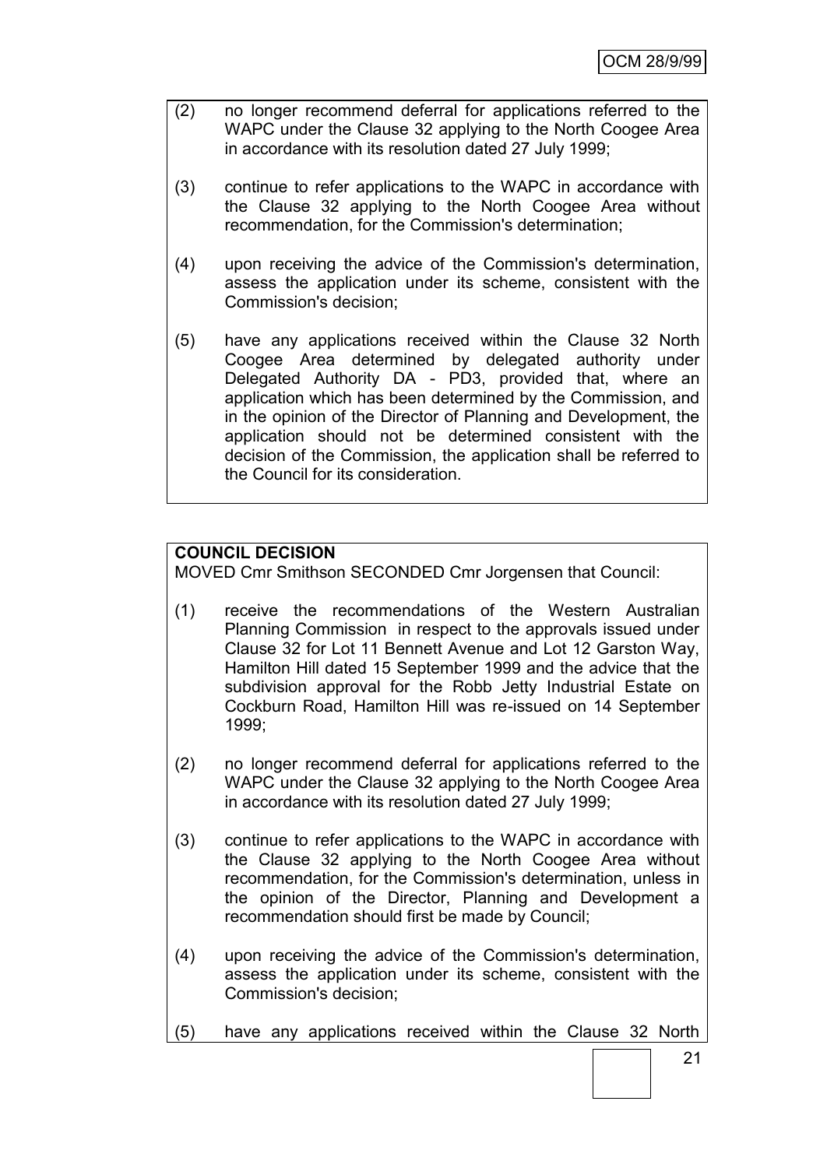- (2) no longer recommend deferral for applications referred to the WAPC under the Clause 32 applying to the North Coogee Area in accordance with its resolution dated 27 July 1999;
- (3) continue to refer applications to the WAPC in accordance with the Clause 32 applying to the North Coogee Area without recommendation, for the Commission's determination;
- (4) upon receiving the advice of the Commission's determination, assess the application under its scheme, consistent with the Commission's decision;
- (5) have any applications received within the Clause 32 North Coogee Area determined by delegated authority under Delegated Authority DA - PD3, provided that, where an application which has been determined by the Commission, and in the opinion of the Director of Planning and Development, the application should not be determined consistent with the decision of the Commission, the application shall be referred to the Council for its consideration.

## **COUNCIL DECISION**

MOVED Cmr Smithson SECONDED Cmr Jorgensen that Council:

- (1) receive the recommendations of the Western Australian Planning Commission in respect to the approvals issued under Clause 32 for Lot 11 Bennett Avenue and Lot 12 Garston Way, Hamilton Hill dated 15 September 1999 and the advice that the subdivision approval for the Robb Jetty Industrial Estate on Cockburn Road, Hamilton Hill was re-issued on 14 September 1999;
- (2) no longer recommend deferral for applications referred to the WAPC under the Clause 32 applying to the North Coogee Area in accordance with its resolution dated 27 July 1999;
- (3) continue to refer applications to the WAPC in accordance with the Clause 32 applying to the North Coogee Area without recommendation, for the Commission's determination, unless in the opinion of the Director, Planning and Development a recommendation should first be made by Council;
- (4) upon receiving the advice of the Commission's determination, assess the application under its scheme, consistent with the Commission's decision;
- (5) have any applications received within the Clause 32 North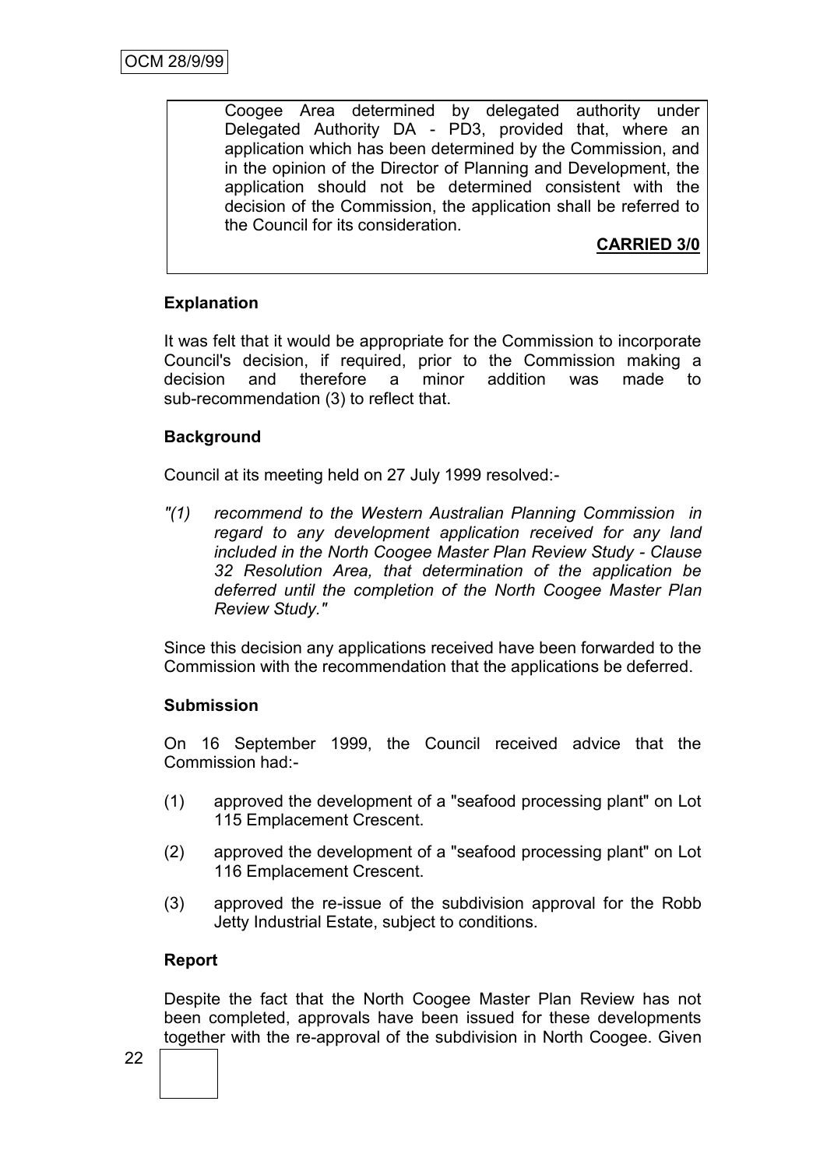Coogee Area determined by delegated authority under Delegated Authority DA - PD3, provided that, where an application which has been determined by the Commission, and in the opinion of the Director of Planning and Development, the application should not be determined consistent with the decision of the Commission, the application shall be referred to the Council for its consideration.

# **CARRIED 3/0**

# **Explanation**

It was felt that it would be appropriate for the Commission to incorporate Council's decision, if required, prior to the Commission making a decision and therefore a minor addition was made to sub-recommendation (3) to reflect that.

# **Background**

Council at its meeting held on 27 July 1999 resolved:-

*"(1) recommend to the Western Australian Planning Commission in regard to any development application received for any land included in the North Coogee Master Plan Review Study - Clause 32 Resolution Area, that determination of the application be deferred until the completion of the North Coogee Master Plan Review Study."*

Since this decision any applications received have been forwarded to the Commission with the recommendation that the applications be deferred.

# **Submission**

On 16 September 1999, the Council received advice that the Commission had:-

- (1) approved the development of a "seafood processing plant" on Lot 115 Emplacement Crescent.
- (2) approved the development of a "seafood processing plant" on Lot 116 Emplacement Crescent.
- (3) approved the re-issue of the subdivision approval for the Robb Jetty Industrial Estate, subject to conditions.

# **Report**

Despite the fact that the North Coogee Master Plan Review has not been completed, approvals have been issued for these developments together with the re-approval of the subdivision in North Coogee. Given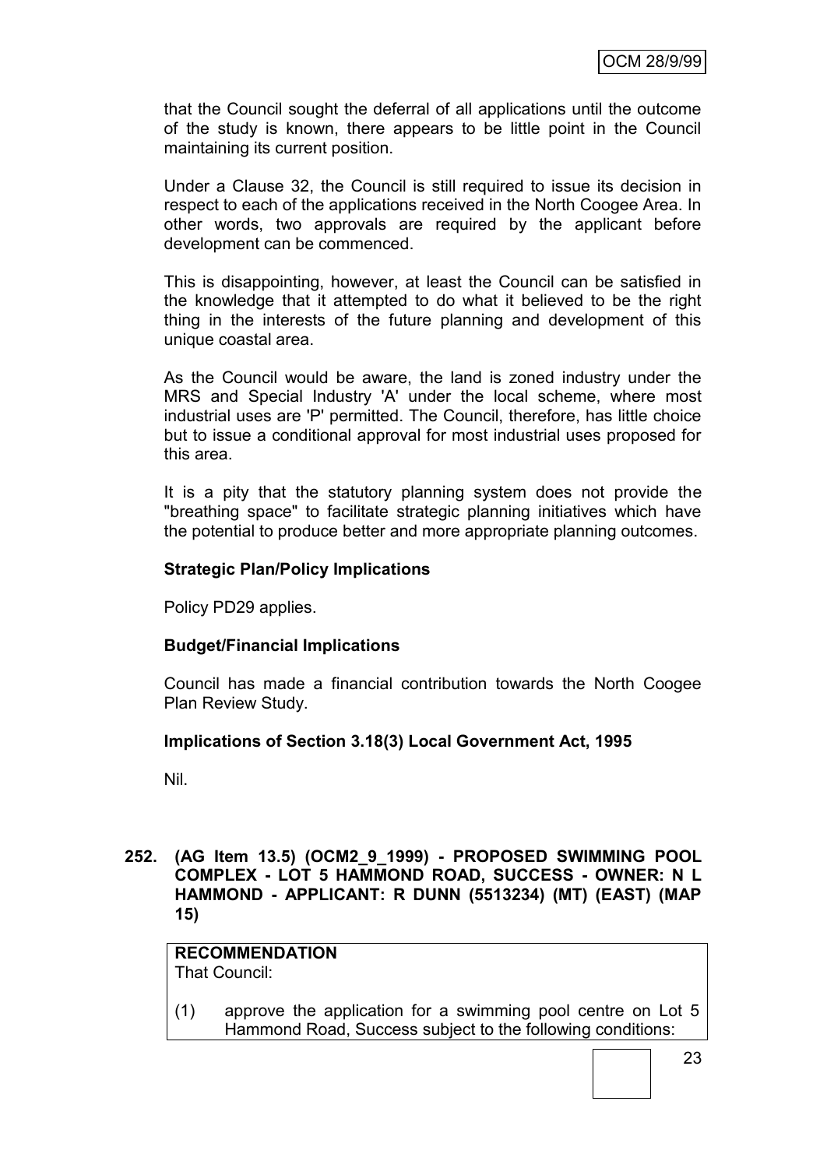that the Council sought the deferral of all applications until the outcome of the study is known, there appears to be little point in the Council maintaining its current position.

Under a Clause 32, the Council is still required to issue its decision in respect to each of the applications received in the North Coogee Area. In other words, two approvals are required by the applicant before development can be commenced.

This is disappointing, however, at least the Council can be satisfied in the knowledge that it attempted to do what it believed to be the right thing in the interests of the future planning and development of this unique coastal area.

As the Council would be aware, the land is zoned industry under the MRS and Special Industry 'A' under the local scheme, where most industrial uses are 'P' permitted. The Council, therefore, has little choice but to issue a conditional approval for most industrial uses proposed for this area.

It is a pity that the statutory planning system does not provide the "breathing space" to facilitate strategic planning initiatives which have the potential to produce better and more appropriate planning outcomes.

#### **Strategic Plan/Policy Implications**

Policy PD29 applies.

#### **Budget/Financial Implications**

Council has made a financial contribution towards the North Coogee Plan Review Study.

#### **Implications of Section 3.18(3) Local Government Act, 1995**

Nil.

#### **252. (AG Item 13.5) (OCM2\_9\_1999) - PROPOSED SWIMMING POOL COMPLEX - LOT 5 HAMMOND ROAD, SUCCESS - OWNER: N L HAMMOND - APPLICANT: R DUNN (5513234) (MT) (EAST) (MAP 15)**

**RECOMMENDATION** That Council:

(1) approve the application for a swimming pool centre on Lot 5 Hammond Road, Success subject to the following conditions: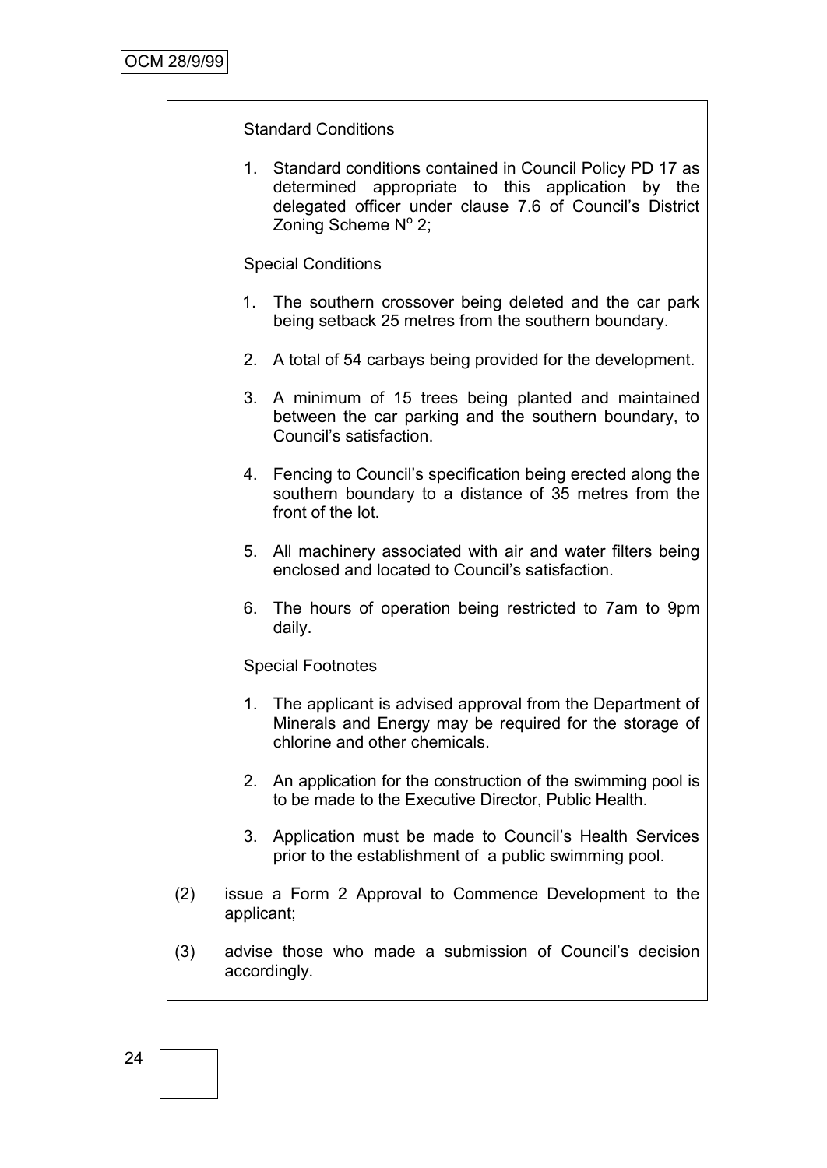#### Standard Conditions

1. Standard conditions contained in Council Policy PD 17 as determined appropriate to this application by the delegated officer under clause 7.6 of Council"s District Zoning Scheme Nº 2;

#### Special Conditions

- 1. The southern crossover being deleted and the car park being setback 25 metres from the southern boundary.
- 2. A total of 54 carbays being provided for the development.
- 3. A minimum of 15 trees being planted and maintained between the car parking and the southern boundary, to Council"s satisfaction.
- 4. Fencing to Council"s specification being erected along the southern boundary to a distance of 35 metres from the front of the lot.
- 5. All machinery associated with air and water filters being enclosed and located to Council"s satisfaction.
- 6. The hours of operation being restricted to 7am to 9pm daily.

#### Special Footnotes

- 1. The applicant is advised approval from the Department of Minerals and Energy may be required for the storage of chlorine and other chemicals.
- 2. An application for the construction of the swimming pool is to be made to the Executive Director, Public Health.
- 3. Application must be made to Council"s Health Services prior to the establishment of a public swimming pool.
- (2) issue a Form 2 Approval to Commence Development to the applicant;
- (3) advise those who made a submission of Council"s decision accordingly.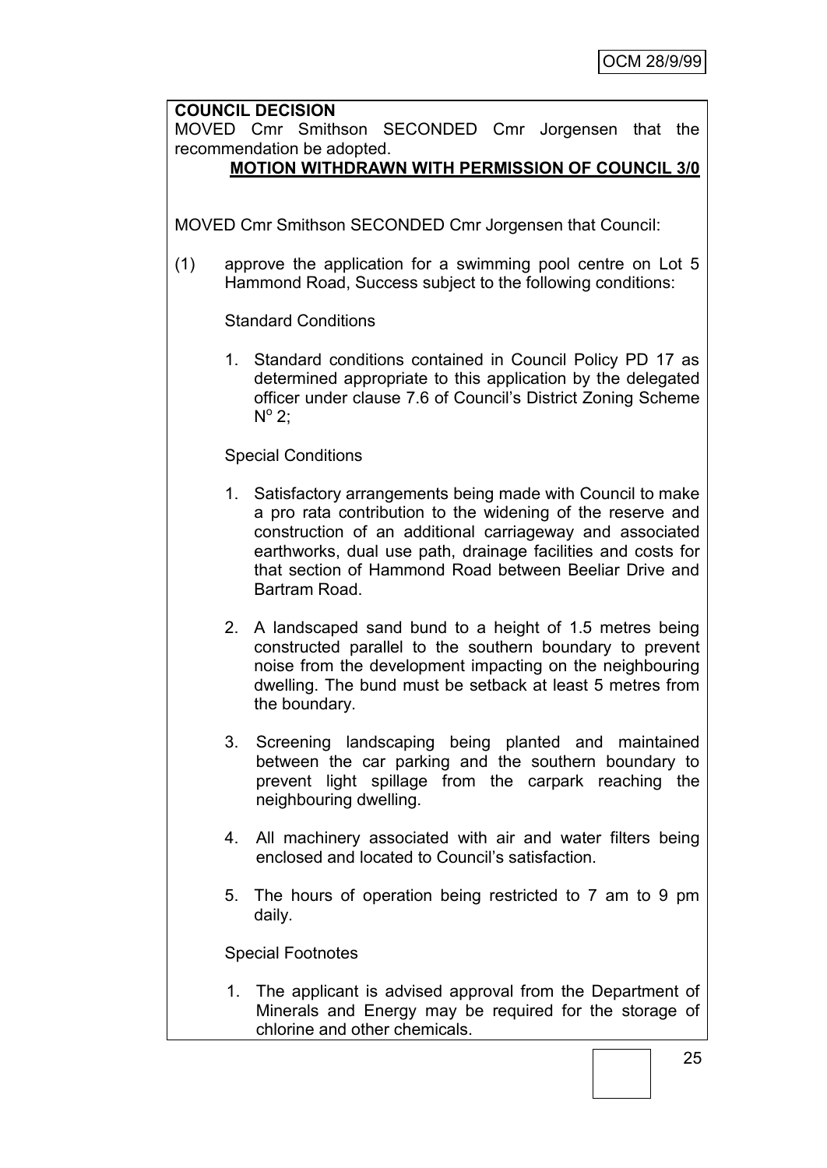#### **COUNCIL DECISION**

MOVED Cmr Smithson SECONDED Cmr Jorgensen that the recommendation be adopted.

# **MOTION WITHDRAWN WITH PERMISSION OF COUNCIL 3/0**

MOVED Cmr Smithson SECONDED Cmr Jorgensen that Council:

(1) approve the application for a swimming pool centre on Lot 5 Hammond Road, Success subject to the following conditions:

Standard Conditions

1. Standard conditions contained in Council Policy PD 17 as determined appropriate to this application by the delegated officer under clause 7.6 of Council"s District Zoning Scheme  $N^{\circ}$  2;

## Special Conditions

- 1. Satisfactory arrangements being made with Council to make a pro rata contribution to the widening of the reserve and construction of an additional carriageway and associated earthworks, dual use path, drainage facilities and costs for that section of Hammond Road between Beeliar Drive and Bartram Road.
- 2. A landscaped sand bund to a height of 1.5 metres being constructed parallel to the southern boundary to prevent noise from the development impacting on the neighbouring dwelling. The bund must be setback at least 5 metres from the boundary.
- 3. Screening landscaping being planted and maintained between the car parking and the southern boundary to prevent light spillage from the carpark reaching the neighbouring dwelling.
- 4. All machinery associated with air and water filters being enclosed and located to Council"s satisfaction.
- 5. The hours of operation being restricted to 7 am to 9 pm daily.

Special Footnotes

1. The applicant is advised approval from the Department of Minerals and Energy may be required for the storage of chlorine and other chemicals.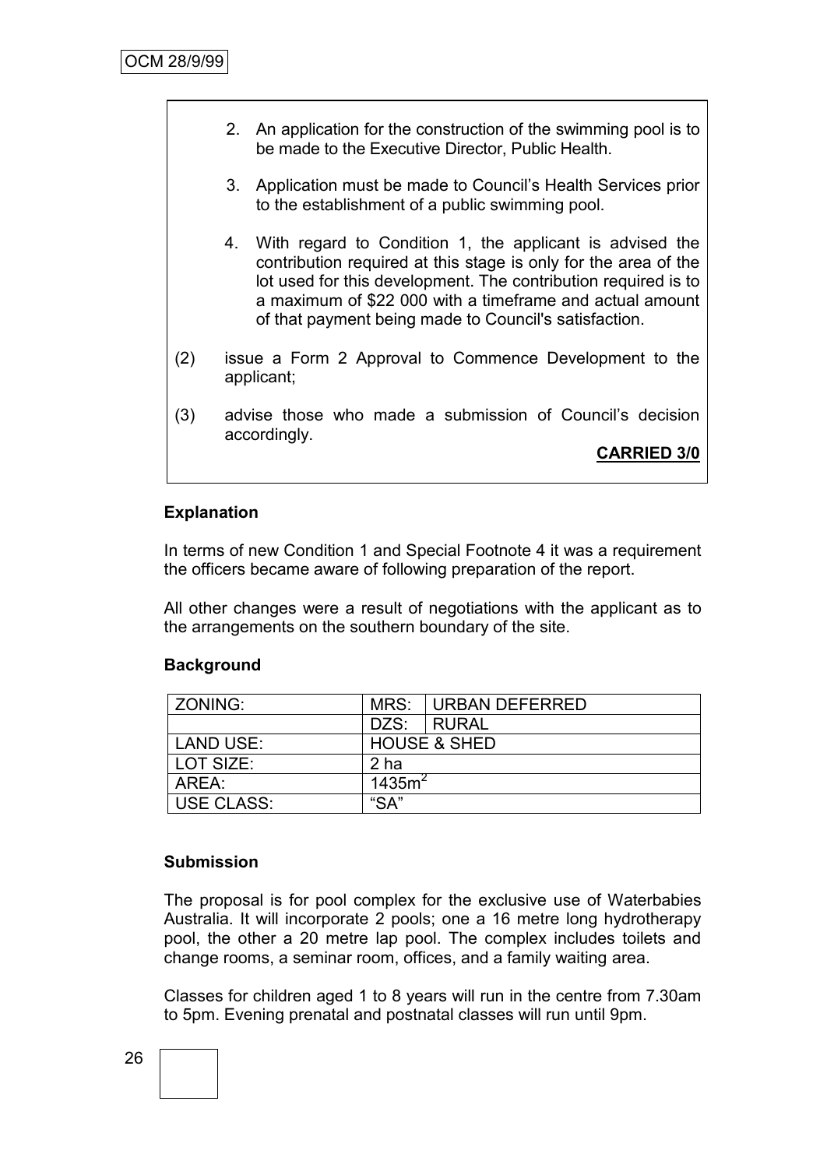- 2. An application for the construction of the swimming pool is to be made to the Executive Director, Public Health.
- 3. Application must be made to Council"s Health Services prior to the establishment of a public swimming pool.
- 4. With regard to Condition 1, the applicant is advised the contribution required at this stage is only for the area of the lot used for this development. The contribution required is to a maximum of \$22 000 with a timeframe and actual amount of that payment being made to Council's satisfaction.
- (2) issue a Form 2 Approval to Commence Development to the applicant;
- (3) advise those who made a submission of Council"s decision accordingly.

**CARRIED 3/0**

#### **Explanation**

In terms of new Condition 1 and Special Footnote 4 it was a requirement the officers became aware of following preparation of the report.

All other changes were a result of negotiations with the applicant as to the arrangements on the southern boundary of the site.

#### **Background**

| ZONING:           |           | MRS: URBAN DEFERRED     |
|-------------------|-----------|-------------------------|
|                   | DZS:      | I RURAL                 |
| <b>LAND USE:</b>  |           | <b>HOUSE &amp; SHED</b> |
| LOT SIZE:         | 2 ha      |                         |
| AREA:             | 1435 $m2$ |                         |
| <b>USE CLASS:</b> | "SA"      |                         |

#### **Submission**

The proposal is for pool complex for the exclusive use of Waterbabies Australia. It will incorporate 2 pools; one a 16 metre long hydrotherapy pool, the other a 20 metre lap pool. The complex includes toilets and change rooms, a seminar room, offices, and a family waiting area.

Classes for children aged 1 to 8 years will run in the centre from 7.30am to 5pm. Evening prenatal and postnatal classes will run until 9pm.

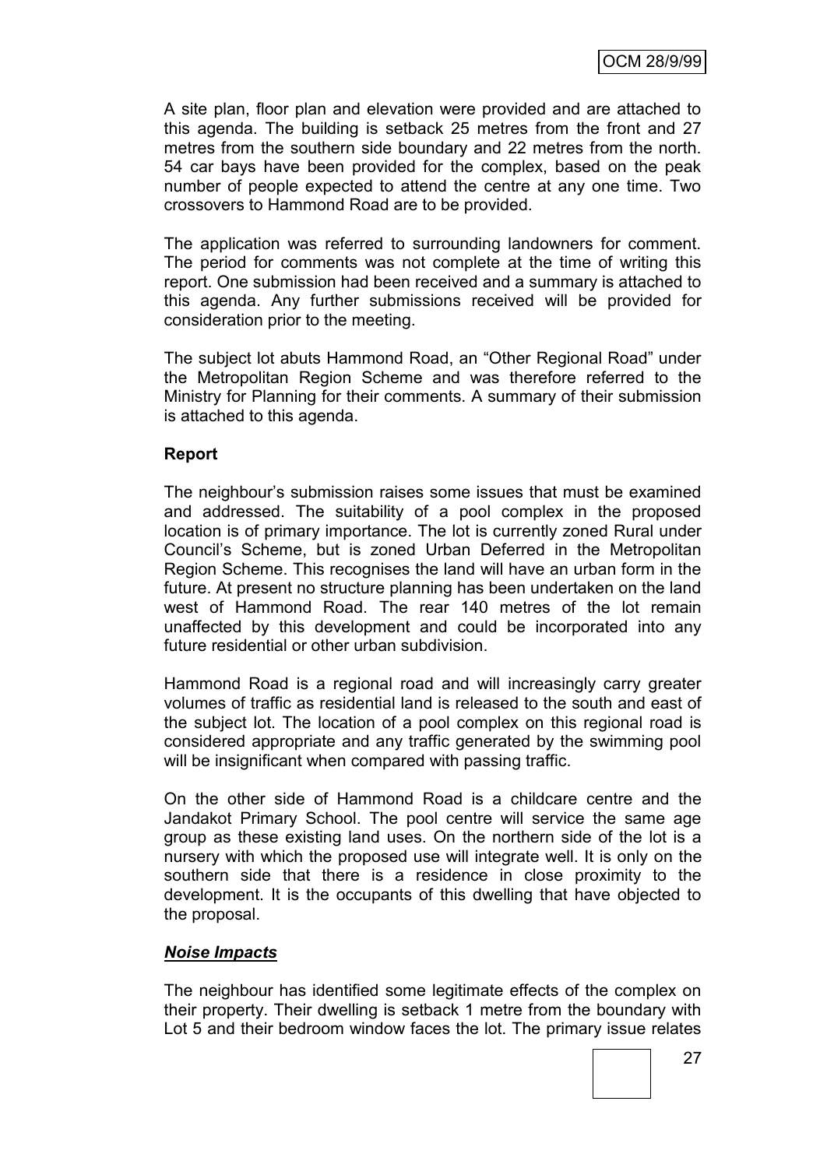A site plan, floor plan and elevation were provided and are attached to this agenda. The building is setback 25 metres from the front and 27 metres from the southern side boundary and 22 metres from the north. 54 car bays have been provided for the complex, based on the peak number of people expected to attend the centre at any one time. Two crossovers to Hammond Road are to be provided.

The application was referred to surrounding landowners for comment. The period for comments was not complete at the time of writing this report. One submission had been received and a summary is attached to this agenda. Any further submissions received will be provided for consideration prior to the meeting.

The subject lot abuts Hammond Road, an "Other Regional Road" under the Metropolitan Region Scheme and was therefore referred to the Ministry for Planning for their comments. A summary of their submission is attached to this agenda.

#### **Report**

The neighbour"s submission raises some issues that must be examined and addressed. The suitability of a pool complex in the proposed location is of primary importance. The lot is currently zoned Rural under Council"s Scheme, but is zoned Urban Deferred in the Metropolitan Region Scheme. This recognises the land will have an urban form in the future. At present no structure planning has been undertaken on the land west of Hammond Road. The rear 140 metres of the lot remain unaffected by this development and could be incorporated into any future residential or other urban subdivision.

Hammond Road is a regional road and will increasingly carry greater volumes of traffic as residential land is released to the south and east of the subject lot. The location of a pool complex on this regional road is considered appropriate and any traffic generated by the swimming pool will be insignificant when compared with passing traffic.

On the other side of Hammond Road is a childcare centre and the Jandakot Primary School. The pool centre will service the same age group as these existing land uses. On the northern side of the lot is a nursery with which the proposed use will integrate well. It is only on the southern side that there is a residence in close proximity to the development. It is the occupants of this dwelling that have objected to the proposal.

#### *Noise Impacts*

The neighbour has identified some legitimate effects of the complex on their property. Their dwelling is setback 1 metre from the boundary with Lot 5 and their bedroom window faces the lot. The primary issue relates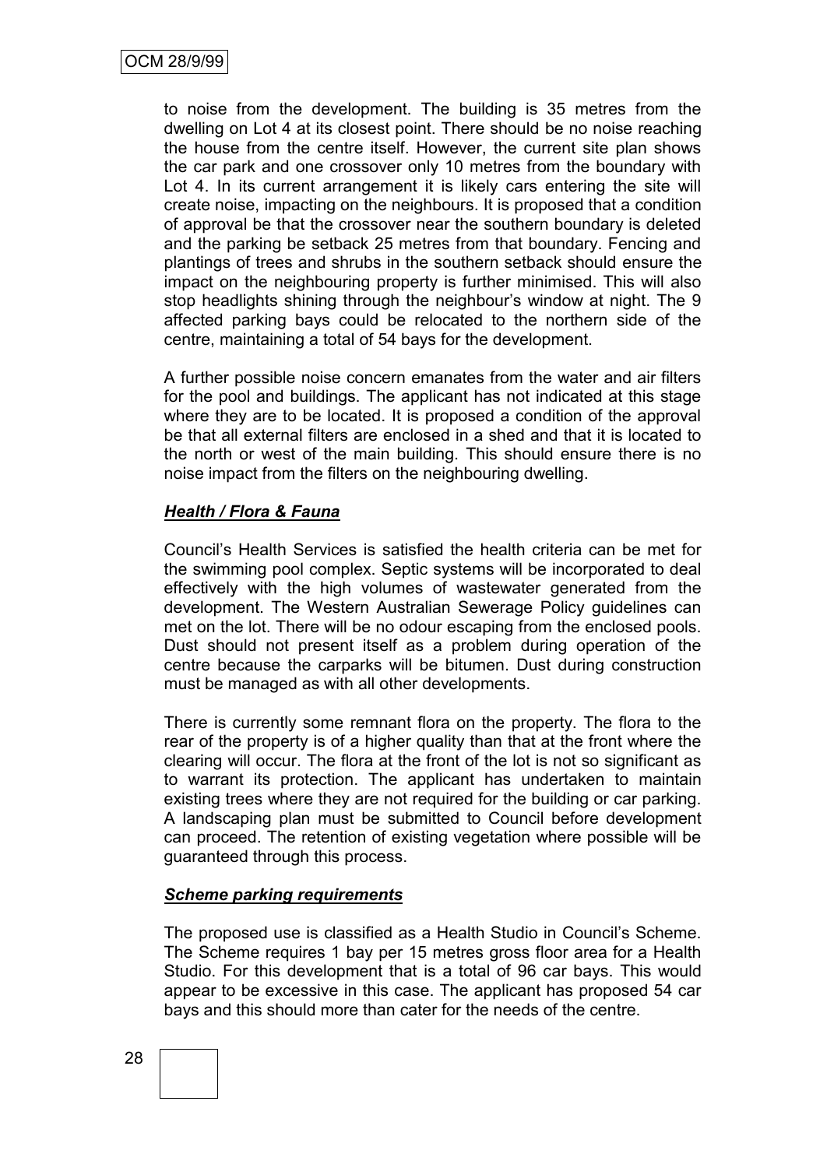to noise from the development. The building is 35 metres from the dwelling on Lot 4 at its closest point. There should be no noise reaching the house from the centre itself. However, the current site plan shows the car park and one crossover only 10 metres from the boundary with Lot 4. In its current arrangement it is likely cars entering the site will create noise, impacting on the neighbours. It is proposed that a condition of approval be that the crossover near the southern boundary is deleted and the parking be setback 25 metres from that boundary. Fencing and plantings of trees and shrubs in the southern setback should ensure the impact on the neighbouring property is further minimised. This will also stop headlights shining through the neighbour"s window at night. The 9 affected parking bays could be relocated to the northern side of the centre, maintaining a total of 54 bays for the development.

A further possible noise concern emanates from the water and air filters for the pool and buildings. The applicant has not indicated at this stage where they are to be located. It is proposed a condition of the approval be that all external filters are enclosed in a shed and that it is located to the north or west of the main building. This should ensure there is no noise impact from the filters on the neighbouring dwelling.

#### *Health / Flora & Fauna*

Council"s Health Services is satisfied the health criteria can be met for the swimming pool complex. Septic systems will be incorporated to deal effectively with the high volumes of wastewater generated from the development. The Western Australian Sewerage Policy guidelines can met on the lot. There will be no odour escaping from the enclosed pools. Dust should not present itself as a problem during operation of the centre because the carparks will be bitumen. Dust during construction must be managed as with all other developments.

There is currently some remnant flora on the property. The flora to the rear of the property is of a higher quality than that at the front where the clearing will occur. The flora at the front of the lot is not so significant as to warrant its protection. The applicant has undertaken to maintain existing trees where they are not required for the building or car parking. A landscaping plan must be submitted to Council before development can proceed. The retention of existing vegetation where possible will be guaranteed through this process.

#### *Scheme parking requirements*

The proposed use is classified as a Health Studio in Council"s Scheme. The Scheme requires 1 bay per 15 metres gross floor area for a Health Studio. For this development that is a total of 96 car bays. This would appear to be excessive in this case. The applicant has proposed 54 car bays and this should more than cater for the needs of the centre.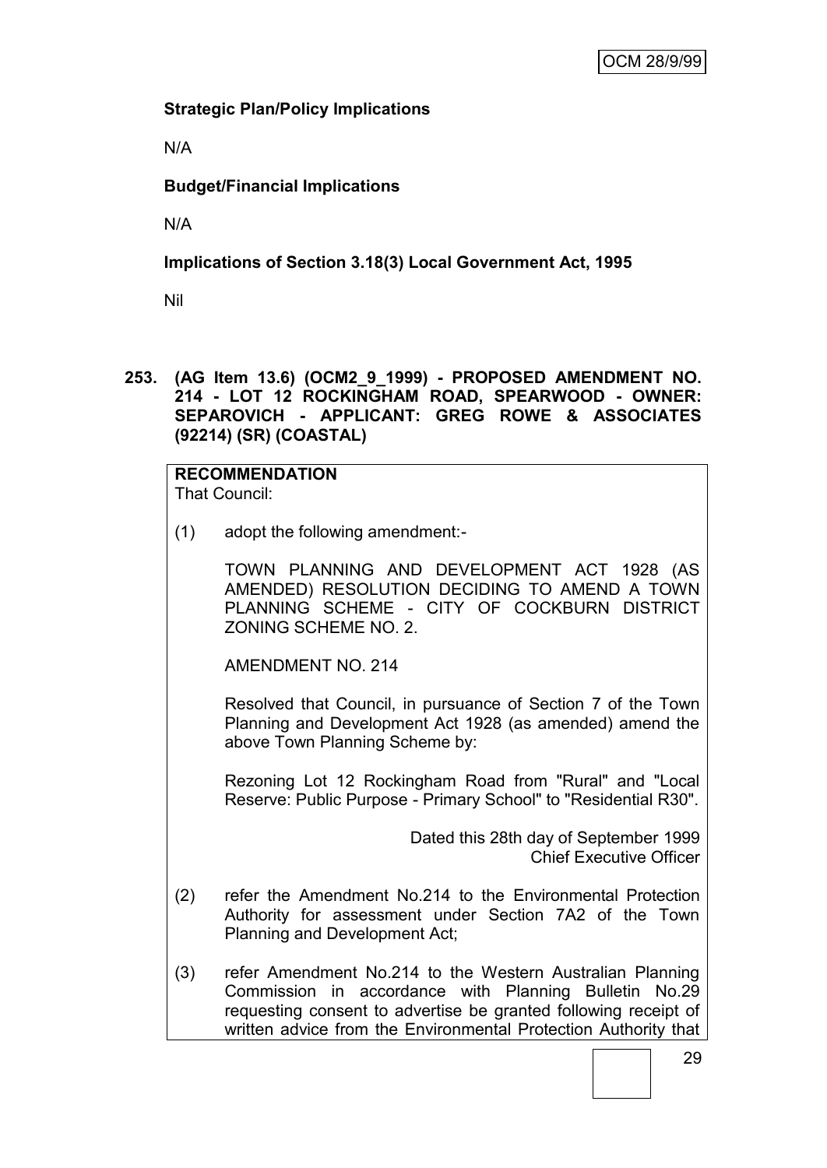# **Strategic Plan/Policy Implications**

N/A

# **Budget/Financial Implications**

N/A

# **Implications of Section 3.18(3) Local Government Act, 1995**

Nil

**253. (AG Item 13.6) (OCM2\_9\_1999) - PROPOSED AMENDMENT NO. 214 - LOT 12 ROCKINGHAM ROAD, SPEARWOOD - OWNER: SEPAROVICH - APPLICANT: GREG ROWE & ASSOCIATES (92214) (SR) (COASTAL)**

#### **RECOMMENDATION** That Council:

(1) adopt the following amendment:-

TOWN PLANNING AND DEVELOPMENT ACT 1928 (AS AMENDED) RESOLUTION DECIDING TO AMEND A TOWN PLANNING SCHEME - CITY OF COCKBURN DISTRICT ZONING SCHEME NO. 2.

AMENDMENT NO. 214

Resolved that Council, in pursuance of Section 7 of the Town Planning and Development Act 1928 (as amended) amend the above Town Planning Scheme by:

Rezoning Lot 12 Rockingham Road from "Rural" and "Local Reserve: Public Purpose - Primary School" to "Residential R30".

> Dated this 28th day of September 1999 Chief Executive Officer

- (2) refer the Amendment No.214 to the Environmental Protection Authority for assessment under Section 7A2 of the Town Planning and Development Act;
- (3) refer Amendment No.214 to the Western Australian Planning Commission in accordance with Planning Bulletin No.29 requesting consent to advertise be granted following receipt of written advice from the Environmental Protection Authority that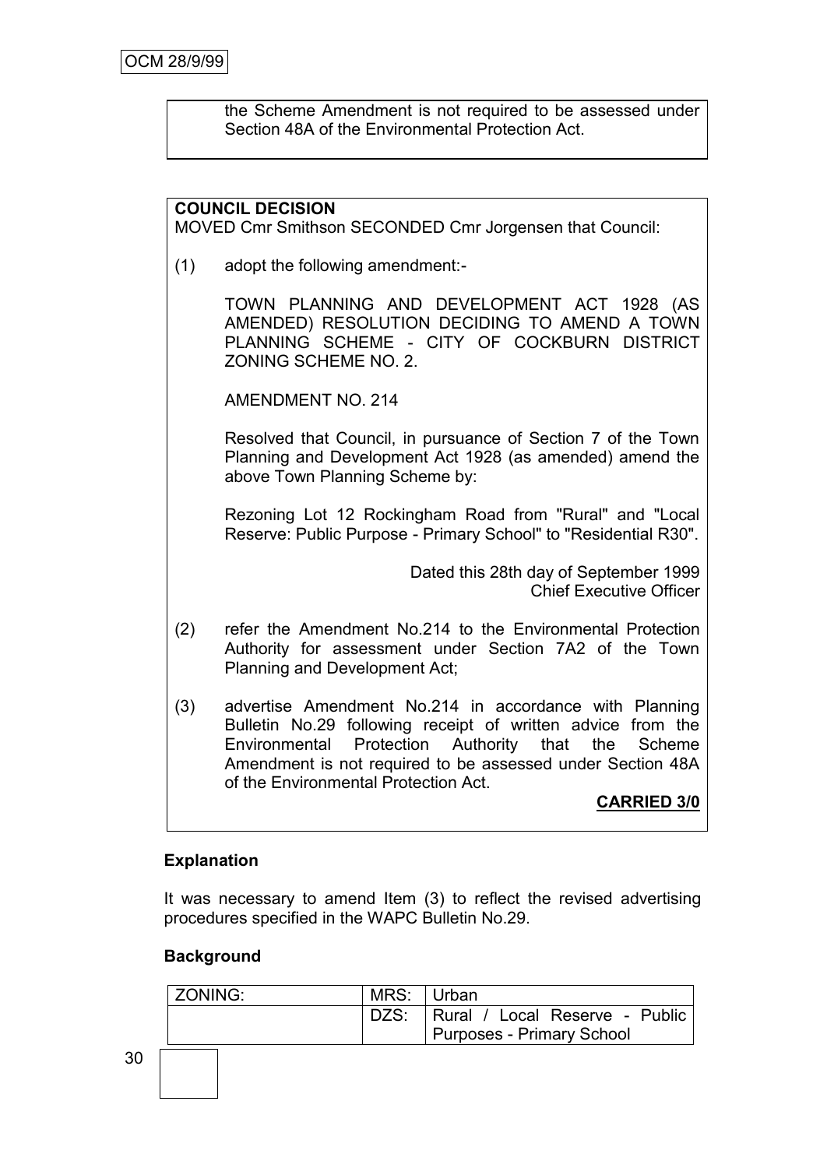the Scheme Amendment is not required to be assessed under Section 48A of the Environmental Protection Act.

#### **COUNCIL DECISION**

MOVED Cmr Smithson SECONDED Cmr Jorgensen that Council:

(1) adopt the following amendment:-

TOWN PLANNING AND DEVELOPMENT ACT 1928 (AS AMENDED) RESOLUTION DECIDING TO AMEND A TOWN PLANNING SCHEME - CITY OF COCKBURN DISTRICT ZONING SCHEME NO. 2.

AMENDMENT NO. 214

Resolved that Council, in pursuance of Section 7 of the Town Planning and Development Act 1928 (as amended) amend the above Town Planning Scheme by:

Rezoning Lot 12 Rockingham Road from "Rural" and "Local Reserve: Public Purpose - Primary School" to "Residential R30".

> Dated this 28th day of September 1999 Chief Executive Officer

- (2) refer the Amendment No.214 to the Environmental Protection Authority for assessment under Section 7A2 of the Town Planning and Development Act;
- (3) advertise Amendment No.214 in accordance with Planning Bulletin No.29 following receipt of written advice from the Environmental Protection Authority that the Scheme Amendment is not required to be assessed under Section 48A of the Environmental Protection Act.

**CARRIED 3/0**

#### **Explanation**

It was necessary to amend Item (3) to reflect the revised advertising procedures specified in the WAPC Bulletin No.29.

#### **Background**

| ZONING: | MRS: Urban |                                       |
|---------|------------|---------------------------------------|
|         |            | DZS:   Rural / Local Reserve - Public |
|         |            | <b>Purposes - Primary School</b>      |
|         |            |                                       |
|         |            |                                       |
|         |            |                                       |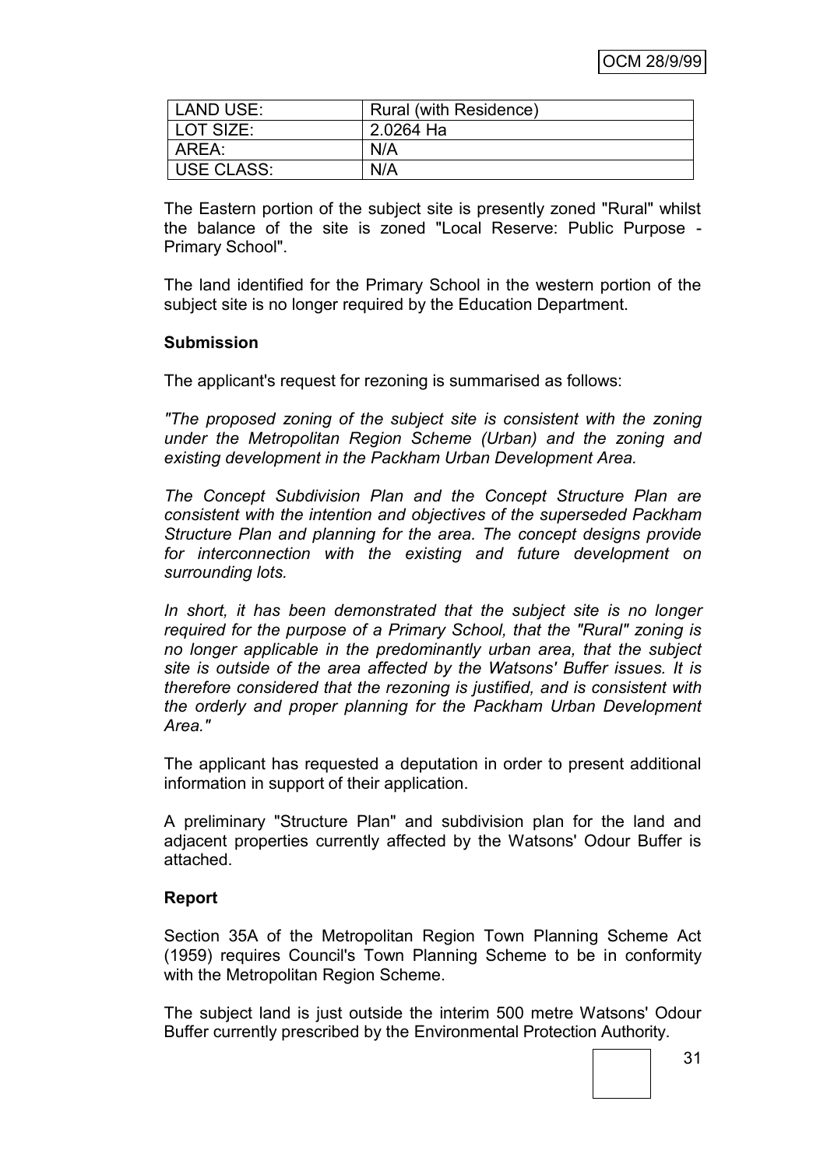| LAND USE:  | Rural (with Residence) |
|------------|------------------------|
| LOT SIZE:  | 2.0264 Ha              |
| AREA:      | N/A                    |
| USE CLASS: | N/A                    |

The Eastern portion of the subject site is presently zoned "Rural" whilst the balance of the site is zoned "Local Reserve: Public Purpose - Primary School".

The land identified for the Primary School in the western portion of the subject site is no longer required by the Education Department.

#### **Submission**

The applicant's request for rezoning is summarised as follows:

*"The proposed zoning of the subject site is consistent with the zoning under the Metropolitan Region Scheme (Urban) and the zoning and existing development in the Packham Urban Development Area.*

*The Concept Subdivision Plan and the Concept Structure Plan are consistent with the intention and objectives of the superseded Packham Structure Plan and planning for the area. The concept designs provide for interconnection with the existing and future development on surrounding lots.*

*In short, it has been demonstrated that the subject site is no longer required for the purpose of a Primary School, that the "Rural" zoning is no longer applicable in the predominantly urban area, that the subject site is outside of the area affected by the Watsons' Buffer issues. It is therefore considered that the rezoning is justified, and is consistent with the orderly and proper planning for the Packham Urban Development Area."*

The applicant has requested a deputation in order to present additional information in support of their application.

A preliminary "Structure Plan" and subdivision plan for the land and adjacent properties currently affected by the Watsons' Odour Buffer is attached.

#### **Report**

Section 35A of the Metropolitan Region Town Planning Scheme Act (1959) requires Council's Town Planning Scheme to be in conformity with the Metropolitan Region Scheme.

The subject land is just outside the interim 500 metre Watsons' Odour Buffer currently prescribed by the Environmental Protection Authority.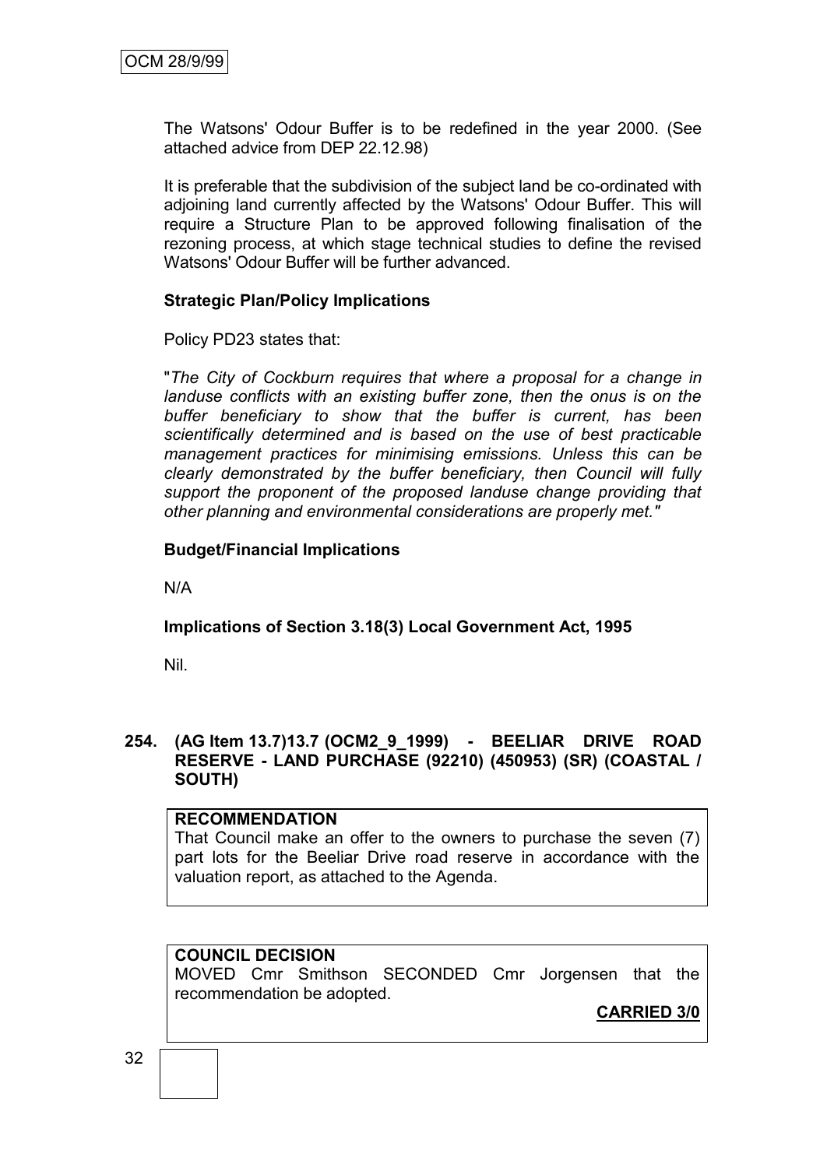The Watsons' Odour Buffer is to be redefined in the year 2000. (See attached advice from DEP 22.12.98)

It is preferable that the subdivision of the subject land be co-ordinated with adjoining land currently affected by the Watsons' Odour Buffer. This will require a Structure Plan to be approved following finalisation of the rezoning process, at which stage technical studies to define the revised Watsons' Odour Buffer will be further advanced.

## **Strategic Plan/Policy Implications**

Policy PD23 states that:

"*The City of Cockburn requires that where a proposal for a change in landuse conflicts with an existing buffer zone, then the onus is on the buffer beneficiary to show that the buffer is current, has been scientifically determined and is based on the use of best practicable management practices for minimising emissions. Unless this can be clearly demonstrated by the buffer beneficiary, then Council will fully support the proponent of the proposed landuse change providing that other planning and environmental considerations are properly met."*

## **Budget/Financial Implications**

N/A

# **Implications of Section 3.18(3) Local Government Act, 1995**

Nil.

#### **254. (AG Item 13.7)13.7 (OCM2\_9\_1999) - BEELIAR DRIVE ROAD RESERVE - LAND PURCHASE (92210) (450953) (SR) (COASTAL / SOUTH)**

#### **RECOMMENDATION**

That Council make an offer to the owners to purchase the seven (7) part lots for the Beeliar Drive road reserve in accordance with the valuation report, as attached to the Agenda.

# **COUNCIL DECISION**

MOVED Cmr Smithson SECONDED Cmr Jorgensen that the recommendation be adopted.

**CARRIED 3/0**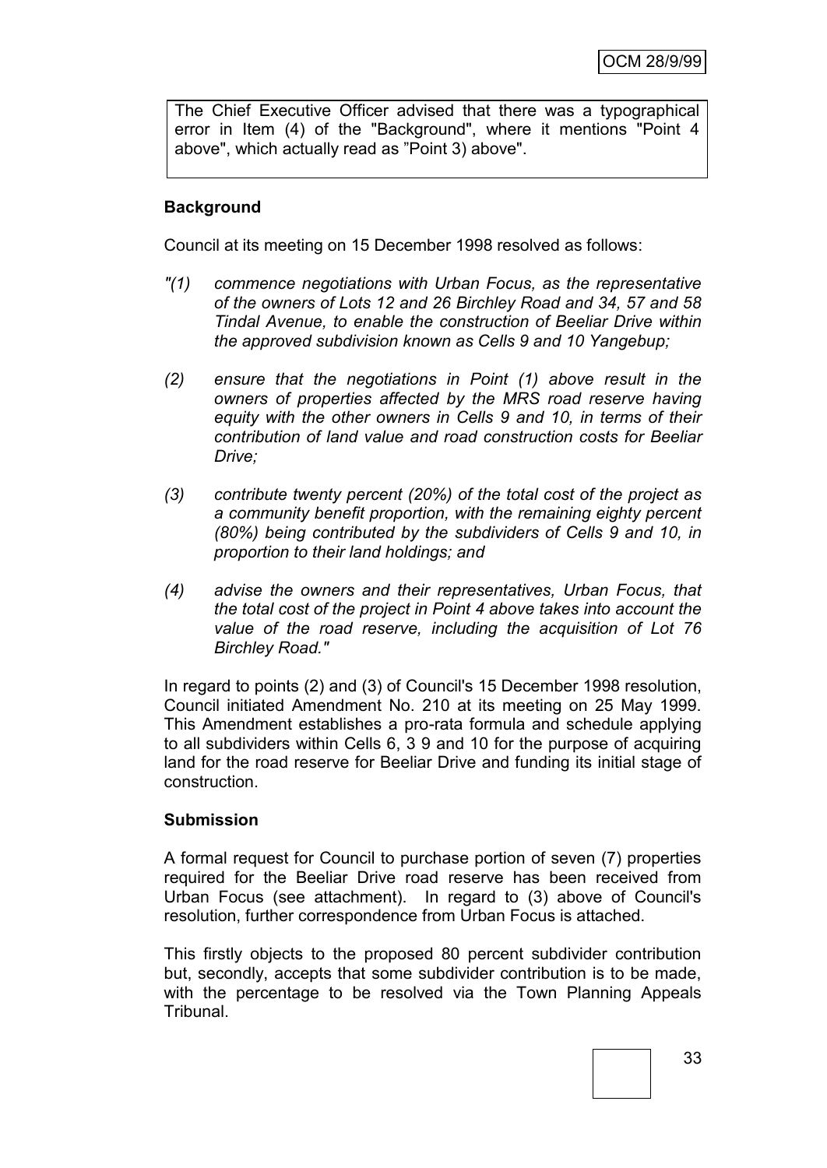The Chief Executive Officer advised that there was a typographical error in Item (4) of the "Background", where it mentions "Point 4 above", which actually read as "Point 3) above".

# **Background**

Council at its meeting on 15 December 1998 resolved as follows:

- *"(1) commence negotiations with Urban Focus, as the representative of the owners of Lots 12 and 26 Birchley Road and 34, 57 and 58 Tindal Avenue, to enable the construction of Beeliar Drive within the approved subdivision known as Cells 9 and 10 Yangebup;*
- *(2) ensure that the negotiations in Point (1) above result in the owners of properties affected by the MRS road reserve having equity with the other owners in Cells 9 and 10, in terms of their contribution of land value and road construction costs for Beeliar Drive;*
- *(3) contribute twenty percent (20%) of the total cost of the project as a community benefit proportion, with the remaining eighty percent (80%) being contributed by the subdividers of Cells 9 and 10, in proportion to their land holdings; and*
- *(4) advise the owners and their representatives, Urban Focus, that the total cost of the project in Point 4 above takes into account the value of the road reserve, including the acquisition of Lot 76 Birchley Road."*

In regard to points (2) and (3) of Council's 15 December 1998 resolution, Council initiated Amendment No. 210 at its meeting on 25 May 1999. This Amendment establishes a pro-rata formula and schedule applying to all subdividers within Cells 6, 3 9 and 10 for the purpose of acquiring land for the road reserve for Beeliar Drive and funding its initial stage of construction.

#### **Submission**

A formal request for Council to purchase portion of seven (7) properties required for the Beeliar Drive road reserve has been received from Urban Focus (see attachment). In regard to (3) above of Council's resolution, further correspondence from Urban Focus is attached.

This firstly objects to the proposed 80 percent subdivider contribution but, secondly, accepts that some subdivider contribution is to be made, with the percentage to be resolved via the Town Planning Appeals **Tribunal**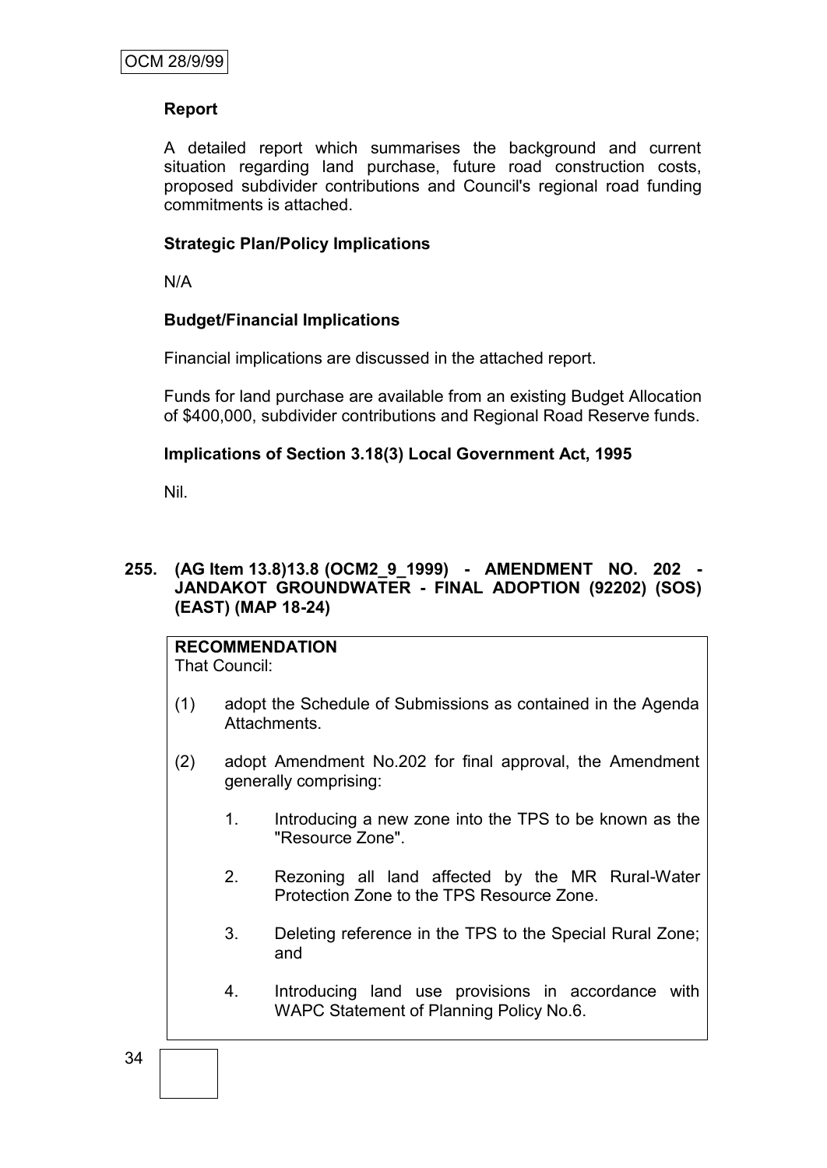#### **Report**

A detailed report which summarises the background and current situation regarding land purchase, future road construction costs, proposed subdivider contributions and Council's regional road funding commitments is attached.

#### **Strategic Plan/Policy Implications**

N/A

#### **Budget/Financial Implications**

Financial implications are discussed in the attached report.

Funds for land purchase are available from an existing Budget Allocation of \$400,000, subdivider contributions and Regional Road Reserve funds.

#### **Implications of Section 3.18(3) Local Government Act, 1995**

Nil.

# **255. (AG Item 13.8)13.8 (OCM2\_9\_1999) - AMENDMENT NO. 202 - JANDAKOT GROUNDWATER - FINAL ADOPTION (92202) (SOS) (EAST) (MAP 18-24)**

# **RECOMMENDATION**

That Council:

- (1) adopt the Schedule of Submissions as contained in the Agenda Attachments.
- (2) adopt Amendment No.202 for final approval, the Amendment generally comprising:
	- 1. Introducing a new zone into the TPS to be known as the "Resource Zone".
	- 2. Rezoning all land affected by the MR Rural-Water Protection Zone to the TPS Resource Zone.
	- 3. Deleting reference in the TPS to the Special Rural Zone; and
	- 4. Introducing land use provisions in accordance with WAPC Statement of Planning Policy No.6.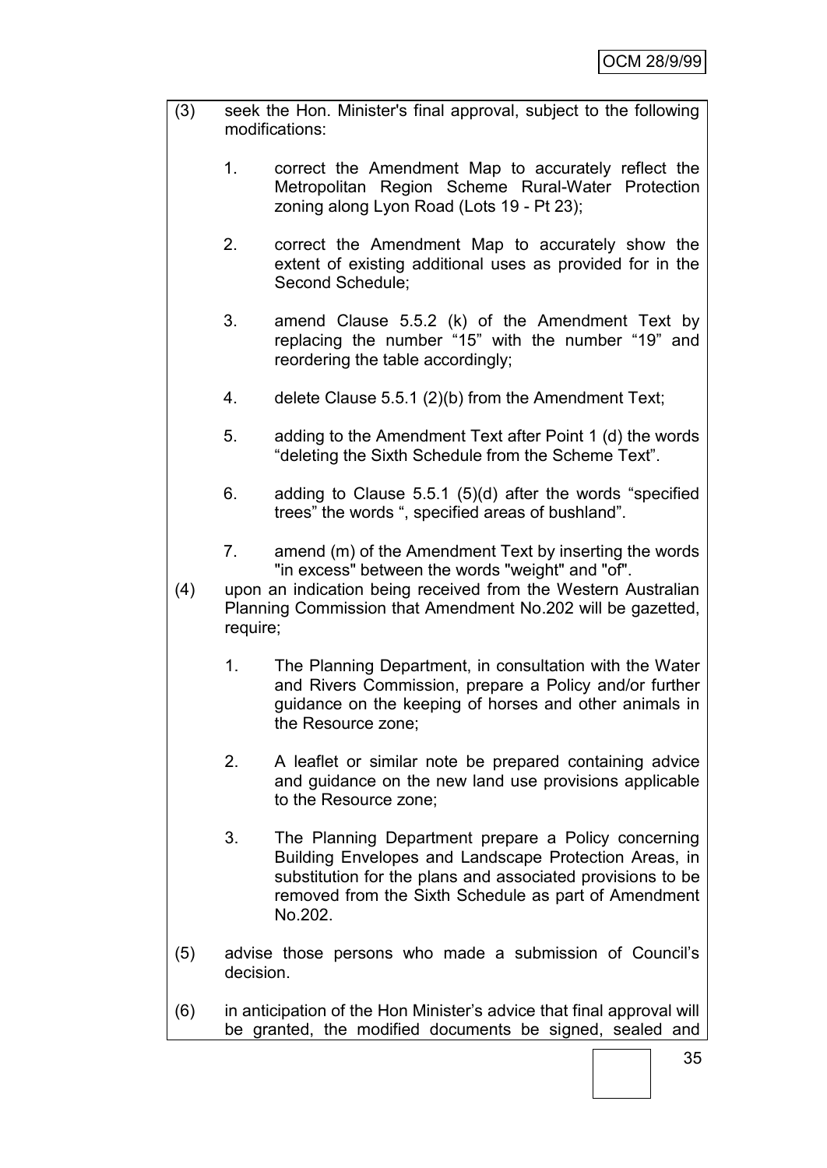| (3) | seek the Hon. Minister's final approval, subject to the following<br>modifications:                                                      |                                                                                                                                                                                                                                               |  |
|-----|------------------------------------------------------------------------------------------------------------------------------------------|-----------------------------------------------------------------------------------------------------------------------------------------------------------------------------------------------------------------------------------------------|--|
|     | 1.                                                                                                                                       | correct the Amendment Map to accurately reflect the<br>Metropolitan Region Scheme Rural-Water Protection<br>zoning along Lyon Road (Lots 19 - Pt 23);                                                                                         |  |
|     | 2.                                                                                                                                       | correct the Amendment Map to accurately show the<br>extent of existing additional uses as provided for in the<br>Second Schedule;                                                                                                             |  |
|     | 3.                                                                                                                                       | amend Clause 5.5.2 (k) of the Amendment Text by<br>replacing the number "15" with the number "19" and<br>reordering the table accordingly;                                                                                                    |  |
|     | 4.                                                                                                                                       | delete Clause 5.5.1 (2)(b) from the Amendment Text;                                                                                                                                                                                           |  |
|     | 5.                                                                                                                                       | adding to the Amendment Text after Point 1 (d) the words<br>"deleting the Sixth Schedule from the Scheme Text".                                                                                                                               |  |
|     | 6.                                                                                                                                       | adding to Clause 5.5.1 (5)(d) after the words "specified<br>trees" the words ", specified areas of bushland".                                                                                                                                 |  |
|     | 7.                                                                                                                                       | amend (m) of the Amendment Text by inserting the words<br>"in excess" between the words "weight" and "of".                                                                                                                                    |  |
| (4) | upon an indication being received from the Western Australian<br>Planning Commission that Amendment No.202 will be gazetted,<br>require; |                                                                                                                                                                                                                                               |  |
|     | 1.                                                                                                                                       | The Planning Department, in consultation with the Water<br>and Rivers Commission, prepare a Policy and/or further<br>guidance on the keeping of horses and other animals in<br>the Resource zone;                                             |  |
|     | 2.                                                                                                                                       | A leaflet or similar note be prepared containing advice<br>and guidance on the new land use provisions applicable<br>to the Resource zone;                                                                                                    |  |
|     | 3.                                                                                                                                       | The Planning Department prepare a Policy concerning<br>Building Envelopes and Landscape Protection Areas, in<br>substitution for the plans and associated provisions to be<br>removed from the Sixth Schedule as part of Amendment<br>No.202. |  |
| (5) | advise those persons who made a submission of Council's<br>decision.                                                                     |                                                                                                                                                                                                                                               |  |
| (6) | in anticipation of the Hon Minister's advice that final approval will<br>be granted, the modified documents be signed, sealed and        |                                                                                                                                                                                                                                               |  |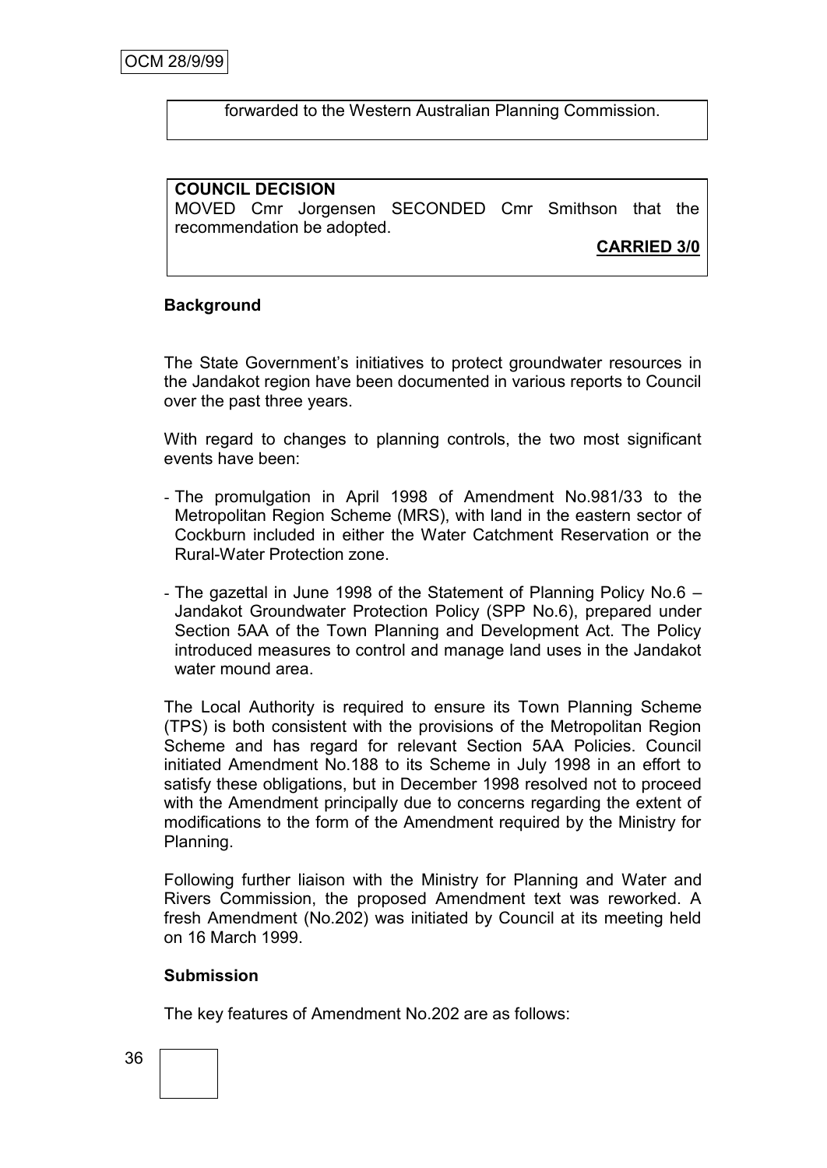forwarded to the Western Australian Planning Commission.

#### **COUNCIL DECISION**

MOVED Cmr Jorgensen SECONDED Cmr Smithson that the recommendation be adopted.

**CARRIED 3/0**

#### **Background**

The State Government's initiatives to protect groundwater resources in the Jandakot region have been documented in various reports to Council over the past three years.

With regard to changes to planning controls, the two most significant events have been:

- The promulgation in April 1998 of Amendment No.981/33 to the Metropolitan Region Scheme (MRS), with land in the eastern sector of Cockburn included in either the Water Catchment Reservation or the Rural-Water Protection zone.
- The gazettal in June 1998 of the Statement of Planning Policy No.6 Jandakot Groundwater Protection Policy (SPP No.6), prepared under Section 5AA of the Town Planning and Development Act. The Policy introduced measures to control and manage land uses in the Jandakot water mound area.

The Local Authority is required to ensure its Town Planning Scheme (TPS) is both consistent with the provisions of the Metropolitan Region Scheme and has regard for relevant Section 5AA Policies. Council initiated Amendment No.188 to its Scheme in July 1998 in an effort to satisfy these obligations, but in December 1998 resolved not to proceed with the Amendment principally due to concerns regarding the extent of modifications to the form of the Amendment required by the Ministry for Planning.

Following further liaison with the Ministry for Planning and Water and Rivers Commission, the proposed Amendment text was reworked. A fresh Amendment (No.202) was initiated by Council at its meeting held on 16 March 1999.

#### **Submission**

The key features of Amendment No.202 are as follows: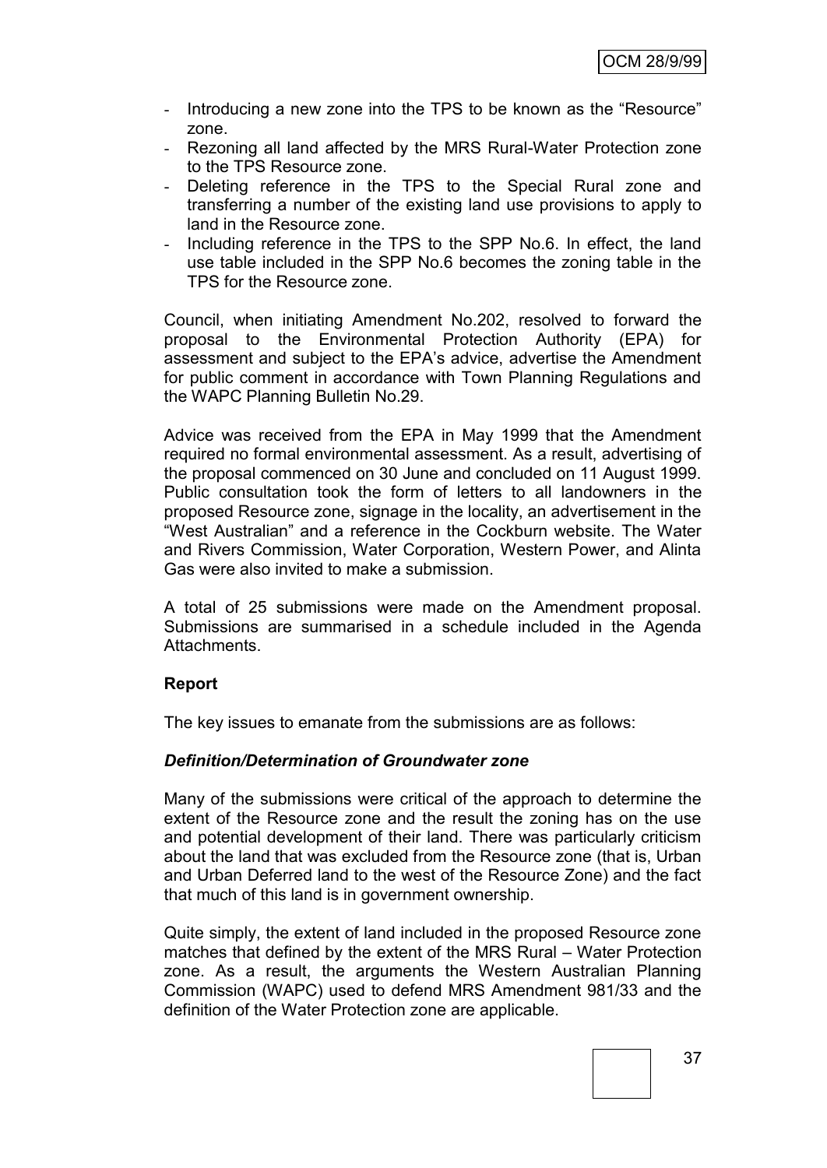- Introducing a new zone into the TPS to be known as the "Resource" zone.
- Rezoning all land affected by the MRS Rural-Water Protection zone to the TPS Resource zone.
- Deleting reference in the TPS to the Special Rural zone and transferring a number of the existing land use provisions to apply to land in the Resource zone.
- Including reference in the TPS to the SPP No.6. In effect, the land use table included in the SPP No.6 becomes the zoning table in the TPS for the Resource zone.

Council, when initiating Amendment No.202, resolved to forward the proposal to the Environmental Protection Authority (EPA) for assessment and subject to the EPA"s advice, advertise the Amendment for public comment in accordance with Town Planning Regulations and the WAPC Planning Bulletin No.29.

Advice was received from the EPA in May 1999 that the Amendment required no formal environmental assessment. As a result, advertising of the proposal commenced on 30 June and concluded on 11 August 1999. Public consultation took the form of letters to all landowners in the proposed Resource zone, signage in the locality, an advertisement in the "West Australian" and a reference in the Cockburn website. The Water and Rivers Commission, Water Corporation, Western Power, and Alinta Gas were also invited to make a submission.

A total of 25 submissions were made on the Amendment proposal. Submissions are summarised in a schedule included in the Agenda Attachments.

#### **Report**

The key issues to emanate from the submissions are as follows:

#### *Definition/Determination of Groundwater zone*

Many of the submissions were critical of the approach to determine the extent of the Resource zone and the result the zoning has on the use and potential development of their land. There was particularly criticism about the land that was excluded from the Resource zone (that is, Urban and Urban Deferred land to the west of the Resource Zone) and the fact that much of this land is in government ownership.

Quite simply, the extent of land included in the proposed Resource zone matches that defined by the extent of the MRS Rural – Water Protection zone. As a result, the arguments the Western Australian Planning Commission (WAPC) used to defend MRS Amendment 981/33 and the definition of the Water Protection zone are applicable.

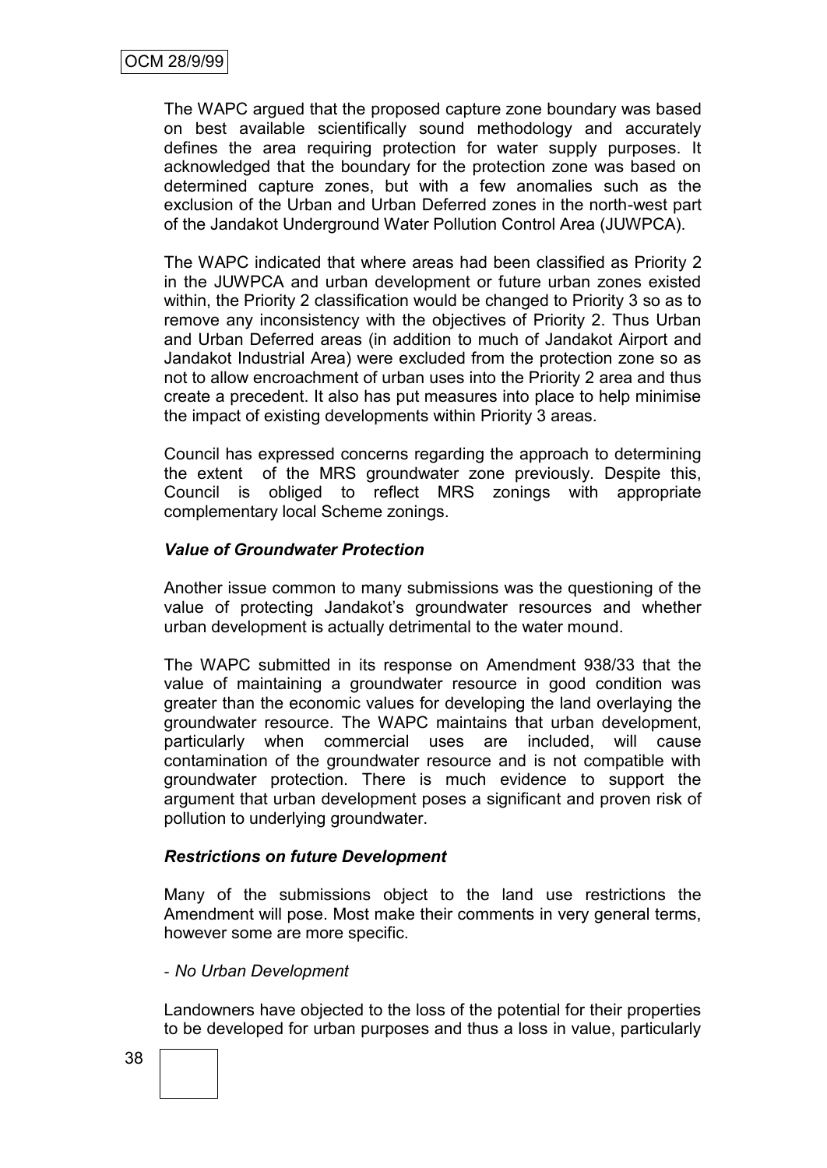The WAPC argued that the proposed capture zone boundary was based on best available scientifically sound methodology and accurately defines the area requiring protection for water supply purposes. It acknowledged that the boundary for the protection zone was based on determined capture zones, but with a few anomalies such as the exclusion of the Urban and Urban Deferred zones in the north-west part of the Jandakot Underground Water Pollution Control Area (JUWPCA).

The WAPC indicated that where areas had been classified as Priority 2 in the JUWPCA and urban development or future urban zones existed within, the Priority 2 classification would be changed to Priority 3 so as to remove any inconsistency with the objectives of Priority 2. Thus Urban and Urban Deferred areas (in addition to much of Jandakot Airport and Jandakot Industrial Area) were excluded from the protection zone so as not to allow encroachment of urban uses into the Priority 2 area and thus create a precedent. It also has put measures into place to help minimise the impact of existing developments within Priority 3 areas.

Council has expressed concerns regarding the approach to determining the extent of the MRS groundwater zone previously. Despite this, Council is obliged to reflect MRS zonings with appropriate complementary local Scheme zonings.

#### *Value of Groundwater Protection*

Another issue common to many submissions was the questioning of the value of protecting Jandakot"s groundwater resources and whether urban development is actually detrimental to the water mound.

The WAPC submitted in its response on Amendment 938/33 that the value of maintaining a groundwater resource in good condition was greater than the economic values for developing the land overlaying the groundwater resource. The WAPC maintains that urban development, particularly when commercial uses are included, will cause contamination of the groundwater resource and is not compatible with groundwater protection. There is much evidence to support the argument that urban development poses a significant and proven risk of pollution to underlying groundwater.

#### *Restrictions on future Development*

Many of the submissions object to the land use restrictions the Amendment will pose. Most make their comments in very general terms, however some are more specific.

#### - *No Urban Development*

Landowners have objected to the loss of the potential for their properties to be developed for urban purposes and thus a loss in value, particularly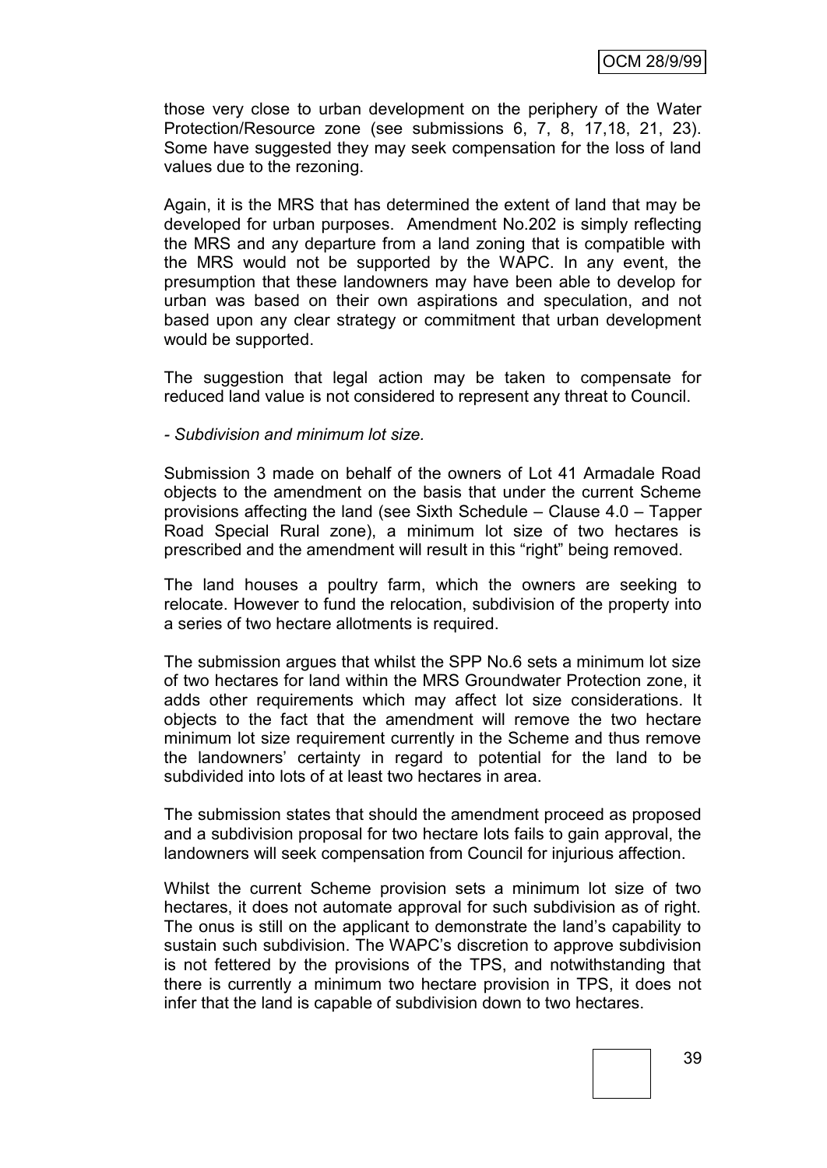those very close to urban development on the periphery of the Water Protection/Resource zone (see submissions 6, 7, 8, 17,18, 21, 23). Some have suggested they may seek compensation for the loss of land values due to the rezoning.

Again, it is the MRS that has determined the extent of land that may be developed for urban purposes. Amendment No.202 is simply reflecting the MRS and any departure from a land zoning that is compatible with the MRS would not be supported by the WAPC. In any event, the presumption that these landowners may have been able to develop for urban was based on their own aspirations and speculation, and not based upon any clear strategy or commitment that urban development would be supported.

The suggestion that legal action may be taken to compensate for reduced land value is not considered to represent any threat to Council.

*- Subdivision and minimum lot size.*

Submission 3 made on behalf of the owners of Lot 41 Armadale Road objects to the amendment on the basis that under the current Scheme provisions affecting the land (see Sixth Schedule – Clause 4.0 – Tapper Road Special Rural zone), a minimum lot size of two hectares is prescribed and the amendment will result in this "right" being removed.

The land houses a poultry farm, which the owners are seeking to relocate. However to fund the relocation, subdivision of the property into a series of two hectare allotments is required.

The submission argues that whilst the SPP No.6 sets a minimum lot size of two hectares for land within the MRS Groundwater Protection zone, it adds other requirements which may affect lot size considerations. It objects to the fact that the amendment will remove the two hectare minimum lot size requirement currently in the Scheme and thus remove the landowners" certainty in regard to potential for the land to be subdivided into lots of at least two hectares in area.

The submission states that should the amendment proceed as proposed and a subdivision proposal for two hectare lots fails to gain approval, the landowners will seek compensation from Council for injurious affection.

Whilst the current Scheme provision sets a minimum lot size of two hectares, it does not automate approval for such subdivision as of right. The onus is still on the applicant to demonstrate the land"s capability to sustain such subdivision. The WAPC"s discretion to approve subdivision is not fettered by the provisions of the TPS, and notwithstanding that there is currently a minimum two hectare provision in TPS, it does not infer that the land is capable of subdivision down to two hectares.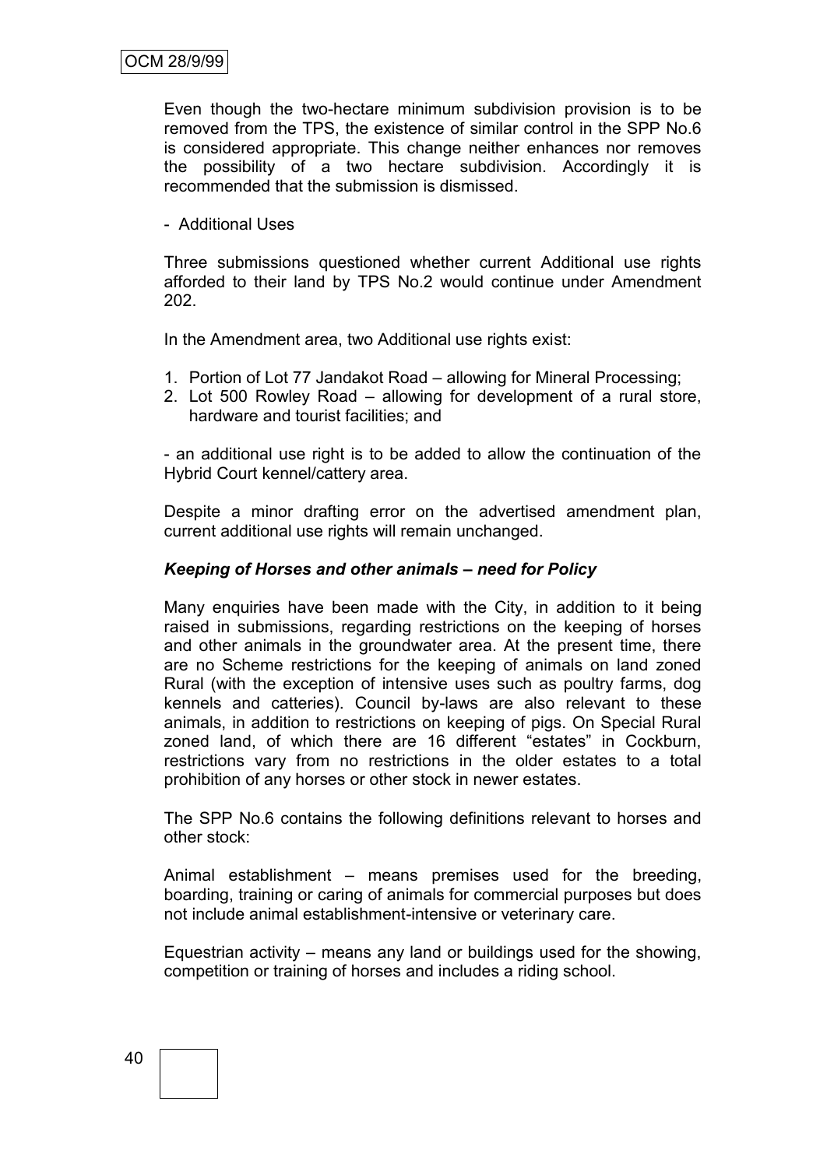Even though the two-hectare minimum subdivision provision is to be removed from the TPS, the existence of similar control in the SPP No.6 is considered appropriate. This change neither enhances nor removes the possibility of a two hectare subdivision. Accordingly it is recommended that the submission is dismissed.

- Additional Uses

Three submissions questioned whether current Additional use rights afforded to their land by TPS No.2 would continue under Amendment 202.

In the Amendment area, two Additional use rights exist:

- 1. Portion of Lot 77 Jandakot Road allowing for Mineral Processing;
- 2. Lot 500 Rowley Road allowing for development of a rural store, hardware and tourist facilities; and

- an additional use right is to be added to allow the continuation of the Hybrid Court kennel/cattery area.

Despite a minor drafting error on the advertised amendment plan, current additional use rights will remain unchanged.

#### *Keeping of Horses and other animals – need for Policy*

Many enquiries have been made with the City, in addition to it being raised in submissions, regarding restrictions on the keeping of horses and other animals in the groundwater area. At the present time, there are no Scheme restrictions for the keeping of animals on land zoned Rural (with the exception of intensive uses such as poultry farms, dog kennels and catteries). Council by-laws are also relevant to these animals, in addition to restrictions on keeping of pigs. On Special Rural zoned land, of which there are 16 different "estates" in Cockburn, restrictions vary from no restrictions in the older estates to a total prohibition of any horses or other stock in newer estates.

The SPP No.6 contains the following definitions relevant to horses and other stock:

Animal establishment – means premises used for the breeding, boarding, training or caring of animals for commercial purposes but does not include animal establishment-intensive or veterinary care.

Equestrian activity – means any land or buildings used for the showing, competition or training of horses and includes a riding school.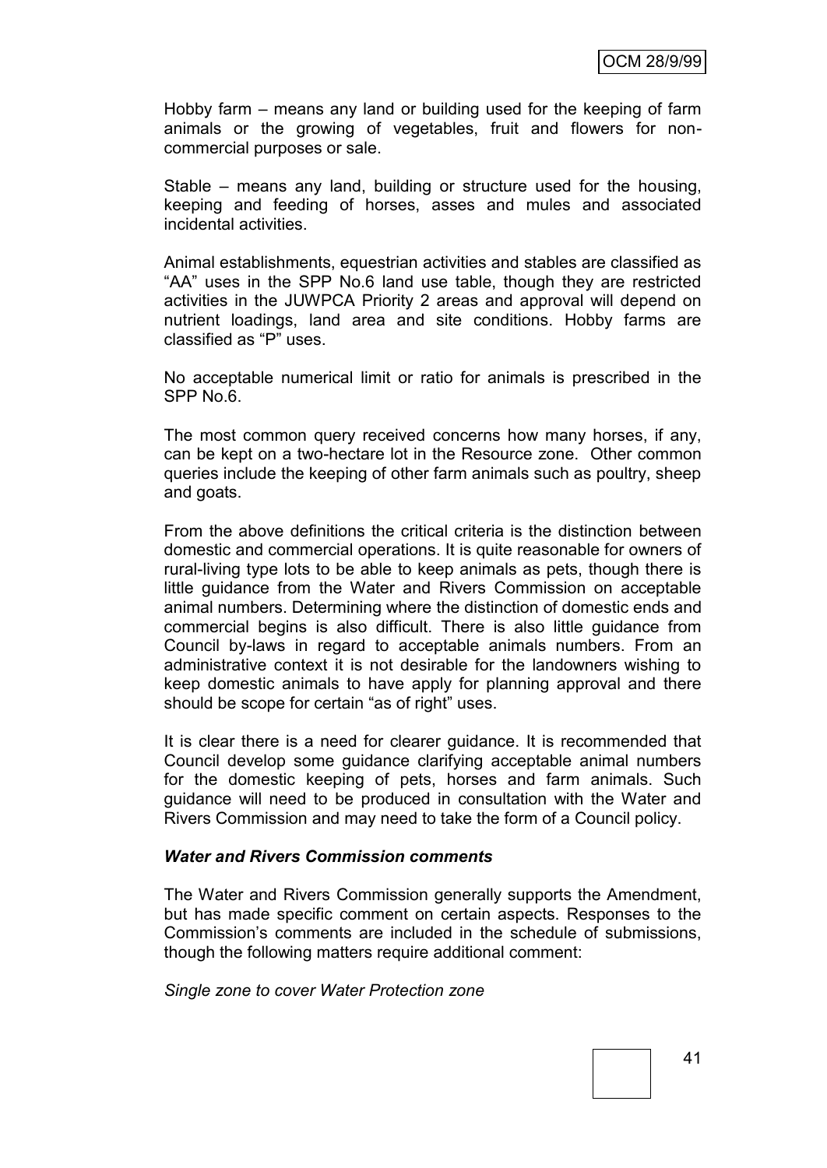Hobby farm – means any land or building used for the keeping of farm animals or the growing of vegetables, fruit and flowers for noncommercial purposes or sale.

Stable – means any land, building or structure used for the housing, keeping and feeding of horses, asses and mules and associated incidental activities.

Animal establishments, equestrian activities and stables are classified as "AA" uses in the SPP No.6 land use table, though they are restricted activities in the JUWPCA Priority 2 areas and approval will depend on nutrient loadings, land area and site conditions. Hobby farms are classified as "P" uses.

No acceptable numerical limit or ratio for animals is prescribed in the SPP No.6.

The most common query received concerns how many horses, if any, can be kept on a two-hectare lot in the Resource zone. Other common queries include the keeping of other farm animals such as poultry, sheep and goats.

From the above definitions the critical criteria is the distinction between domestic and commercial operations. It is quite reasonable for owners of rural-living type lots to be able to keep animals as pets, though there is little guidance from the Water and Rivers Commission on acceptable animal numbers. Determining where the distinction of domestic ends and commercial begins is also difficult. There is also little guidance from Council by-laws in regard to acceptable animals numbers. From an administrative context it is not desirable for the landowners wishing to keep domestic animals to have apply for planning approval and there should be scope for certain "as of right" uses.

It is clear there is a need for clearer guidance. It is recommended that Council develop some guidance clarifying acceptable animal numbers for the domestic keeping of pets, horses and farm animals. Such guidance will need to be produced in consultation with the Water and Rivers Commission and may need to take the form of a Council policy.

#### *Water and Rivers Commission comments*

The Water and Rivers Commission generally supports the Amendment, but has made specific comment on certain aspects. Responses to the Commission"s comments are included in the schedule of submissions, though the following matters require additional comment:

*Single zone to cover Water Protection zone*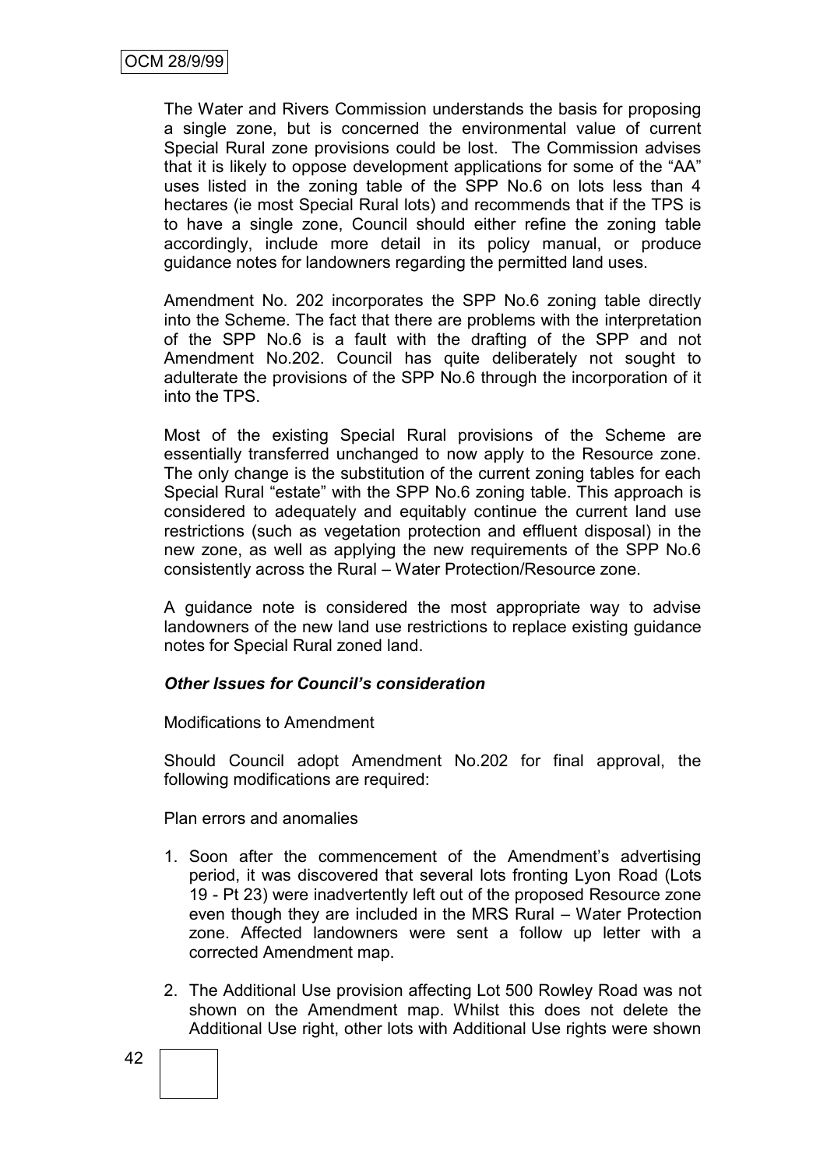The Water and Rivers Commission understands the basis for proposing a single zone, but is concerned the environmental value of current Special Rural zone provisions could be lost. The Commission advises that it is likely to oppose development applications for some of the "AA" uses listed in the zoning table of the SPP No.6 on lots less than 4 hectares (ie most Special Rural lots) and recommends that if the TPS is to have a single zone, Council should either refine the zoning table accordingly, include more detail in its policy manual, or produce guidance notes for landowners regarding the permitted land uses.

Amendment No. 202 incorporates the SPP No.6 zoning table directly into the Scheme. The fact that there are problems with the interpretation of the SPP No.6 is a fault with the drafting of the SPP and not Amendment No.202. Council has quite deliberately not sought to adulterate the provisions of the SPP No.6 through the incorporation of it into the TPS.

Most of the existing Special Rural provisions of the Scheme are essentially transferred unchanged to now apply to the Resource zone. The only change is the substitution of the current zoning tables for each Special Rural "estate" with the SPP No.6 zoning table. This approach is considered to adequately and equitably continue the current land use restrictions (such as vegetation protection and effluent disposal) in the new zone, as well as applying the new requirements of the SPP No.6 consistently across the Rural – Water Protection/Resource zone.

A guidance note is considered the most appropriate way to advise landowners of the new land use restrictions to replace existing guidance notes for Special Rural zoned land.

#### *Other Issues for Council's consideration*

Modifications to Amendment

Should Council adopt Amendment No.202 for final approval, the following modifications are required:

Plan errors and anomalies

- 1. Soon after the commencement of the Amendment's advertising period, it was discovered that several lots fronting Lyon Road (Lots 19 - Pt 23) were inadvertently left out of the proposed Resource zone even though they are included in the MRS Rural – Water Protection zone. Affected landowners were sent a follow up letter with a corrected Amendment map.
- 2. The Additional Use provision affecting Lot 500 Rowley Road was not shown on the Amendment map. Whilst this does not delete the Additional Use right, other lots with Additional Use rights were shown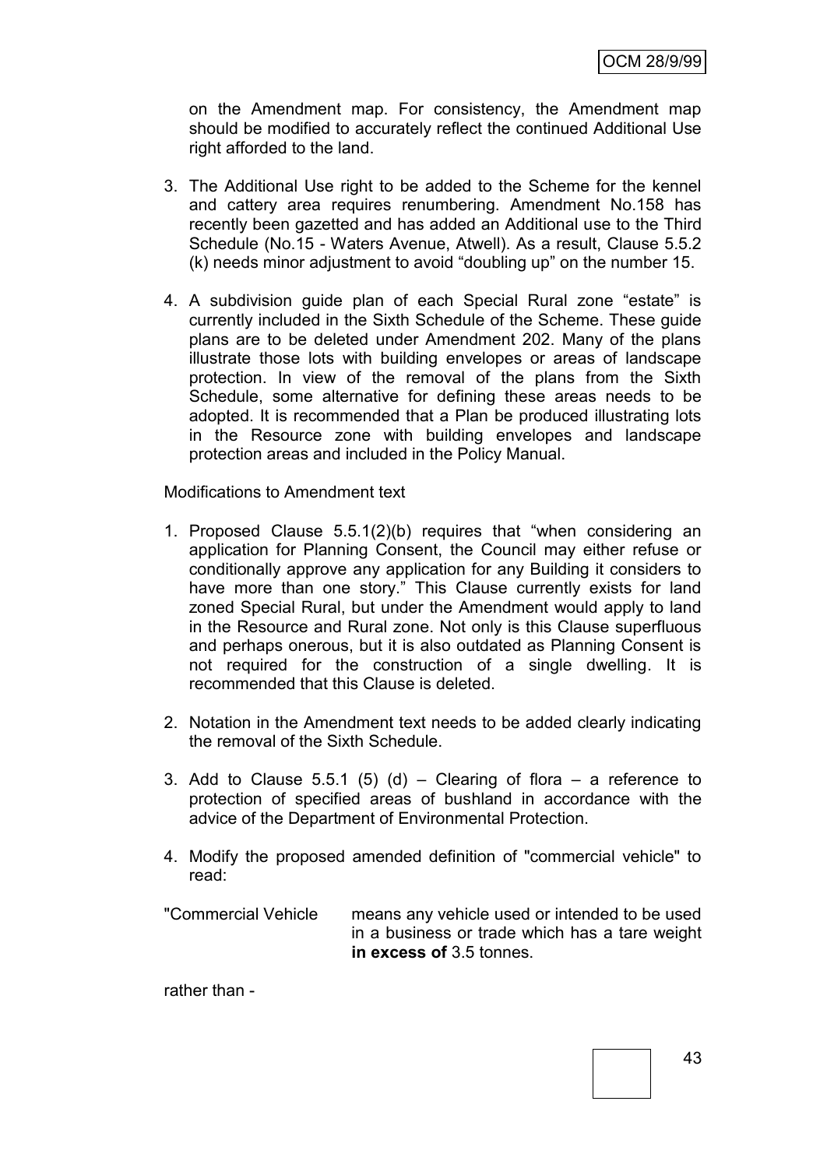on the Amendment map. For consistency, the Amendment map should be modified to accurately reflect the continued Additional Use right afforded to the land.

- 3. The Additional Use right to be added to the Scheme for the kennel and cattery area requires renumbering. Amendment No.158 has recently been gazetted and has added an Additional use to the Third Schedule (No.15 - Waters Avenue, Atwell). As a result, Clause 5.5.2 (k) needs minor adjustment to avoid "doubling up" on the number 15.
- 4. A subdivision guide plan of each Special Rural zone "estate" is currently included in the Sixth Schedule of the Scheme. These guide plans are to be deleted under Amendment 202. Many of the plans illustrate those lots with building envelopes or areas of landscape protection. In view of the removal of the plans from the Sixth Schedule, some alternative for defining these areas needs to be adopted. It is recommended that a Plan be produced illustrating lots in the Resource zone with building envelopes and landscape protection areas and included in the Policy Manual.

Modifications to Amendment text

- 1. Proposed Clause 5.5.1(2)(b) requires that "when considering an application for Planning Consent, the Council may either refuse or conditionally approve any application for any Building it considers to have more than one story." This Clause currently exists for land zoned Special Rural, but under the Amendment would apply to land in the Resource and Rural zone. Not only is this Clause superfluous and perhaps onerous, but it is also outdated as Planning Consent is not required for the construction of a single dwelling. It is recommended that this Clause is deleted.
- 2. Notation in the Amendment text needs to be added clearly indicating the removal of the Sixth Schedule.
- 3. Add to Clause 5.5.1 (5) (d) Clearing of flora a reference to protection of specified areas of bushland in accordance with the advice of the Department of Environmental Protection.
- 4. Modify the proposed amended definition of "commercial vehicle" to read:

"Commercial Vehicle means any vehicle used or intended to be used in a business or trade which has a tare weight **in excess of** 3.5 tonnes.

rather than -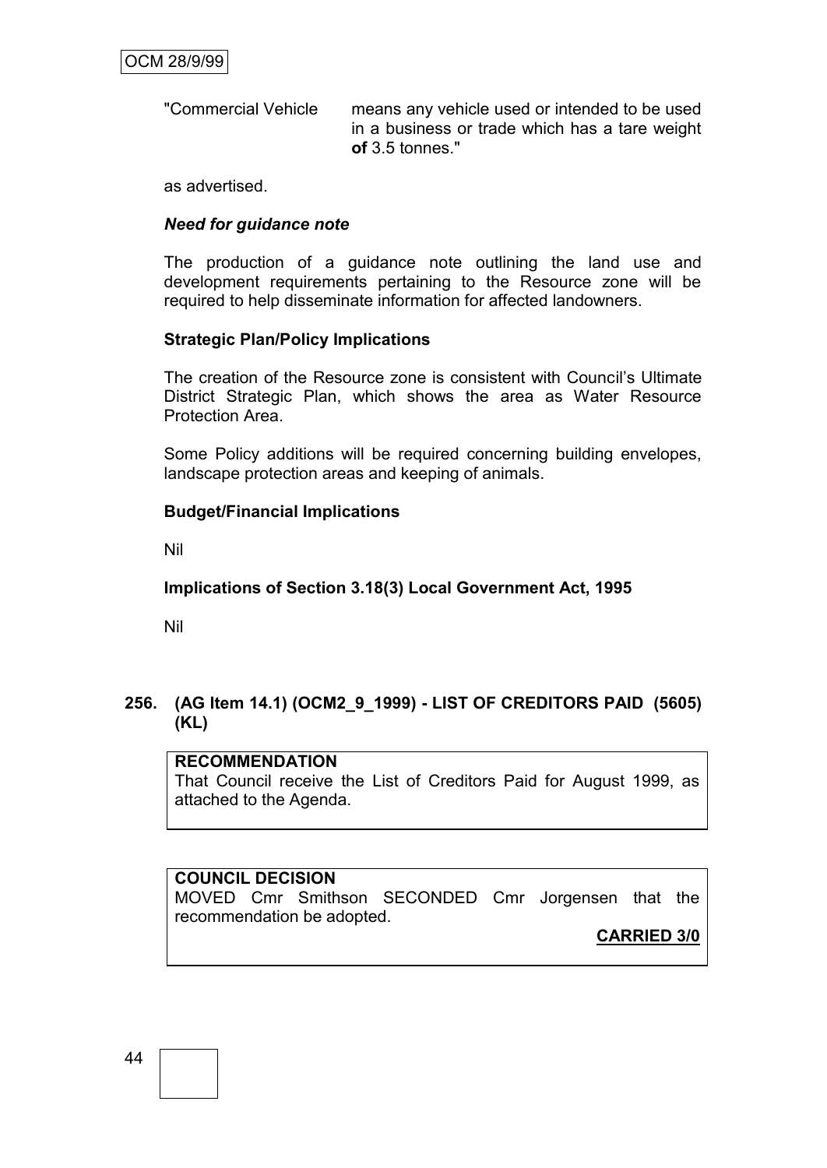"Commercial Vehicle means any vehicle used or intended to be used in a business or trade which has a tare weight **of** 3.5 tonnes."

as advertised.

#### *Need for guidance note*

The production of a guidance note outlining the land use and development requirements pertaining to the Resource zone will be required to help disseminate information for affected landowners.

#### **Strategic Plan/Policy Implications**

The creation of the Resource zone is consistent with Council"s Ultimate District Strategic Plan, which shows the area as Water Resource Protection Area.

Some Policy additions will be required concerning building envelopes, landscape protection areas and keeping of animals.

#### **Budget/Financial Implications**

Nil

#### **Implications of Section 3.18(3) Local Government Act, 1995**

Nil

## **256. (AG Item 14.1) (OCM2\_9\_1999) - LIST OF CREDITORS PAID (5605) (KL)**

#### **RECOMMENDATION**

That Council receive the List of Creditors Paid for August 1999, as attached to the Agenda.

#### **COUNCIL DECISION**

MOVED Cmr Smithson SECONDED Cmr Jorgensen that the recommendation be adopted.

**CARRIED 3/0**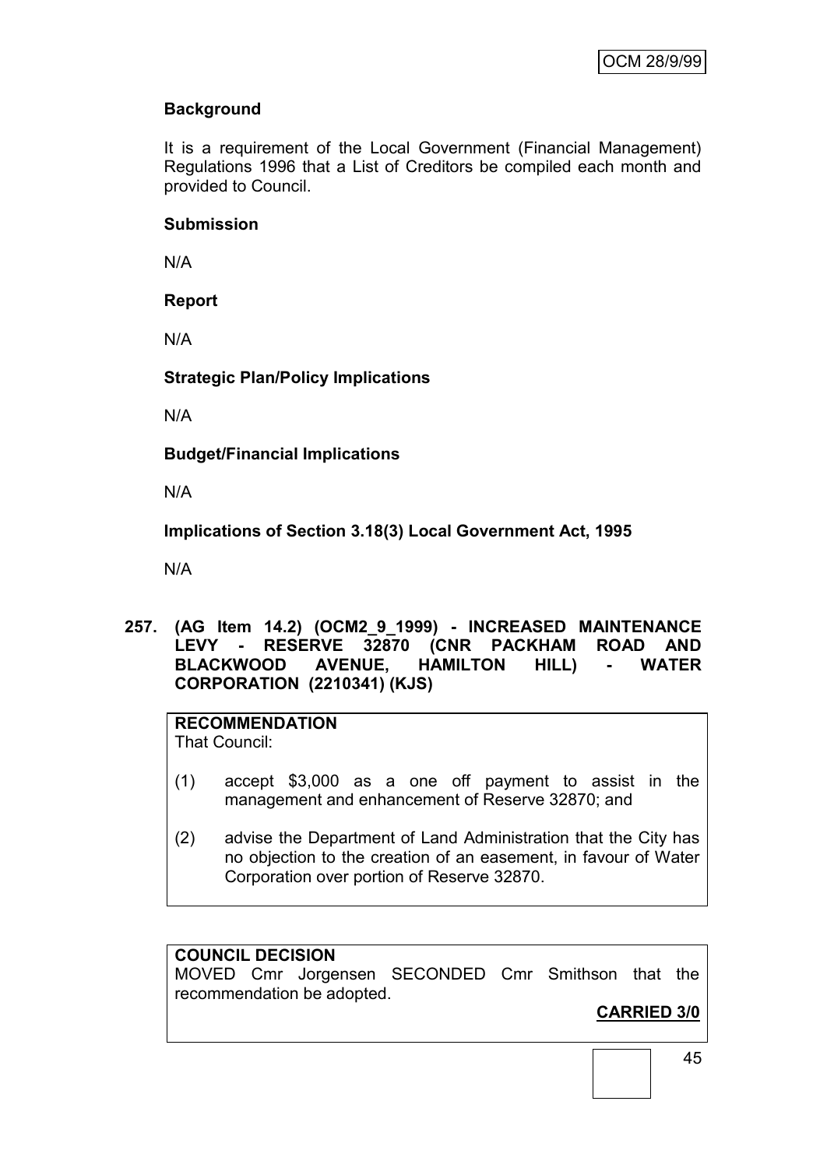# **Background**

It is a requirement of the Local Government (Financial Management) Regulations 1996 that a List of Creditors be compiled each month and provided to Council.

#### **Submission**

N/A

## **Report**

N/A

#### **Strategic Plan/Policy Implications**

N/A

**Budget/Financial Implications**

N/A

**Implications of Section 3.18(3) Local Government Act, 1995**

N/A

**257. (AG Item 14.2) (OCM2\_9\_1999) - INCREASED MAINTENANCE LEVY - RESERVE 32870 (CNR PACKHAM ROAD AND BLACKWOOD AVENUE, HAMILTON HILL) - WATER CORPORATION (2210341) (KJS)**

# **RECOMMENDATION**

That Council:

- (1) accept \$3,000 as a one off payment to assist in the management and enhancement of Reserve 32870; and
- (2) advise the Department of Land Administration that the City has no objection to the creation of an easement, in favour of Water Corporation over portion of Reserve 32870.

#### **COUNCIL DECISION**

MOVED Cmr Jorgensen SECONDED Cmr Smithson that the recommendation be adopted.

**CARRIED 3/0**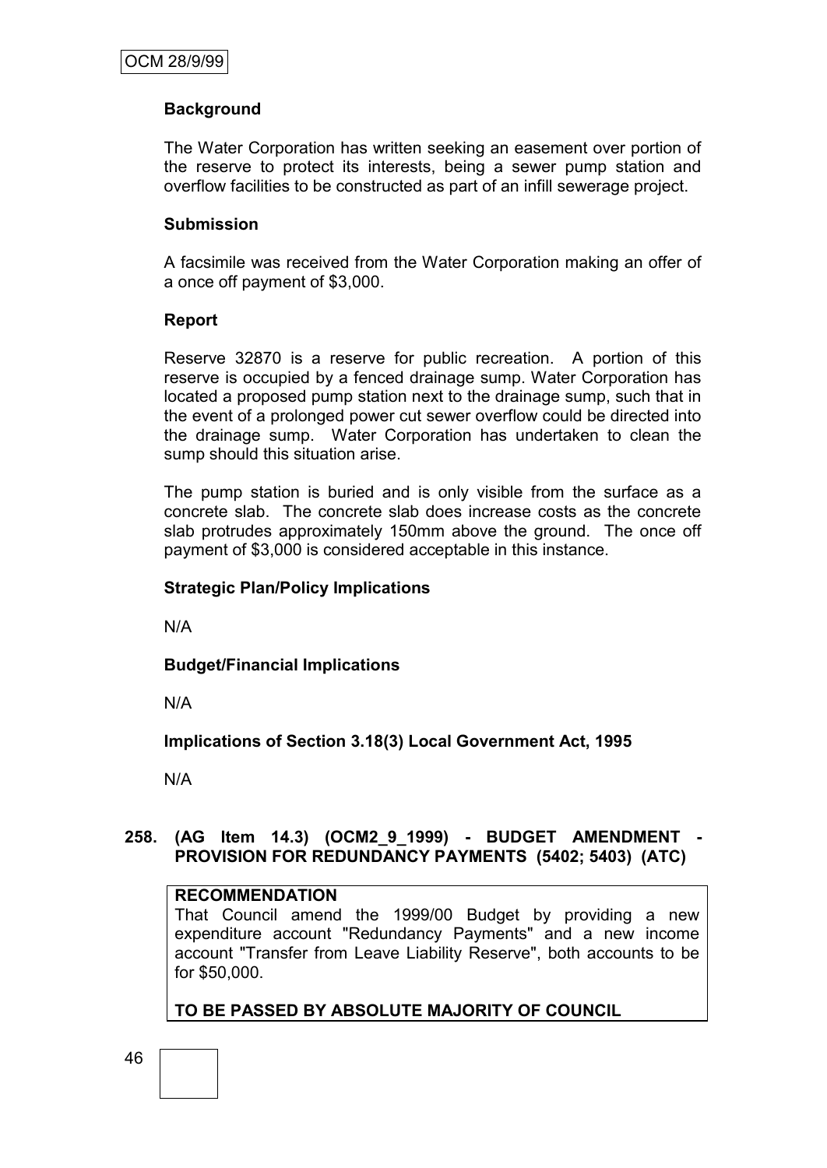#### **Background**

The Water Corporation has written seeking an easement over portion of the reserve to protect its interests, being a sewer pump station and overflow facilities to be constructed as part of an infill sewerage project.

#### **Submission**

A facsimile was received from the Water Corporation making an offer of a once off payment of \$3,000.

#### **Report**

Reserve 32870 is a reserve for public recreation. A portion of this reserve is occupied by a fenced drainage sump. Water Corporation has located a proposed pump station next to the drainage sump, such that in the event of a prolonged power cut sewer overflow could be directed into the drainage sump. Water Corporation has undertaken to clean the sump should this situation arise.

The pump station is buried and is only visible from the surface as a concrete slab. The concrete slab does increase costs as the concrete slab protrudes approximately 150mm above the ground. The once off payment of \$3,000 is considered acceptable in this instance.

#### **Strategic Plan/Policy Implications**

N/A

**Budget/Financial Implications**

N/A

**Implications of Section 3.18(3) Local Government Act, 1995**

N/A

#### **258. (AG Item 14.3) (OCM2\_9\_1999) - BUDGET AMENDMENT - PROVISION FOR REDUNDANCY PAYMENTS (5402; 5403) (ATC)**

#### **RECOMMENDATION**

That Council amend the 1999/00 Budget by providing a new expenditure account "Redundancy Payments" and a new income account "Transfer from Leave Liability Reserve", both accounts to be for \$50,000.

**TO BE PASSED BY ABSOLUTE MAJORITY OF COUNCIL**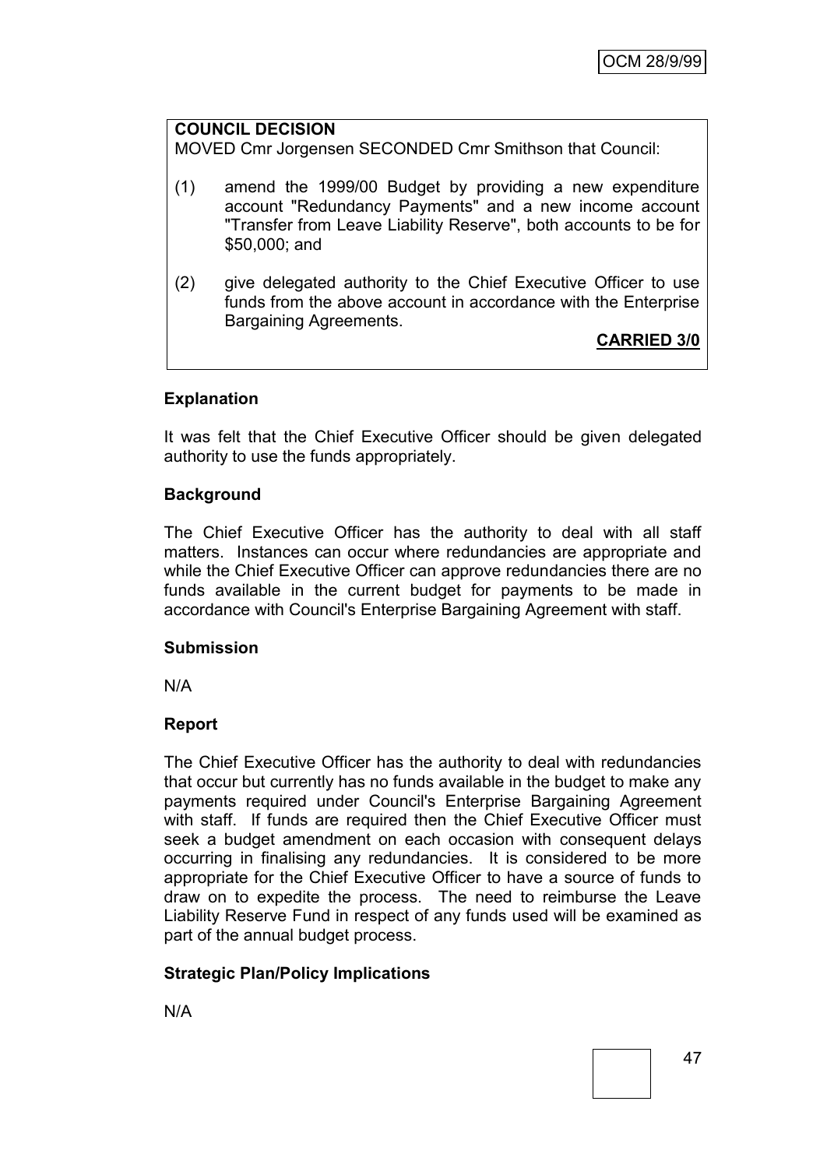# **COUNCIL DECISION** MOVED Cmr Jorgensen SECONDED Cmr Smithson that Council: (1) amend the 1999/00 Budget by providing a new expenditure account "Redundancy Payments" and a new income account "Transfer from Leave Liability Reserve", both accounts to be for \$50,000; and (2) give delegated authority to the Chief Executive Officer to use funds from the above account in accordance with the Enterprise Bargaining Agreements. **CARRIED 3/0**

# **Explanation**

It was felt that the Chief Executive Officer should be given delegated authority to use the funds appropriately.

#### **Background**

The Chief Executive Officer has the authority to deal with all staff matters. Instances can occur where redundancies are appropriate and while the Chief Executive Officer can approve redundancies there are no funds available in the current budget for payments to be made in accordance with Council's Enterprise Bargaining Agreement with staff.

#### **Submission**

N/A

#### **Report**

The Chief Executive Officer has the authority to deal with redundancies that occur but currently has no funds available in the budget to make any payments required under Council's Enterprise Bargaining Agreement with staff. If funds are required then the Chief Executive Officer must seek a budget amendment on each occasion with consequent delays occurring in finalising any redundancies. It is considered to be more appropriate for the Chief Executive Officer to have a source of funds to draw on to expedite the process. The need to reimburse the Leave Liability Reserve Fund in respect of any funds used will be examined as part of the annual budget process.

#### **Strategic Plan/Policy Implications**

N/A